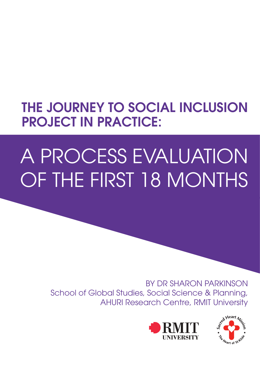# THE JOURNEY TO SOCIAL INCLUSION PROJECT IN PRACTICE:

# A Process Evaluation of the first 18 months

BY DR SHARON PARKINSON School of Global Studies, Social Science & Planning, AHURI Research Centre, RMIT University



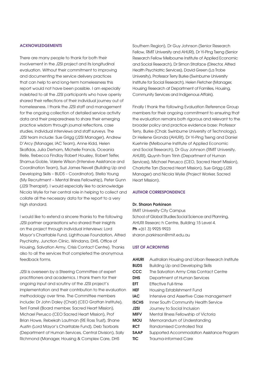### **ACKNOWLEDGEMENTS**

There are many people to thank for both their involvement in the J2SI project and its longitudinal evaluation. Without their commitment to improving and documenting the service delivery practices that can help to end long-term homelessness this report would not have been possible. I am especially indebted to all the J2SI participants who have openly shared their reflections of their individual journey out of homelessness. I thank the J2SI staff and management for the ongoing collection of detailed service activity data and their preparedness to share their emerging practice wisdom through journal reflections, case studies, individual interviews and staff surveys. The J2SI team include: Sue Grigg (J2SI Manager), Andrew D'Arcy (Manager, IAC Team), Anne Kidd, Helen Skafidas, Julia Derham, Michelle Francis, Oceania Reile, Rebecca Findlay Robert Housley, Robert Telfer, Shamus Goble, Valerie Wilson (Intensive Assistance and Coordination Team), Suzi James Nevell (Building Up and Developing Skills – BUDS – Coordinator), Stella Young (My Recruitment – Mental Illness Fellowship), Peter Gunn (J2SI Therapist). I would especially like to acknowledge Nicola Wylie for her central role in helping to collect and collate all the necessary data for the report to a very high standard.

I would like to extend a sincere thanks to the following J2SI partner organisations who shared their insights on the project through individual interviews: Lord Mayor's Charitable Fund, Lighthouse Foundation, Alfred Psychiatry, Junction Clinic, Windana, DHS, Office of Housing, Salvation Army, Crisis Contact Centre). Thanks also to all the services that completed the anonymous feedback forms.

J2SI is overseen by a Steering Committee of expert practitioners and academics. I thank them for their ongoing input and scrutiny of the J2SI project's implementation and their contribution to the evaluation methodology over time. The Committee members include: Dr John Daley (Chair) (CEO Grattan Institute), Terri Farrell (Board member, Sacred Heart Mission), Michael Perusco (CEO Sacred Heart Mission), Prof Brian Howe, Rebekah Lautman (RE Ross Trust), Shane Austin (Lord Mayor's Charitable Fund), Deb Tsorbaris (Department of Human Services, Central Division), Sally Richmond (Manager, Housing & Complex Care, DHS

Southern Region), Dr Guy Johnson (Senior Research Fellow, RMIT University and AHURI), Dr Yi-Ping Tseng (Senior Research Fellow Melbourne Institute of Applied Economic and Social Research), Dr Simon Straface (Director, Alfred Health Psychiatric Services), David Green (La Trobe University), Professor Terry Burke (Swinburne University Institute for Social Research), Helen Fletcher (Manager, Housing Research at Department of Families, Housing, Community Services and Indigenous Affairs).

Finally I thank the following Evaluation Reference Group members for their ongoing commitment to ensuring that the evaluation remains both rigorous and relevant to the broader policy and practice evidence base: Professor Terry, Burke (Chair, Swinburne University of Technology), Dr Hellene Gronda (AHURI), Dr Yi-Ping Tseng and Daniel Kuehnle (Melbourne Institute of Applied Economic and Social Research), Dr Guy Johnson (RMIT University, AHURI), Quynh-Tram Trinh (Department of Human Services), Michael Perusco (CEO, Sacred Heart Mission), Charlotte Tan (Sacred Heart Mission), Sue Grigg (J2SI Manager) and Nicola Wylie (Project Worker, Sacred Heart Mission).

### Author correspondence

### Dr. Sharon Parkinson

RMIT University City Campus School of Global Studies Social Science and Planning, AHURI Researc h Centre, Building 15 Level 4. Ph +(61 3) 9925 9923 sharon.parkinson@rmit.edu.au

### List of Acronyms

| <b>AHURI</b> | Australian Housing and Urban Research Institute |
|--------------|-------------------------------------------------|
| <b>BUDS</b>  | <b>Building Up and Developing Skills</b>        |
| CCC          | The Salvation Army Crisis Contact Centre        |
| <b>DHS</b>   | Department of Human Services                    |
| EFT          | Effective Full-time                             |
| <b>HEF</b>   | Housing Establishment Fund                      |
| <b>IAC</b>   | Intensive and Assertive Case management         |
| <b>ISCHS</b> | Inner South Community Health Service            |
| J2SI         | Journey to Social Inclusion                     |
| <b>MIFV</b>  | Mental Illness Fellowship of Victoria           |
| <b>MOU</b>   | Memorandum of Understanding                     |
| <b>RCT</b>   | Randomised Controlled Trial                     |
| <b>SAAP</b>  | Supported Accommodation Assistance Program      |
| TIC          | Trauma-informed Care                            |
|              |                                                 |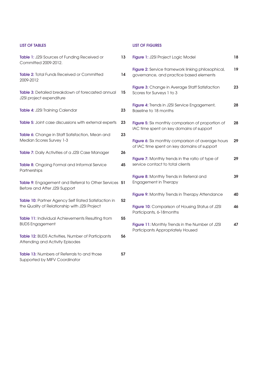| <b>LIST OF TABLES</b>                                                                                |    | <b>LIST OF FIGURES</b>                                                                           |    |
|------------------------------------------------------------------------------------------------------|----|--------------------------------------------------------------------------------------------------|----|
| Table 1: J2SI Sources of Funding Received or<br>Committed 2009-2012.                                 | 13 | Figure 1: J2SI Project Logic Model                                                               | 18 |
| <b>Table 2:</b> Total Funds Received or Committed<br>2009-2012                                       | 14 | Figure 2: Service framework linking philosophical,<br>governance, and practice based elements    | 19 |
| Table 3: Detailed breakdown of forecasted annual<br>J2SI project expenditure                         | 15 | Figure 3: Change in Average Staff Satisfaction<br>Scores for Surveys 1 to 3                      | 23 |
| Table 4: J2SI Training Calendar                                                                      | 23 | Figure 4: Trends in J2SI Service Engagement,<br>Baseline to 18 months                            | 28 |
| Table 5: Joint case discussions with external experts                                                | 23 | Figure 5: Six monthly comparison of proportion of<br>IAC time spent on key domains of support    | 28 |
| Table 6: Change in Staff Satisfaction, Mean and<br>Median Scores Survey 1-3                          | 23 | Figure 6: Six monthly comparison of average hours<br>of IAC time spent on key domains of support | 29 |
| Table 7: Daily Activities of a J2SI Case Manager                                                     | 26 |                                                                                                  |    |
| Table 8: Ongoing Formal and Informal Service<br>Partnerships                                         | 45 | Figure 7: Monthly trends in the ratio of type of<br>service contact to total clients             | 29 |
| Table 9: Engagement and Referral to Other Services 51<br>Before and After J2SI Support               |    | Figure 8: Monthly Trends in Referral and<br>Engagement in Therapy                                | 39 |
|                                                                                                      |    | Figure 9: Monthly Trends in Therapy Attendance                                                   | 40 |
| Table 10: Partner Agency Self Rated Satisfaction in<br>the Quality of Relationship with J2SI Project | 52 | Figure 10: Comparison of Housing Status of J2SI<br>Participants, 6-18 months                     | 46 |
| <b>Table 11:</b> Individual Achievements Resulting from<br><b>BUDS Engagement</b>                    | 55 | Figure 11: Monthly Trends in the Number of J2SI<br>Participants Appropriately Housed             | 47 |
| Table 12: BUDS Activities, Number of Participants<br>Attending and Activity Episodes                 | 56 |                                                                                                  |    |
| Table 13: Numbers of Referrals to and those                                                          | 57 |                                                                                                  |    |

Supported by MIFV Coordinator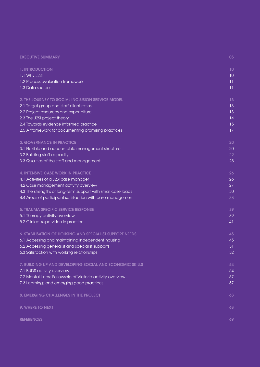| <b>EXECUTIVE SUMMARY</b> |  |
|--------------------------|--|
|                          |  |

| 1. INTRODUCTION                                              | 10 |
|--------------------------------------------------------------|----|
| 1.1 Why J2SI                                                 | 10 |
| 1.2 Process evaluation framework                             | 11 |
| 1.3 Data sources                                             | 11 |
| 2. THE JOURNEY TO SOCIAL INCLUSION SERVICE MODEL             | 13 |
| 2.1 Target group and staff-client ratios                     | 13 |
| 2.2 Project resources and expenditure                        | 13 |
| 2.3 The J2SI project theory                                  | 14 |
| 2.4 Towards evidence informed practice                       | 15 |
| 2.5 A framework for documenting promising practices          | 17 |
| <b>3. GOVERNANCE IN PRACTICE</b>                             | 20 |
| 3.1 Flexible and accountable management structure            | 20 |
| 3.2 Building staff capacity                                  | 22 |
| 3.3 Qualities of the staff and management                    | 25 |
| 4. INTENSIVE CASE WORK IN PRACTICE                           | 26 |
| 4.1 Activities of a J2SI case manager                        | 26 |
| 4.2 Case management activity overview                        | 27 |
| 4.3 The strengths of long-term support with small case loads | 30 |
| 4.4 Areas of participant satisfaction with case management   | 38 |
| 5. TRAUMA SPECIFIC SERVICE RESPONSE                          | 39 |
| 5.1 Therapy activity overview                                | 39 |
| 5.2 Clinical supervision in practice                         | 41 |
| 6. STABILISATION OF HOUSING AND SPECIALIST SUPPORT NEEDS     | 45 |
| 6.1 Accessing and maintaining independent housing            | 45 |
| 6.2 Accessing generalist and specialist supports             | 51 |
| 6.3 Satisfaction with working relationships                  | 52 |
| 7. BUILDING UP AND DEVELOPING SOCIAL AND ECONOMIC SKILLS     | 54 |
| 7.1 BUDS activity overview                                   | 54 |
| 7.2 Mental Illness Fellowship of Victoria activity overview  | 57 |
| 7.3 Learnings and emerging good practices                    | 57 |
| 8. EMERGING CHALLENGES IN THE PROJECT                        | 63 |
| 9. WHERE TO NEXT                                             | 68 |
| <b>REFERENCES</b>                                            | 69 |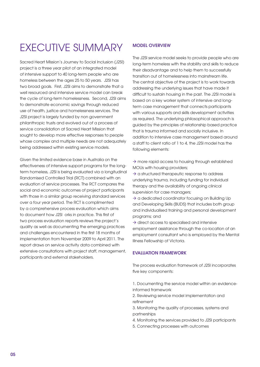# EXECUTIVE SUMMARY

Sacred Heart Mission's Journey to Social Inclusion (J2SI) project is a three year pilot of an integrated model of intensive support to 40 long-term people who are homeless between the ages 25 to 50 years. J2SI has two broad goals. First, J2SI aims to demonstrate that a well resourced and intensive service model can break the cycle of long-term homelessness. Second, J2SI aims to demonstrate economic savings through reduced use of health, justice and homelessness services. The J2SI project is largely funded by non government philanthropic trusts and evolved out of a process of service consolidation at Sacred Heart Mission that sought to develop more effective responses to people whose complex and multiple needs are not adequately being addressed within existing service models.

Given the limited evidence base in Australia on the effectiveness of intensive support programs for the longterm homeless, J2SI is being evaluated via a longitudinal Randomised Controlled Trial (RCT) combined with an evaluation of service processes. The RCT compares the social and economic outcomes of project participants with those in a similar group receiving standard services over a four year period. The RCT is complimented by a comprehensive process evaluation which aims to document how J2SI orks in practice. This first of two process evaluation reports reviews the project's quality as well as documenting the emerging practices and challenges encountered in the first 18 months of implementation from November 2009 to April 2011. The report draws on service activity data combined with extensive consultations with project staff, management, participants and external stakeholders.

# Model overview

The J2SI service model seeks to provide people who are long-term homeless with the stability and skills to reduce their disadvantage and to help them to successfully transition out of homelessness into mainstream life. The central objective of the project is to work towards addressing the underlying issues that have made it difficult to sustain housing in the past. The J2SI model is based on a key worker system of intensive and longterm case management that connects participants with various supports and skills development activities as required. The underlying philosophical approach is guided by the principles of relationship based practice that is trauma informed and socially inclusive. In addition to intensive case management based around a staff to client ratio of 1 to 4, the J2SI model has the following elements:

 $\rightarrow$  more rapid access to housing through established MOUs with housing providers;

 $\rightarrow$  a structured therapeutic response to address underlying trauma, including funding for individual therapy and the availability of ongoing clinical supervision for case managers;

 $\rightarrow$  a dedicated coordinator focusing on Building Up and Developing Skills (BUDS) that includes both group and individualised training and personal development programs; and

 $\rightarrow$  direct access to specialised and intensive employment assistance through the co-location of an employment consultant who is employed by the Mental Illness Fellowship of Victoria.

# Evaluation framework

The process evaluation framework of J2SI incorporates five key components:

- 1. Documenting the service model within an evidenceinformed framework
- 2. Reviewing service model implementation and refinement
- 3. Monitoring the quality of processes, systems and partnerships
- 4. Monitoring the services provided to J2SI participants
- 5. Connecting processes with outcomes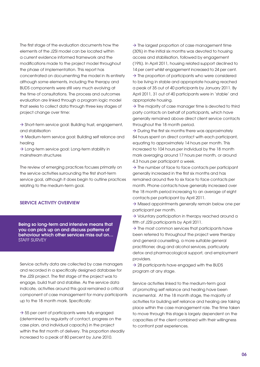The first stage of the evaluation documents how the elements of the J2SI model can be located within a current evidence informed framework and the modifications made to the project model throughout the phase of implementation. This report has concentrated on documenting the model in its entirety although some elements, including the therapy and BUDS components were still very much evolving at the time of consultations. The process and outcomes evaluation are linked through a program logic model that seeks to collect data through three key stages of project change over time:

 $\rightarrow$  Short-term service goal: Building trust, engagement, and stabilisation

 $\rightarrow$  Medium-term service goal: Building self reliance and healing

 $\rightarrow$  Long-term service goal: Long-term stability in mainstream structures

The review of emerging practices focuses primarily on the service activities surrounding the first short-term service goal, although it does begin to outline practices relating to the medium-term goal.

# Service activity overview

Being so long-term and intensive means that you can pick up on and discuss patterns of behaviour which other services miss out on… STAFF SURVEY

Service activity data are collected by case managers and recorded in a specifically designed database for the J2SI project. The first stage of the project was to engage, build trust and stabilise. As the service data indicate, activities around this goal remained a critical component of case management for many participants up to the 18 month mark. Specifically:

 $\rightarrow$  55 per cent of participants were fully engaged (determined by regularity of contact, progress on the case plan, and individual capacity) in the project within the first month of delivery. This proportion steadily increased to a peak of 80 percent by June 2010.

 $\rightarrow$  The largest proportion of case management time (30%) in the initial six months was devoted to housing access and stabilisation, followed by engagement (19%). In April 2011, housing related support declined to 14 per cent whilst engagement increased to 24 per cent.  $\rightarrow$  The proportion of participants who were considered to be living in stable and appropriate housing reached a peak of 35 out of 40 participants by January 2011. By April 2011, 31 out of 40 participants were in 'stable' and appropriate housing.

 $\rightarrow$  The majority of case manager time is devoted to third party contacts on behalf of participants, which have generally remained above direct client service contacts throughout the 18 month period.

 $\rightarrow$  During the first six months there was approximately 84 hours spent on direct contact with each participant, equating to approximately 14 hours per month. This increased to 104 hours per individual by the 18 month mark averaging around 17 hours per month, or around 4.3 hours per participant a week.

 $\rightarrow$  The number of face to face contacts per participant generally increased in the first six months and has remained around five to six face to face contacts per month. Phone contacts have generally increased over the 18 month period increasing to an average of eight contacts per participant by April 2011.

 $\rightarrow$  Missed appointments generally remain below one per participant per month.

 $\rightarrow$  Voluntary participation in therapy reached around a fifth of J2SI participants by April 2011.

 $\rightarrow$  The most common services that participants have been referred to throughout the project were therapy and general counselling, a more suitable general practitioner, drug and alcohol services, particularly detox and pharmacological support, and employment providers.

 $\rightarrow$  28 participants have engaged with the BUDS program at any stage.

Service activities linked to the medium-term goal of promoting self reliance and healing have been incremental. At the 18 month stage, the majority of activities for building self reliance and healing are taking place within the case management role. The time taken to move through this stage is largely dependent on the capacities of the client combined with their willingness to confront past experiences.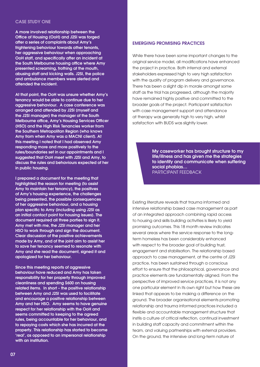# Case Study One

A more involved relationship between the Office of Housing (OoH) and J2SI was forged after a series of complaints about Amy's frightening behaviour towards other tenants, her aggressive behaviour when approaching OoH staff, and specifically after an incident at the South Melbourne housing office where Amy presented screaming, frothing at the mouth, abusing staff and kicking walls. J2SI, the police and ambulance members were alerted and attended the incident.

At that point, the OoH was unsure whether Amy's tenancy would be able to continue due to her aggressive behaviour. A case conference was arranged and attended by J2SI (myself and the J2SI manager) the manager of the South Melbourne office, Amy's Housing Services Officer (HSO) and the High Risk Tenancies worker from the Southern Metropolitan Region (who knows Amy from when Amy was a MACNI client). At this meeting I noted that I had observed Amy responding more and more positively to the rules/boundaries set in our appointments and I suggested that OoH meet with J2SI and Amy, to discuss the rules and behaviours expected of her in public housing.

I prepared a document for the meeting that highlighted the reason for meeting (to assist Amy to maintain her tenancy), the positives of Amy's housing experience, the challenges being presented, the possible consequences of her aggressive behaviour, and a housing plan specific to Amy (including using J2SI as an initial contact point for housing issues). The document required all three parties to sign it. Amy met with me, the J2SI manager and her HSO to work through and sign the document. Clear discussion of the positive achievements made by Amy, and of the joint aim to assist her to save her tenancy seemed to resonate with Amy and she read the document, signed it and apologized for her behaviour.

Since this meeting reports of aggressive behaviour have reduced and Amy has taken responsibility for her property through improved cleanliness and spending \$600 on housing related items. In short – the positive relationship between Amy and J2SI was used to facilitate and encourage a positive relationship between Amy and her HSO. Amy seems to have genuine respect for her relationship with the OoH and seems committed to keeping to the agreed rules, being accountable for her behaviour, and to repaying costs which she has incurred at the property. This relationship has started to become 'real', as opposed to an impersonal relationship with an institution.

# Emerging promising practices

While there have been some important changes to the original service model, all modifications have enhanced the project in practice. Both internal and external stakeholders expressed high to very high satisfaction with the quality of program delivery and governance. There has been a slight dip in morale amongst some staff as the trial has progressed, although the majority have remained highly positive and committed to the broader goals of the project. Participant satisfaction with case management support and attendance at therapy was generally high to very high, whilst satisfaction with BUDS was slightly lower.

> My caseworker has brought structure to my life/illness and has given me the strategies to identify and communicate when suffering social phobias… Participant feedback

Existing literature reveals that trauma informed and intensive relationship based case management as part of an integrated approach combining rapid access to housing and skills building activities is likely to yield promising outcomes. This 18 month review indicates several areas where the service response to the longterm homeless has been considerably enhanced with respect to the broader goal of building trust, engagement and stabilisation. The relationship based approach to case management, at the centre of J2SI practice, has been sustained through a conscious effort to ensure that the philosophical, governance and practice elements are fundamentally aligned. From the perspective of improved service practices, it is not any one particular element in its own right but how these are linked that appears to be making a difference on the ground. The broader organisational elements promoting relationship and trauma informed practices included a flexible and accountable management structure that instils a culture of critical reflection, continual investment in building staff capacity and commitment within the team, and valuing partnerships with external providers. On the ground, the intensive and long-term nature of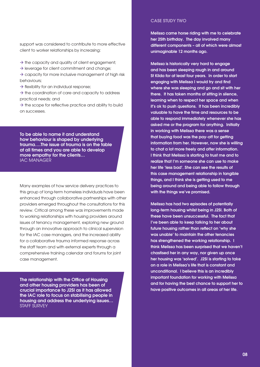support was considered to contribute to more effective client to worker relationships by increasing:

 $\rightarrow$  the capacity and quality of client engagement;

 $\rightarrow$  leverage for client commitment and change;

 $\rightarrow$  capacity for more inclusive management of high risk behaviours;

 $\rightarrow$  flexibility for an individual response;

 $\rightarrow$  the coordination of care and capacity to address practical needs; and

 $\rightarrow$  the scope for reflective practice and ability to build on successes.

To be able to name it and understand how behaviour is shaped by underlying trauma….The issue of trauma is on the table at all times and you are able to develop more empathy for the clients… IAC MANAGER

Many examples of how service delivery practices to this group of long-term homeless individuals have been enhanced through collaborative partnerships with other providers emerged throughout the consultations for this review. Critical among these was improvements made to working relationships with housing providers around issues of tenancy management, exploring new ground through an innovative approach to clinical supervision for the IAC case managers, and the increased ability for a collaborative trauma informed response across the staff team and with external experts through a comprehensive training calendar and forums for joint case management.

The relationship with the Office of Housing and other housing providers has been of crucial importance to J2SI as it has allowed the IAC role to focus on stabilising people in housing and address the underlying issues… STAFF SURVEY

### Case Study TWO

Melissa came horse riding with me to celebrate her 25th birthday. The day involved many different components – all of which were almost unimaginable 12 months ago.

Melissa is historically very hard to engage and has been sleeping rough in and around St Kilda for at least four years. In order to start engaging with Melissa I would try and find where she was sleeping and go and sit with her there. It has taken months of sitting in silence, learning when to respect her space and when it's ok to push questions. It has been incredibly valuable to have the time and resources to be able to respond immediately whenever she has asked me or the program for anything. Initially in working with Melissa there was a sense that buying food was the pay-off for getting information from her. However, now she is willing to chat a lot more freely and offer information. I think that Melissa is starting to trust me and to realize that I'm someone she can use to make her life 'less bad'. She can see the results of this case management relationship in tangible things, and I think she is getting used to me being around and being able to follow through with the things we've promised.

Melissa has had two episodes of potentially long-term housing whilst being in J2SI. Both of these have been unsuccessful. The fact that I've been able to keep talking to her about future housing rather than reflect on 'why she was unable' to maintain the other tenancies has strengthened the working relationship. I think Melissa has been surprised that we haven't chastised her in any way, nor given up once her housing was 'solved'. J2SI is starting to take on a role in Melissa's life that is constant and unconditional. I believe this is an incredibly important foundation for working with Melissa and for having the best chance to support her to have positive outcomes in all areas of her life.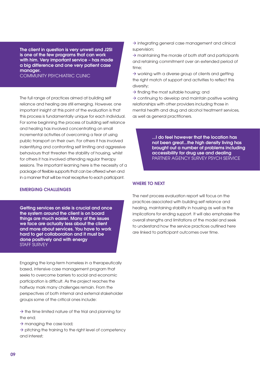The client in question is very unwell and J2SI is one of the few programs that can work with him. Very important service – has made a big difference and one very patient case manager.

Community Psychiatric Clinic

The full range of practices aimed at building self reliance and healing are still emerging. However, one important insight at this point of the evaluation is that this process is fundamentally unique for each individual. For some beginning the process of building self reliance and healing has involved concentrating on small incremental activities of overcoming a fear of using public transport on their own. For others it has involved indentifying and confronting self limiting and aggressive behaviours that threaten the stability of housing, whilst for others it has involved attending regular therapy sessions. The important learning here is the necessity of a package of flexible supports that can be offered when and in a manner that will be most receptive to each participant.

### Emerging challenges

Getting services on side is crucial and once the system around the client is on board things are much easier. Many of the issues we face are actually less about the client and more about services. You have to work hard to get collaboration and it must be done positively and with energy STAFF SURVEY

Engaging the long-term homeless in a therapeutically based, intensive case management program that seeks to overcome barriers to social and economic participation is difficult. As the project reaches the halfway mark many challenges remain. From the perspectives of both internal and external stakeholder groups some of the critical ones include:

 $\rightarrow$  the time limited nature of the trial and planning for the end;

 $\rightarrow$  managing the case load;

 $\rightarrow$  pitching the training to the right level of competency and interest;

 $\rightarrow$  integrating general case management and clinical supervision;

 $\rightarrow$  maintaining the morale of both staff and participants and retaining commitment over an extended period of time;

 $\rightarrow$  working with a diverse group of clients and getting the right match of support and activities to reflect this diversity;

 $\rightarrow$  finding the most suitable housing; and

 $\rightarrow$  continuing to develop and maintain positive working relationships with other providers including those in mental health and drug and alcohol treatment services, as well as general practitioners.

> ...I do feel however that the location has not been great...the high density living has brought out a number of problems including accessibility for drug use and dealing Partner agency survey Psych service

### Where to next

The next process evaluation report will focus on the practices associated with building self reliance and healing, maintaining stability in housing as well as the implications for ending support. It will also emphasise the overall strengths and limitations of the model and seek to understand how the service practices outlined here are linked to participant outcomes over time.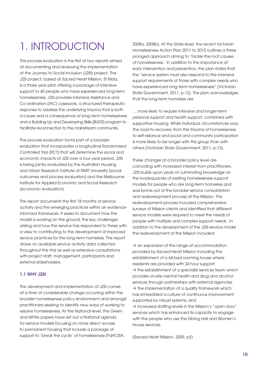# 1. Introduction

This process evaluation is the first of two reports aimed at documenting and reviewing the implementation of the Journey to Social Inclusion (J2SI) project. The J2SI project, based at Sacred Heart Mission, St Kilda, is a three year pilot offering a package of intensive support to 40 people who have experienced long-term homelessness. J2SI provides Intensive Assistance and Co-ordination (IAC) casework, a structured therapeutic response to address the underlying trauma that is both a cause and a consequence of long-term homelessness and a Building Up and Developing Skills (BUDS) program to facilitate reconnection to the mainstream community.

The process evaluation forms part of a broader evaluation that incorporates a longitudinal Randomised Controlled Trial (RCT) that will determine the social and economic impacts of J2SI over a four year period. J2SI is being jointly evaluated by the Australian Housing and Urban Research Institute at RMIT University (social outcomes and process evaluation) and the Melbourne Institute for Applied Economic and Social Research (economic evaluation).

This report documents the first 18 months of service activity and the emerging practices within an evidenceinformed framework. It seeks to document how the model is working on the ground, the key challenges arising and how the service has responded to these with a view to contributing to the development of improved service practices for the long-term homeless. The report draws on available service activity data collected throughout the trial as well as extensive consultations with project staff, management, participants and external stakeholders.

# 1.1 Why J2SI

The development and implementation of J2SI comes at a time of considerable change occurring within the broader homelessness policy environment and amongst practitioners seeking to identify new ways of working to resolve homelessness. At the National level, the Green and White papers have set out a National agenda for service models focusing on more direct access to permanent housing that include a package of support to 'break the cycle' of homelessness (FaHCSIA,

2008a, 2008b). At the State level, the recent Victorian Homelessness Action Plan 2011 to 2015 outlines a three pronged approach aiming to 'tackle the root causes of homelessness'. In addition to the importance of early intervention and prevention, the plan states that the "service system must also respond to the intensive support requirements of those with complex needs who have experienced long-term homelessness" (Victorian State Government, 2011, p.12). The plan acknowledges that the long-term homeless are

….more likely to require intensive and longer-term personal support and health support, combined with supportive housing. While individual circumstances vary, the road to recovery from the trauma of homelessness to self-reliance and social and community participation is more likely to be longer with this group than with others (Victorian State Government, 2011, p.13).

These changes at a broader policy level are coinciding with increased interest from practitioners. J2SI builds upon years of culminating knowledge on the inadequacies of existing homelessness support models for people who are long-term homeless and was borne out of the broader service consolidation and redevelopment process at the Mission. This redevelopment process included comprehensive surveys of Mission clients and identified that different service models were required to meet the needs of people with multiple and complex support needs . In addition to the development of the J2SI service model the redevelopment of the Mission included:

 $\rightarrow$  an expansion of the range of accommodation provided by Sacred Heart Mission including the establishment of a 64 bed rooming house where residents are provided with 24 hour support;  $\rightarrow$  the establishment of a specialist services team which provides on-site mental health and drug and alcohol services through partnerships with external agencies;  $\rightarrow$  the implementation of a quality framework which has embedded a culture of continuous improvement supported by robust systems; and  $\rightarrow$  increased staffing levels in the Mission's "open door" services which has enhanced its capacity to engage with the people who use the Dining Hall and Women's House services.

(Sacred Heart Mission, 2009, p3)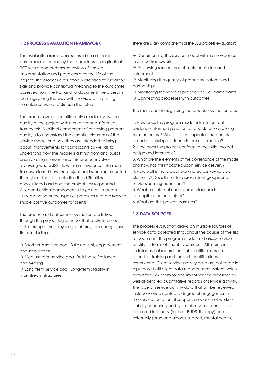# 1.2 Process evaluation framework

The evaluation framework is based on a processoutcomes methodology that combines a longitudinal RCT with a comprehensive review of service implementation and practices over the life of the project. The process evaluation is intended to run alongside and provide contextual meaning to the outcomes observed from the RCT and to document the project's learnings along the way with the view of informing homeless service practices in the future.

The process evaluation ultimately aims to review the quality of the project within an evidence-informed framework. A critical component of reviewing program quality is to understand the essential elements of the service model and how they are intended to bring about improvements for participants as well as to understand how the model is distinct from and builds upon existing interventions. This process involves reviewing where J2SI fits within an evidence-informed framework and how the project has been implemented throughout the trial, including the difficulties encountered and how the project has responded. A second critical component is to gain an in-depth understanding of the types of practices that are likely to shape positive outcomes for clients.

The process and outcomes evaluation are linked through the project logic model that seeks to collect data through three key stages of program change over time, including:

 $\rightarrow$  Short term service goal: Building trust, engagement, and stabilisation

 $\rightarrow$  Medium term service goal: Building self reliance and healing

 $\rightarrow$  Long term service goal: Long-term stability in mainstream structures

There are 5 key components of the J2SI process evaluation:

 $\rightarrow$  Documenting the service model within an evidenceinformed framework

- $\rightarrow$  Reviewing service model implementation and refinement
- $\rightarrow$  Monitoring the quality of processes, systems and partnerships
- $\rightarrow$  Monitoring the services provided to J2SI participants
- $\rightarrow$  Connecting processes with outcomes

The main questions guiding the process evaluation are:

1. How does the program model link into current evidence informed practice for people who are longterm homeless? What are the expected outcomes based on existing evidence informed practice? 2. How does the project conform to the initial project design and intentions?

3. What are the elements of the governance of the model and how has this impacted upon service delivery? 4. How well is the project working across key service elements? Does this differ across client groups and service/housing conditions?

5. What are internal and external stakeholders' perceptions of the project? 6. What are the project learnings?

# 1.3 Data sources

The process evaluation draws on multiple sources of service data collected throughout the course of the trial to document the program model and assess service quality. In terms of 'input' resources, J2SI maintains a database of records on staff qualifications and retention, training and support, qualifications and experience. Client service activity data are collected in a purpose built client data management system which allows the J2SI team to document service practices as well as detailed quantitative records of service activity. The type of service activity data that will be reviewed include service contacts, degree of engagement in the service, duration of support, allocation of workers, stability of housing and types of services clients have accessed internally (such as BUDS, therapy) and externally (drug and alcohol support, mental health).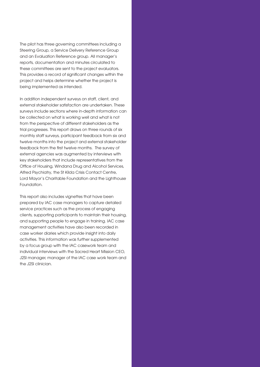The pilot has three governing committees including a Steering Group, a Service Delivery Reference Group and an Evaluation Reference group. All manager's reports, documentation and minutes circulated to these committees are sent to the project evaluators. This provides a record of significant changes within the project and helps determine whether the project is being implemented as intended.

In addition independent surveys on staff, client, and external stakeholder satisfaction are undertaken. These surveys include sections where in-depth information can be collected on what is working well and what is not from the perspective of different stakeholders as the trial progresses. This report draws on three rounds of six monthly staff surveys, participant feedback from six and twelve months into the project and external stakeholder feedback from the first twelve months. The survey of external agencies was augmented by interviews with key stakeholders that include representatives from the Office of Housing, Windana Drug and Alcohol Services, Alfred Psychiatry, the St Kilda Crisis Contact Centre, Lord Mayor's Charitable Foundation and the Lighthouse Foundation.

This report also includes vignettes that have been prepared by IAC case managers to capture detailed service practices such as the process of engaging clients, supporting participants to maintain their housing, and supporting people to engage in training. IAC case management activities have also been recorded in case worker diaries which provide insight into daily activities. This information was further supplemented by a focus group with the IAC casework team and individual interviews with the Sacred Heart Mission CEO, J2SI manager, manager of the IAC case work team and the J2SI clinician.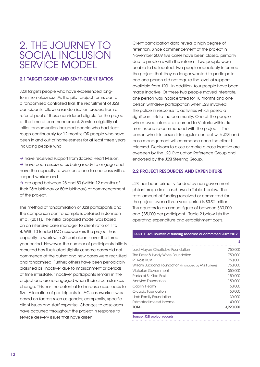# 2. The Journey to Social Inclusion Service Model

# 2.1 Target group and staff-client ratios

J2SI targets people who have experienced longterm homelessness. As the pilot project forms part of a randomised controlled trial, the recruitment of J2SI participants follows a randomisation process from a referral pool of those considered eligible for the project at the time of commencement. Service eligibility at initial randomisation included people who had slept rough continuously for 12 months OR people who have been in and out of homelessness for at least three years including people who:

 $\rightarrow$  have received support from Sacred Heart Mission;  $\rightarrow$  have been assessed as being ready to engage and have the capacity to work on a one to one basis with a support worker; and

 $\rightarrow$  are aged between 25 and 50 (within 12 months of their 25th birthday or 50th birthday) at commencement of the project.

The method of randomisation of J2SI participants and the comparison control sample is detailed in Johnson et al. (2011). The initial proposed model was based on an intensive case manager to client ratio of 1 to 4. With 10 funded IAC caseworkers the project has capacity to work with 40 participants over the three year period. However, the number of participants initially recruited has fluctuated slightly as some cases did not commence at the outset and new cases were recruited and randomised. Further, others have been periodically classified as 'inactive' due to imprisonment or periods of time interstate. 'Inactive' participants remain in the project and are re-engaged when their circumstances change. This has the potential to increase case loads to five. Allocation of participants to IAC caseworkers was based on factors such as gender, complexity, specific client issues and staff expertise. Changes to caseloads have occurred throughout the project in response to service delivery issues that have arisen.

Client participation data reveal a high degree of retention. Since commencement of the project in November 2009 five cases have been closed, primarily due to problems with the referral. Two people were unable to be located, two people repeatedly informed the project that they no longer wanted to participate and one person did not require the level of support available from J2SI. In addition, four people have been made inactive. Of these two people moved interstate, one person was incarcerated for 18 months and one person withdrew participation when J2SI involved the police in response to activities which posed a significant risk to the community. One of the people who moved interstate returned to Victoria within six months and re-commenced with the project. The person who is in prison is in regular contact with J2SI and case management will commence once the client is released. Decisions to close or make a case inactive are overseen by the J2SI Evaluation Reference Group and endorsed by the J2SI Steering Group.

# 2.2 Project resources and expenditure

J2SI has been primarily funded by non government philanthropic trusts as shown in Table 1 below. The total amount of funding received or committed for the project over a three year period is \$3.92 million. This equates to an annual figure of between \$30,000 and \$35,000 per participant. Table 2 below lists the operating expenditure and establishment costs.

### TABLE 1: J2SI sources of funding received or committed 2009-2012.

|                                                       | Ŝ         |
|-------------------------------------------------------|-----------|
| Lord Mayors Charitable Foundation                     | 750,000   |
| The Peter & Lyndy White Foundation                    | 750,000   |
| <b>RE Ross Trust</b>                                  | 750,000   |
| William Buckland Foundation (managed by ANZ Trustees) | 750,000   |
| <b>Victorian Government</b>                           | 350,000   |
| Parish of St Kilda Fast                               | 150,000   |
| Andyinc Foundation                                    | 150,000   |
| Cabrini Health                                        | 150,000   |
| Orcadia Foundation                                    | 50,000    |
| Limb Family Foundation                                | 30,000    |
| <b>Estimated Interest income</b>                      | 40,000    |
| TOTAL                                                 | 3.920.000 |

Source: J2SI project records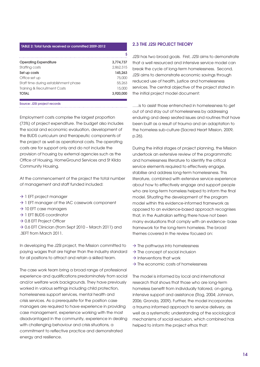| <b>Operating Expenditure</b>            | 3.774.737 |
|-----------------------------------------|-----------|
| Staffing costs                          | 2,862,315 |
| Set up costs                            | 145.263   |
| Office set up                           | 75,000    |
| Staff time during establishment phase   | 55.263    |
| <b>Training &amp; Recruitment Costs</b> | 15,000    |
| <b>TOTAL</b>                            | 3.920,000 |

Source: J2SI project records

Employment costs comprise the largest proportion (73%) of project expenditure. The budget also includes the social and economic evaluation, development of the BUDS curriculum and therapeutic components of the project as well as operational costs. The operating costs are for support only and do not include the provision of housing by external agencies such as the Office of Housing, HomeGround Services and St Kilda Community Housing.

At the commencement of the project the total number of management and staff funded included:

- $\rightarrow$  1 EFT project manager
- $\rightarrow$  1 EFT manager of the IAC casework component
- $\rightarrow$  10 EFT case managers
- $\rightarrow$  1 EFT BUDS coordinator
- $\rightarrow$  0.8 EFT Project Officer

 $\rightarrow$  0.6 EFT Clinician (from Sept 2010 – March 2011) and .3EFT from March 2011.

In developing the J2SI project, the Mission committed to paying wages that are higher than the industry standard for all positions to attract and retain a skilled team.

The case work team bring a broad range of professional experience and qualifications predominately from social and/or welfare work backgrounds. They have previously worked in various settings including child protection, homelessness support services, mental health and crisis services. As a prerequisite for the position case managers are required to have experience in providing case management, experience working with the most disadvantaged in the community, experience in dealing with challenging behaviour and crisis situations, a commitment to reflective practice and demonstrated energy and resilience.

### 2.3 The J2SI project theory

J2SI has two broad goals. First, J2SI aims to demonstrate that a well resourced and intensive service model can break the cycle of long-term homelessness. Second, J2SI aims to demonstrate economic savings through reduced use of health, justice and homelessness services. The central objective of the project stated in the initial project model document:

…..is to assist those entrenched in homelessness to get out of and stay out of homelessness by addressing enduring and deep seated issues and routines that have been built as a result of trauma and an adaptation to the homeless sub-culture (Sacred Heart Mission, 2009, p.26).

During the initial stages of project planning, the Mission undertook an extensive review of the programmatic and homelessness literature to identify the critical service elements required to effectively engage, stabilise and address long-term homelessness. This literature, combined with extensive service experience about how to effectively engage and support people who are long-term homeless helped to inform the final model. Situating the development of the program model within this evidence-informed framework as opposed to an evidence-based approach recognises that, in the Australian setting there have not been many evaluations that comply with an evidence- base framework for the long-term homeless. The broad themes covered in the review focused on:

- $\rightarrow$  The pathways into homelessness
- $\rightarrow$  The concept of social inclusion
- $\rightarrow$  Interventions that work
- $\rightarrow$  The economic costs of homelessness

The model is informed by local and international research that shows that those who are long-term homeless benefit from individually tailored, on-going, intensive support and assistance (Rog, 2004; Johnson, 2006; Gronda, 2009). Further, the model incorporates a trauma informed approach to service delivery, as well as a systematic understanding of the sociological mechanisms of social exclusion, which combined has helped to inform the project ethos that: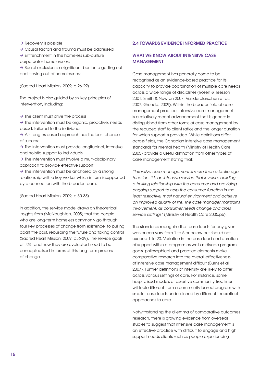$\rightarrow$  Recovery is possible

 $\rightarrow$  Causal factors and trauma must be addressed

 $\rightarrow$  Entrenchment in the homeless sub-culture

perpetuates homelessness

 $\rightarrow$  Social exclusion is a significant barrier to getting out and staying out of homelessness

(Sacred Heart Mission, 2009, p.26-29)

The project is also guided by six key principles of intervention, including:

- $\rightarrow$  The client must drive the process
- $\rightarrow$  The intervention must be organic, proactive, needs based, tailored to the individual
- $\rightarrow$  A strengths based approach has the best chance of success

 $\rightarrow$  The intervention must provide longitudinal, intensive and holistic support to individuals

 $\rightarrow$  The intervention must involve a multi-disciplinary approach to provide effective support

 $\rightarrow$  The intervention must be anchored by a strong relationship with a key worker which in turn is supported by a connection with the broader team.

(Sacred Heart Mission, 2009, p.30-33)

In addition, the service model draws on theoretical insights from (McNaughton, 2005) that the people who are long-term homeless commonly go through four key processes of change from existence, to pulling apart the past, rebuilding the future and taking control (Sacred Heart Mission, 2009, p36-39). The service goals of J2SI and how they are evaluated need to be conceptualised in terms of this long-term process of change.

### 2.4 Towards evidence informed practice

# WHAT WE KNOW ABOUT INTENSIVE CASE **MANAGEMENT**

Case management has generally come to be recognised as an evidence-based practice for its capacity to provide coordination of multiple care needs across a wide range of disciplines (Rosen & Teesson 2001; Smith & Newton 2007; Vanderplasschen et al., 2007; Gronda, 2009). Within the broader field of case management practice, intensive case management is a relatively recent advancement that is generally distinguished from other forms of case management by the reduced staff to client ratios and the longer duration for which support is provided. While definitions differ across fields, the Canadian Intensive case management standards for mental health (Ministry of Health Care 2005) provide a useful distinction from other types of case management stating that:

"Intensive case management is more than a brokerage function. It is an intensive service that involves building a trusting relationship with the consumer and providing ongoing support to help the consumer function in the least restrictive, most natural environment and achieve an improved quality of life. The case manager maintains involvement, as consumer needs change and cross service settings" (Ministry of Health Care 2005, p6).

The standards recognise that case loads for any given worker can vary from 1 to 5 or below but should not exceed 1 to 20. Variation in the case load and duration of support within a program as well as diverse program goals, philosophical and practice elements make comparative research into the overall effectiveness of intensive case management difficult (Burns et al, 2007). Further definitions of intensity are likely to differ across various settings of care. For instance, some hospitalised models of assertive community treatment will look different from a community based program with smaller case loads underpinned by different theoretical approaches to care.

Notwithstanding the dilemma of comparative outcomes research, there is growing evidence from overseas studies to suggest that intensive case management is an effective practice with difficult to engage and high support needs clients such as people experiencing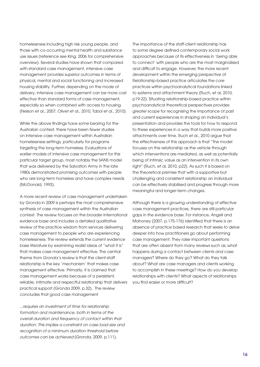homelessness including high risk young people, and those with co-occurring mental health and substance use issues (reference see King, 2006 for comprehensive overview). Several studies have shown that compared with standard case management, intensive case management provides superior outcomes in terms of physical, mental and social functioning and increased housing stability. Further, depending on the mode of delivery, intensive case management can be more cost effective than standard forms of case management, especially so when combined with access to housing (Nelson et al., 2007; Olivet et al., 2010, Tabol et al., 2010).

While the above findings have some bearing for the Australian context, there have been fewer studies on intensive case management within Australian homelessness settings, particularly for programs targeting the long-term homeless. Evaluations of earlier models of intensive case management for this particular target group, most notably the SANS model that was delivered by the Salvation Army in the late 1980s demonstrated promising outcomes with people who are long-term homeless and have complex needs (McDonald, 1993).

A more recent review of case management undertaken by Gronda in 2009 is perhaps the most comprehensive synthesis of case management within the Australian context. The review focuses on the broader international evidence base and includes a detailed qualitative review of the practice wisdom from services delivering case management to people who are experiencing homelessness. The review extends the current evidence base literature by examining realist ideas of "what it is" that makes case management effective. The central theme from Gronda's review is that the client-staff relationship is the key 'mechanism' that makes case management effective. Primarily, it is claimed that case management works because of a persistent, reliable, intimate and respectful relationship that delivers practical support (Gronda 2009, p.32). The review concludes that good case management

...requires an investment of time for relationship formation and maintenance, both in terms of the overall duration and frequency of contact within that duration. This implies a constraint on case load size and recognition of a minimum duration threshold before outcomes can be achieved (Gronda, 2009, p,111).

The importance of the staff-client relationship has to some degree defined contemporary social work approaches because of its effectiveness in 'being able to connect' with people who are the most marginalised and difficult to engage. However, the more recent development within the emerging perspective of Relationship-based practice articulates the core practices within psychoanalytical foundations linked to systems and attachment theory (Ruch, et al, 2010, p19-22). Situating relationship-based practice within psychoanalytical theoretical perspectives provides greater scope for recognising the importance of past and current experiences in shaping an individual's presentation and provides the tools for how to respond to these experiences in a way that builds more positive attachments over time. Ruch et al., 2010 argue that the effectiveness of this approach is that "the model focuses on the relationship as the vehicle through which interventions are mediated, as well as potentially being of intrinsic value as an intervention in its own right" (Ruch, et al, 2010, p22). As such it is based on the theoretical premise that with a supportive but challenging and consistent relationship an individual can be effectively stabilised and progress through more meaningful and longer-term changes.

Although there is a growing understanding of effective case management practices, there are still particular gaps in the evidence base. For instance, Angell and Mahoney (2007, p.175-176) identified that there is an absence of practice based research that seeks to delve deeper into how practitioners go about performing case management. They raise important questions that are often absent from many reviews such as;:what happens during a contact between clients and case managers? Where do they go? What do they talk about? What are case managers and clients working to accomplish in these meetings? How do you develop relationships with clients? What aspects of relationships you find easier or more difficult?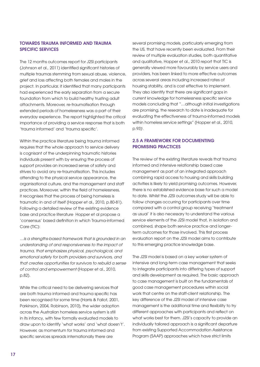# Towards trauma informed and trauma specific services

The 12 months outcomes report for J2SI participants (Johnson et al., 2011) identified significant histories of multiple traumas stemming from sexual abuse, violence, grief and loss affecting both females and males in the project. In particular, it identified that many participants had experienced the early separation from a secure foundation from which to build healthy trusting adult attachments. Moreover, re-traumatisation through extended periods of homelessness was a part of their everyday experience. The report highlighted the critical importance of providing a service response that is both 'trauma informed' and 'trauma specific'.

Within the practice literature being trauma informed requires that the whole approach to service delivery is cognisant of the underpinning traumatic histories individuals present with by ensuring the process of support provides an increased sense of safety and strives to avoid any re-traumatisation. This includes attending to the physical service appearance, the organisational culture, and the management and staff practices. Moreover, within the field of homelessness, it recognises that the process of being homeless is traumatic in and of itself (Hopper et al., 2010, p.80-81). Following a detailed review of the existing evidence base and practice literature Hopper et al propose a 'consensus' based definition in which Trauma-informed Care (TIC):

…is a strengths-based framework that is grounded in an understanding of and responsiveness to the impact of trauma, that emphasizes physical, psychological, and emotional safety for both providers and survivors, and that creates opportunities for survivors to rebuild a sense of control and empowerment (Hopper et al., 2010, p.82).

While the critical need to be delivering services that are both trauma informed and trauma specific has been recognised for some time (Harris & Fallot, 2001, Parkinson, 2004, Robinson, 2010), the wider adoption across the Australian homeless service system is still in its infancy, with few formally evaluated models to draw upon to identify 'what works' and 'what doesn't'. However, as momentum for trauma informed and specific services spreads internationally there are

several promising models, particularly emerging from the US, that have recently been evaluated. From their review of multiple evaluation studies, both quantitative and qualitative, Hopper et al., 2010 report that TIC is generally viewed more favourably by service users and providers, has been linked to more effective outcomes across several areas including increased rates of housing stability, and is cost effective to implement. They also identify that there are significant gaps in current knowledge for homelessness specific service models concluding that "…although initial investigations are promising, the research to date is inadequate for evaluating the effectiveness of trauma-informed models within homeless service settings" (Hopper et al., 2010, p.93)i .

# 2.5 A framework for documenting promising practices

The review of the existing literature reveals that trauma informed and intensive relationship based case management as part of an integrated approach combining rapid access to housing and skills building activities is likely to yield promising outcomes. However, there is no established evidence base for such a model to date. Whilst the J2SI outcomes study will be able to follow changes occurring for participants over time compared with a control group receiving 'treatment as usual' it is also necessary to understand the various service elements of the J2SI model that, in isolation and combined, shape both service practice and longerterm outcomes for those involved. This first process evaluation report on the J2SI model aims to contribute to this emerging practice knowledge base.

The J2SI model is based on a key worker system of intensive and long-term case management that seeks to integrate participants into differing types of support and skills development as required. The basic approach to case management is built on the fundamentals of good case management procedures within social work that centre on the staff-client relationship. The key difference of the J2SI model of intensive case management is the additional time and flexibility to try different approaches with participants and reflect on what works best for them. J2SI's capacity to provide an individually tailored approach is a significant departure from existing Supported Accommodation Assistance Program (SAAP) approaches which have strict limits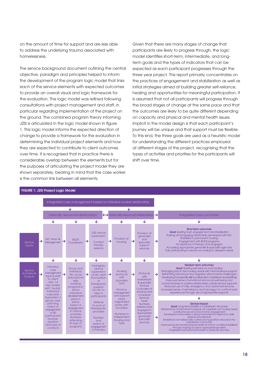on the amount of time for support and are less able to address the underlying trauma associated with homelessness.

The service background document outlining the central objective, paradigm and principles helped to inform the development of the program logic model that links each of the service elements with expected outcomes to provide an overall visual and logic framework for the evaluation. The logic model was refined following consultations with project management and staff, in particular regarding implementation of the project on the ground. The combined program theory informing J2SI is articulated in the logic model shown in figure 1. This logic model informs the expected direction of change to provide a framework for the evaluation in determining the individual project elements and how they are expected to contribute to client outcomes over time. It is recognised that in practice there is considerable overlap between the elements but for the purposes of articulating the project model they are shown separately, bearing in mind that the case worker is the common link between all elements.

Given that there are many stages of change that participants are likely to progress through, the logic model identifies short-term, intermediate, and longterm goals and the types of indicators that can be expected as each participant progresses through the three year project. This report primarily concentrates on the practices of engagement and stabilisation as well as initial strategies aimed at building greater self-reliance, healing and opportunities for meaningful participation. It is assumed that not all participants will progress through the broad stages of change at the same pace and that the outcomes are likely to be quite different depending on capacity and physical and mental health issues. Implicit in the model design is that each participant's journey will be unique and that support must be flexible. To this end, the three goals are used as a heuristic model for understanding the different practices employed at different stages of the project, recognising that the types of activities and priorities for the participants will shift over time.



### Figure 1: J2SI Project Logic Model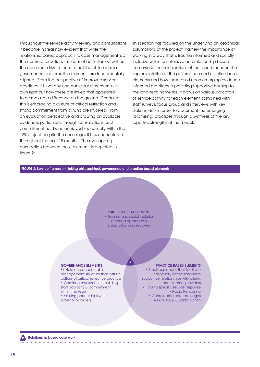Throughout the service activity review and consultations it became increasingly evident that while the relationship based approach to case management is at the centre of practice, this cannot be sustained without the conscious drive to ensure that the philosophical, governance and practice elements are fundamentally aligned. From the perspective of improved service practices, it is not any one particular dimension in its own right but how these are linked that appeared to be making a difference on the ground. Central to this is embracing a culture of critical reflection and strong commitment from all who are involved. From an evaluation perspective and drawing on available evidence, particularly through consultations, such commitment has been achieved successfully within the J2SI project despite the challenges it has encountered throughout the past 18 months. The overlapping connection between these elements is depicted in figure 2.

This section has focused on the underlying philosophical assumptions of the project, namely the importance of working in a way that is trauma informed and socially inclusive within an intensive and relationship based framework. The next sections of the report focus on the implementation of the governance and practice based elements and how these build upon emerging evidence informed practices in providing supportive housing to the long-term homeless. It draws on various indicators of service activity for each element combined with staff surveys, focus group and interviews with key stakeholders in order to document the emerging 'promising' practices through a synthesis of the key reported strengths of the model.

### FIGURE 2: Service framework linking philosophical, governance and practice based elements

#### PHILOSOPHICAL ELEMENTS

• Trauma and social inclusion informed approach to stabilisation and recovery

 $\overline{\mathsf{R}}$ 

#### GOVERNANCE ELEMENTS

Flexible and accountable management structure that instils a culture of critical reflective practice • Continual investment in building staff capacity & commitment within the team • Valuing partnerships with

external providers

### PRACTICE BASED ELEMENTS

• Small case loads that facilitate individually based long-term supportive relationships with clients and external providers • Trauma specific service response • Rapid Rehousing • Coordinated care packages

• Skills building & participation

Relationship based case work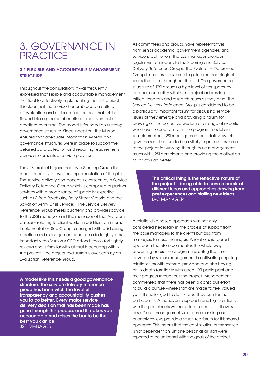# 3. Governance in **PRACTICE**

# 3.1 Flexible and accountable management **STRUCTURE**

Throughout the consultations it was frequently expressed that flexible and accountable management is critical to effectively implementing the J2SI project. It is clear that the service has embraced a culture of evaluation and critical reflection and that this has flowed into a process of continual improvement of practices over time. The model is founded on a strong governance structure. Since inception, the Mission ensured that adequate information systems and governance structures were in place to support the detailed data collection and reporting requirements across all elements of service provision.

The J2SI project is governed by a Steering Group that meets quarterly to oversee implementation of the pilot. The service delivery component is overseen by a Service Delivery Reference Group which is comprised of partner services with a broad range of specialist expertise such as Alfred Psychiatry, Berry Street Victoria and the Salvation Army Crisis Services. The Service Delivery Reference Group meets quarterly and provides advice to the J2SI manager and the manager of the IAC team on issues relating to client work. In addition, an internal Implementation Sub Group is charged with addressing practice and management issues on a fortnightly basis. Importantly the Mission's CEO attends these fortnightly reviews and is familiar with all that is occurring within the project. The project evaluation is overseen by an Evaluation Reference Group.

A model like this needs a good governance structure. The service delivery reference group has been vital. The level of transparency and accountability pushes you to do better. Every major service delivery decision that has been made has gone through this process and it makes you accountable and raises the bar to be the best you can be. J2SI MANAGER

All committees and groups have representatives from senior academia, government agencies, and service practitioners. The J2SI manager provides regular written reports to the Steering and Service Delivery Reference Groups. The Evaluation Reference Group is used as a resource to guide methodological issues that arise throughout the trial. The governance structure of J2SI ensures a high level of transparency and accountability within the project addressing critical program and research issues as they arise. The Service Delivery Reference Group is considered to be a particularly important forum for discussing service issues as they emerge and providing a forum for drawing on the collective wisdom of a range of experts who have helped to inform the program model as it is implemented. J2SI management and staff view this governance structure to be a vitally important resource to the project for working through case management issues with J2SI participants and providing the motivation to 'always do better'

> The critical thing is the reflective nature of the project – being able to have a crack at different ideas and approaches drawing from past experiences and trialling new ideas IAC MANAGER

A relationship based approach was not only considered necessary in the process of support from the case managers to the clients but also from managers to case managers. A relationship based approach therefore permeates the whole way of working across the program including the time devoted by senior management in cultivating ongoing relationships with external providers and also having an in-depth familiarity with each J2SI participant and their progress throughout the project. Management commented that there has been a conscious effort to build a culture where staff are made to feel valued yet still challenged to do the best they can for the participants. A 'hands on' approach and high familiarity with the participants was reported to occur at all levels of staff and management. Joint case planning and quarterly reviews provide a structured forum for this shared approach. This means that the continuation of the service is not dependent on just one person as all staff were reported to be on board with the goals of the project.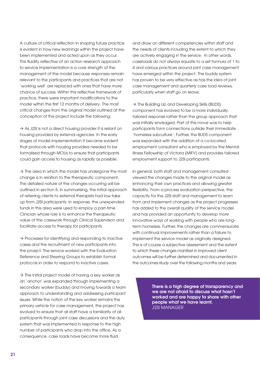A culture of critical reflection in shaping future practice is evident in how new learnings within the project have been implemented and acted upon as they occur. This fluidity reflective of an action research approach to service implementation is a core strength of the management of the model because responses remain relevant to the participants and practices that are not 'working well' are replaced with ones that have more chance of success. Within this reflective framework of practice, there were important modifications to the model within the first 12 months of delivery. The most critical changes from the original model outlined at the conception of the project include the following:

 $\rightarrow$  As J2SI is not a direct housing provider it is reliant on housing provided by external agencies. In the early stages of model implementation it became evident that protocols with housing providers needed to be formalised through MOUs to ensure that participants could gain access to housing as rapidly as possible.

 $\rightarrow$  The area in which the model has undergone the most change is in relation to the therapeutic component. The detailed nature of the changes occurring will be outlined in section 5. In summarising, the initial approach of referring clients to external therapists had low take up from J2SI participants. In response, the unexpended funds in this area were used to employ a part-time Clinician whose role is to enhance the therapeutic value of the casework through Clinical Supervision and facilitate access to therapy for participants.

 $\rightarrow$  Processes for identifying and responding to inactive cases and the recruitment of new participants into the proejct. The service worked with the Evaluation Reference and Steering Groups to establish formal protocols in order to respond to inactive cases.

 $\rightarrow$  The initial project model of having a key worker as an 'anchor' was expanded through implementing a secondary worker (buddy) and moving towards a team approach to understanding and addressing participant issues. While the notion of the key worker remains the primary vehicle for case management, the project has evolved to ensure that all staff have a familiarity of all participants through joint case discussions and the duty system that was implemented in response to the high number of participants who drop into the office. As a consequence, case loads have become more fluid

and draw on different competencies within staff and the needs of clients including the extent to which they are actively engaging in the service. In other words, caseloads do not always equate to a set formula of 1 to 4 and various practices around joint case management have emerged within the project. The buddy system has proven to be very effective as has the idea of joint case management and quarterly case load reviews, particularly when staff go on leave.

 $\rightarrow$  The Building Up and Developing Skills (BUDS) component has evolved to be a more individually tailored response rather than the group approach that was initially envisaged. Part of this move was to help participants form connections outside their immediate 'homeless subculture'. Further, the BUDS component was expanded with the addition of a co-located employment consultant who is employed by the Mental Illness Fellowship of Victoria (MIFV) and provides tailored employment support to J2SI participants.

In general, both staff and management consulted viewed the changes made to the original model as enhancing their own practices and allowing greater flexibility. From a process evaluation perspective, the capacity for the J2SI staff and management to learn from and implement changes as the project progresses has added to the overall quality of the service model and has provided an opportunity to develop more innovative ways of working with people who are longterm homeless. Further, the changes are commensurate with continual improvements rather than a failure to implement the service model as originally designed. This is of course a subjective assessment and the extent to which these changes manifest in improved client outcomes will be further determined and documented in the outcomes study over the following months and years.

> There is a high degree of transparency and we are not afraid to discuss what hasn't worked and are happy to share with other people what we have learnt. J2SI MANAGER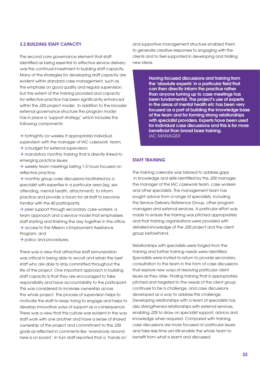### 3.2 Building staff capacity

The second core governance element that staff identified as being essential to effective service delivery was the continual investment in building staff capacity. Many of the strategies for developing staff capacity are evident within standard case management, such as the emphasis on good quality and regular supervision, but the extent of the training provided and capacity for reflective practice has been significantly enhanced within the J2SI project model. In addition to the broader external governance structure the program model has in place a 'support strategy' which includes the following components:

 $\rightarrow$  fortnightly (or weekly if appropriate) individual supervision with the manager of IAC casework team;

 $\rightarrow$  a budget for external supervision;

 $\rightarrow$  mandatory monthly training that is directly linked to emerging practice issues;

 $\rightarrow$  weekly team meetings lasting 1.5 hours focused on reflective practice;

 $\rightarrow$  monthly group case discussions facilitated by a specialist with expertise in a particular area (eg. sex offending, mental health, attachment) to inform practice and provide a forum for all staff to become familiar with the 40 participants;

 $\rightarrow$  peer support through secondary case workers, a team approach and a service model that emphasises staff starting and finishing the day together in the office;  $\rightarrow$  access to the Mission's Employment Assistance Program; and

 $\rightarrow$  policy and procedures.

There was a view that attractive staff remuneration was critical in being able to recruit and retain the best staff who are able to stay committed throughout the life of the project. One important approach in building staff capacity is that they are encouraged to take responsibility and have accountability to the participant. This was considered to increase ownership across the whole project. The process of supervision helps to motivate the staff to keep trying to engage and helps to develop innovative ways of support as a consequence. There was a view that this culture was evident in the way staff work with one another and have a sense of shared ownership of the project and commitment to the J2SI goals as reflected in comments like 'everybody around here is on board'. In turn staff reported that a 'hands on'

and supportive management structure enabled them to generate creative responses to engaging with the clients and to feel supported in developing and trialling new ideas.

> Having focused discussions and training from the 'absolute experts' in a particular field that can then directly inform the practice rather than anyone turning up to case meetings has been fundamental. The project's use of experts in the areas of mental health etc has been very focused as a part of building the knowledge base of the team and for forming strong relationships with specialist providers. Experts have been used for individual case discussions and this is far more beneficial than broad base training. IAC MANAGER

### STAFF TRAINING

The training calendar was tailored to address gaps in knowledge and skills identified by the J2SI manager, the manager of the IAC casework team, case workers and other specialists. The management team has sought advice from a range of specialists, including the Service Delivery Reference Group, other program managers and external services. A particular effort was made to ensure the training was pitched appropriately and that training organisations were provided with detailed knowledge of the J2SI project and the client group beforehand.

Relationships with specialists were forged from the training and further training needs were identified. Specialists were invited to return to provide secondary consultation to the team in the form of case discussions that explore new ways of resolving particular client issues as they arise. Finding training that is appropriately pitched and targeted to the needs of the client group continues to be a challenge, and case discussions developed as a way to address this challenge. Developing relationships with a team of specialists has also strengthened relationships with external services, enabling J2SI to draw on specialist support, advice and knowledge when required. Compared with training, case discussions are more focused on particular issues and take less time yet still enable the whole team to benefit from what is learnt and discussed.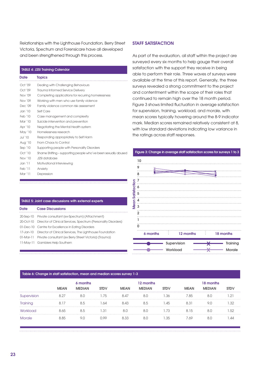Relationships with the Lighthouse Foundation, Berry Street Victoria, Spectrum and Forensicare have all developed and been strengthened through this process.

### TABLE 4: J2SI Training Calendar

#### **Date Topics**

| Oct '09   | Dealing with Challenging Behaviours                            |
|-----------|----------------------------------------------------------------|
| Oct '09   | Trauma Informed Service Delivery                               |
| Nov '09   | Completing applications for recurring homelessness             |
| Nov '09   | Working with men who use family violence                       |
| Dec '09   | Family violence common risk assessment                         |
| Jan `10   | Self Care                                                      |
| Feb '10   | Case management and complexity                                 |
| Mar $'10$ | Suicide intervention and prevention                            |
| Apr '10   | Negotiating the Mental Health system                           |
| May '10   | Homelessness research                                          |
| Jul `10   | Responding appropriately to Self Harm                          |
| Aug '10   | From Chaos to Control                                          |
| Sep '10   | Supporting people with Personality Disorders                   |
| Oct'10    | Shame Shiffing - supporting people who've been sexually abused |
| Nov '10   | J2SI database                                                  |
| Jan `11   | Motivational Interviewing                                      |
| Feb '11   | Anxiety                                                        |
| Mar $'11$ | Depression                                                     |
|           |                                                                |

| <b>TABLE 5: Joint case discussions with external experts</b> |                                                                    |  |  |  |  |
|--------------------------------------------------------------|--------------------------------------------------------------------|--|--|--|--|
| Date                                                         | <b>Case Discussions</b>                                            |  |  |  |  |
|                                                              | 20-Sep-10 Private consultant (ex-Spectrum) (Attachment)            |  |  |  |  |
| 20-Oct-10                                                    | Director of Clinical Services, Spectrum (Personality Disorders)    |  |  |  |  |
|                                                              | 01-Dec-10 Centre for Excellence in Eating Disorders                |  |  |  |  |
|                                                              | 17-Jan-10 Director of Clinical Services, The Lighthouse Foundation |  |  |  |  |
|                                                              | 01-Mar-11 Private consultant (ex Berry Street Victoria) (Trauma)   |  |  |  |  |
|                                                              | 11-May-11 Gamblers Help Southern                                   |  |  |  |  |

### **STAFF SATISFACTION**

As part of the evaluation, all staff within the project are surveyed every six months to help gauge their overall satisfaction with the support they receive in being able to perform their role. Three waves of surveys were available at the time of this report. Generally, the three surveys revealed a strong commitment to the project and contentment within the scope of their roles that continued to remain high over the 18 month period. Figure 3 shows limited fluctuation in average satisfaction for supervision, training, workload, and morale, with mean scores typically hovering around the 8-9 indicator mark. Median scores remained relatively consistent at 8, with low standard deviations indicating low variance in the ratings across staff responses.



### Table 6: Change in staff satisfaction, mean and median scores survey 1-3

|             | 6 months    |               |             |             | 12 months     |             |             | 18 months     |             |  |
|-------------|-------------|---------------|-------------|-------------|---------------|-------------|-------------|---------------|-------------|--|
|             | <b>MEAN</b> | <b>MEDIAN</b> | <b>STDV</b> | <b>MEAN</b> | <b>MEDIAN</b> | <b>STDV</b> | <b>MEAN</b> | <b>MEDIAN</b> | <b>STDV</b> |  |
| Supervision | 8.27        | 8.0           | .75         | 8.47        | 8.0           | .36         | 7.85        | 8.0           | .21         |  |
| Training    | 8.17        | 8.5           | .64         | 8.43        | 8.5           | .45         | 8.31        | 9.0           | $\sim$ 32   |  |
| Workload    | 8.65        | 8.5           | .31         | 8.0         | 8.0           | 1.73        | 8.15        | 8.0           | .52         |  |
| Morale      | 8.85        | 9.0           | N 99        | 8.33        | 8.0           | 1.35        | 7.69        | 8.0           | ΔΔ          |  |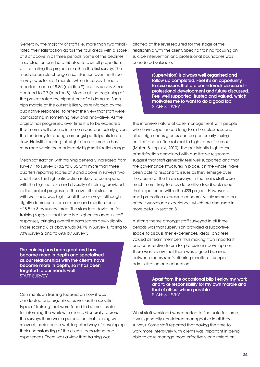Generally, the majority of staff (i.e. more than two thirds) rated their satisfaction across the four areas with a score of 8 or above in all three periods. Some of the declines in satisfaction can be attributed to a small proportion of staff rating the project as a 10 in the first survey. The most discernible change in satisfaction over the three surveys was for staff morale, which in survey 1 had a reported mean of 8.85 (median 9) and by survey 3 had declined to 7.7 (median 8). Morale at the beginning of the project rated the highest out of all domains. Such high morale at the outset is likely, as reinforced by the qualitative responses, to reflect the view that staff were participating in something new and innovative. As the project has progressed over time it is to be expected that morale will decline in some areas, particularly given the tendency for change amongst participants to be slow. Notwithstanding this slight decline, morale has remained within the moderately high satisfaction range.

Mean satisfaction with training generally increased from survey 1 to survey 3 (8.2 to 8.3), with more than three quarters reporting scores of 8 and above in surveys two and three. This high satisfaction is likely to correspond with the high up take and diversity of training provided as the project progressed. The overall satisfaction with workload was high for all three surveys, although slightly decreased from a mean and median score of 8.5 to 8 by survey three. The standard deviation for training suggests that there is a higher variance in staff responses, bringing overall means scores down slightly. Those scoring 8 or above was 84.7% in Survey 1, falling to 73% survey 2 and to 69% by Survey 3.

The training has been great and has become more in depth and specialised as our relationships with the clients have become more in depth, so it has been targeted to our needs well STAFF SURVEY

Comments on training focused on how it was conducted and organised as well as the specific types of training that were found to be most useful for informing the work with clients. Generally, across the surveys there was a perception that training was relevant, useful and a well targeted way of developing their understanding of the clients' behaviours and experiences. There was a view that training was

pitched at the level required for the stage of the relationship with the client. Specific training focusing on suicide intervention and professional boundaries was considered valuable.

> [Supervision] is always well organised and follow up completed. Feel it's an opportunity to raise issues that are considered/ discussed – professional development and future discussed. Feel well supported, trusted and valued, which motivates me to want to do a good job. STAFF SURVEY

The intensive nature of case management with people who have experienced long-term homelessness and other high needs groups can be particularly taxing on staff and is often subject to high rates of burnout (Mullen & Leginski, 2010). The persistently high rates of satisfaction combined with qualitative responses suggest that staff generally feel well supported and that the governance structures in place, on the whole, have been able to respond to issues as they emerge over the course of the three surveys. In the main, staff were much more likely to provide positive feedback about their experience within the J2SI project. However, a small proportion expressed concerns within some areas of their workplace experience, which are discussed in more detail in section 8.

A strong theme amongst staff surveyed in all three periods was that supervision provided a supportive space to discuss their experiences, ideas, and feel valued as team members thus making it an important and constructive forum for professional development. There was a view that there was a good balance between supervision's differing functions – support, administration and education.

> Apart from the occasional blip I enjoy my work and take responsibility for my own morale and that of others where possible STAFF SURVEY

Whilst staff workload was reported to fluctuate for some, it was generally considered manageable in all three surveys. Some staff reported that having the time to work more intensively with clients was important in being able to case manage more effectively and reflect on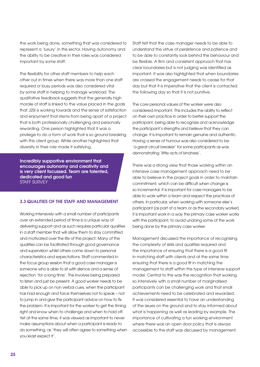the work being done, something that was considered to represent a 'luxury' in this sector. Having autonomy and the ability to be creative in their roles was considered important by some staff.

The flexibility for other staff members to help each other out in times when there was more than one staff required or busy periods was also considered vital by some staff in helping to manage workload. The qualitative feedback suggests that the generally high morale of staff is linked to the value placed in the goals that J2SI is working towards and the sense of satisfaction and enjoyment that stems from being apart of a project that is both professionally challenging and personally rewarding. One person highlighted that it was a privilege to do a form of work that is so ground breaking with this client group. While another highlighted that diversity in their role made it satisfying.

Incredibly supportive environment that encourages autonomy and creativity and is very client focussed. Team are talented, dedicated and good fun STAFF SURVEY

### 3.3 Qualities of the staff and management

Working intensively with a small number of participants over an extended period of time is a unique way of delivering support and as such requires particular qualities in a staff member that will allow them to stay committed and motivated over the life of the project. Many of the qualities can be facilitated through good governance and supervision whilst others come down to personal characteristics and expectations. Staff commented in the focus group session that a good case manager is someone who is able to sit with silence and a sense of rejection 'for a long time'. This involves being prepared to listen and just be present. A good worker needs to be able to pick up on non verbal cues, when the participant has had enough and force themselves not to speak – not to jump in and give the participant advice on how to fix the problem. It is important for the worker to get the timing right and know when to challenge and when to hold off. Yet at the same time, it was viewed as important to never make assumptions about when a participant is ready to do something, as 'they will often agree to something when you least expect it'.

Staff felt that the case manager needs to be able to understand the virtue of persistence and patience and to be able to constantly look behind the behaviour and be flexible. A firm and consistent approach that has clear boundaries but is not judging was identified as important. It was also highlighted that when boundaries are crossed the engagement needs to cease for that day but that it is imperative that the client is contacted the following day so that it is not punitive.

The core personal values of the worker were also considered important. This includes the ability to reflect on their own practice in order to better support the participant, being able to recognize and acknowledge the participant's strengths and believe that they can change. It is important to remain genuine and authentic. Having a sense of humour was also considered to be 'a great circuit breaker' for some participants as was demonstrating 'little acts of kindness'.

There was a strong view that those working within an intensive case management approach need to be able to believe in the project goals in order to maintain commitment, which can be difficult when change is so incremental. It is important for case managers to be able to work within a team and respect the practices of others. In particular, when working with someone else's participant (as part of a team or as the secondary worker) it is important work in a way the primary case worker works with the participant, to avoid undoing some of the work being done by the primary case worker.

Management discussed the importance of recognising the complexity of skills and qualities required and the importance of ensuring that there is a good fit in matching staff with clients and at the same time ensuring that there is a good fit in matching the management to staff within this type of intensive support model. Central to this was the recognition that working so intensively with a small number of marginalised participants can be challenging work and that small achievements need to be celebrated and rewarded. It was considered essential to have an understanding of the issues on the ground and to stay informed about what is happening as well as leading by example. The importance of cultivating a fun working environment where there was an open door policy that is always accessible to the staff was discussed by management.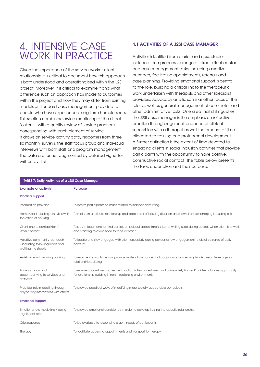# 4. Intensive case WORK IN PRACTICF

Given the importance of the service-worker-client relationship it is critical to document how this approach is both understood and operationalised within the J2SI project. Moreover, it is critical to examine if and what difference such an approach has made to outcomes within the project and how they may differ from existing models of standard case management provided to people who have experienced long-term homelessness. This section combines service monitoring of the direct 'outputs' with a quality review of service practices corresponding with each element of service. It draws on service activity data, responses from three six monthly surveys, the staff focus group and individual interviews with both staff and program management. The data are further augmented by detailed vignettes written by staff.

# 4.1 Activities of a J2SI case manager

Activities identified from diaries and case studies include a comprehensive range of direct client contact and case management tasks, including assertive outreach, facilitating appointments, referrals and case planning. Providing emotional support is central to the role, building a critical link to the therapeutic work undertaken with therapists and other specialist providers. Advocacy and liaison is another focus of the role, as well as general management of case notes and other administrative tasks. One area that distinguishes the J2SI case manager is the emphasis on reflective practice through regular attendance of clinical supervision with a therapist as well the amount of time allocated to training and professional development. A further distinction is the extent of time devoted to engaging clients in social inclusion activities that provide participants with the opportunity to have positive, constructive social contact. The table below presents the tasks undertaken and their purpose.

| TABLE 7: Daily Activities of a J2SI Case Manager                                       |                                                                                                                                                                              |  |  |  |  |
|----------------------------------------------------------------------------------------|------------------------------------------------------------------------------------------------------------------------------------------------------------------------------|--|--|--|--|
| <b>Example of activity</b>                                                             | <b>Purpose</b>                                                                                                                                                               |  |  |  |  |
| <b>Practical support</b>                                                               |                                                                                                                                                                              |  |  |  |  |
| Information provision                                                                  | To inform participants on issues related to independent living.                                                                                                              |  |  |  |  |
| Home visits including joint visits with<br>the office of housing                       | To maintain and build relationship and keep track of housing situation and how client is managing including bills.                                                           |  |  |  |  |
| Client phone contact/text/<br>letter contact                                           | To stay in touch and remind participants about appointments. Letter writing used during periods when client is unwell<br>and wanting to avoid face to face contact.          |  |  |  |  |
| Assertive community outreach<br>- including following leads and<br>walking the streets | To locate and stay engaged with client especially during periods of low engagement to obtain a sense of daily<br>patterns.                                                   |  |  |  |  |
| Assistance with moving housing                                                         | To reduce stress of transition, provide material assistance and opportunity for meaningful discussion Leverage for<br>relationship building.                                 |  |  |  |  |
| Transportation and<br>accompanying to services and<br>activities                       | To ensure appointments attended and activities undertaken and arrive safely home. Provides valuable opportunity<br>for relationship building in non threatening environment. |  |  |  |  |
| Practical role modelling through<br>day to day interactions with others                | To provide practical ways of modifying more socially acceptable behaviours.                                                                                                  |  |  |  |  |
| <b>Emotional Support</b>                                                               |                                                                                                                                                                              |  |  |  |  |
| Emotional role modelling / being<br>'significant other'                                | To provide emotional consistency in order to develop trusting therapeutic relationship.                                                                                      |  |  |  |  |
| Crisis response                                                                        | To be available to respond to urgent needs of participants.                                                                                                                  |  |  |  |  |
| Therapy                                                                                | To facilitate access to appointments and transport to therapy.                                                                                                               |  |  |  |  |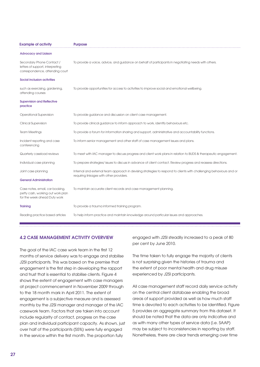| <b>Example of activity</b>                                                                           | <b>Purpose</b>                                                                                                                                                  |  |  |  |
|------------------------------------------------------------------------------------------------------|-----------------------------------------------------------------------------------------------------------------------------------------------------------------|--|--|--|
| <b>Advocacy and Liaison</b>                                                                          |                                                                                                                                                                 |  |  |  |
| Secondary Phone Contact /<br>letters of support, interpreting<br>correspondence, attending court     | To provide a voice, advice, and guidance on behalf of participants in negotiating needs with others.                                                            |  |  |  |
| Social inclusion activities                                                                          |                                                                                                                                                                 |  |  |  |
| such as exercising, gardening,<br>attending courses                                                  | To provide opportunities for access to activities to improve social and emotional wellbeing.                                                                    |  |  |  |
| <b>Supervision and Reflective</b><br>practice                                                        |                                                                                                                                                                 |  |  |  |
| Operational Supervision                                                                              | To provide guidance and discussion on client case management.                                                                                                   |  |  |  |
| Clinical Supervision                                                                                 | To provide clinical guidance to inform approach to work, identify behaviours etc.                                                                               |  |  |  |
| <b>Team Meetings</b>                                                                                 | To provide a forum for information sharing and support, administrative and accountability functions.                                                            |  |  |  |
| Incident reporting and case<br>conferencing                                                          | To inform senior management and other staff of case management issues and plans.                                                                                |  |  |  |
| Quarterly caseload reviews                                                                           | To meet with IAC manager to discuss progress and client work plans in relation to BUDS & therapeutic engagement.                                                |  |  |  |
| Individual case planning                                                                             | To prepare strategies/ issues to discuss in advance of client contact. Review progress and reassess directions.                                                 |  |  |  |
| Joint case planning                                                                                  | Internal and external team approach in devising strategies to respond to clients with challenging behaviours and or<br>requiring linkages with other providers. |  |  |  |
| <b>General Administration</b>                                                                        |                                                                                                                                                                 |  |  |  |
| Case notes, email, car booking,<br>petty cash, working out work plan<br>for the week ahead Duty work | To maintain accurate client records and case management planning.                                                                                               |  |  |  |
| <b>Training</b>                                                                                      | To provide a trauma informed training program.                                                                                                                  |  |  |  |
| Reading practice based articles                                                                      | To help inform practice and maintain knowledge around particular issues and approaches.                                                                         |  |  |  |

# 4.2 Case management activity overview

The goal of the IAC case work team in the first 12 months of service delivery was to engage and stabilise J2SI participants. This was based on the premise that engagement is the first step in developing the rapport and trust that is essential to stabilise clients. Figure 4 shows the extent of engagement with case managers at project commencement in November 2009 through to the 18 month mark in April 2011. The extent of engagement is a subjective measure and is assessed monthly by the J2SI manager and manager of the IAC casework team. Factors that are taken into account include regularity of contact, progress on the case plan and individual participant capacity. As shown, just over half of the participants (55%) were fully engaged in the service within the first month. The proportion fully

engaged with J2SI steadily increased to a peak of 80 per cent by June 2010.

The time taken to fully engage the majority of clients is not surprising given the histories of trauma and the extent of poor mental health and drug misuse experienced by J2SI participants.

All case management staff record daily service activity on the central client database enabling the broad areas of support provided as well as how much staff time is devoted to each activities to be identified. Figure 5 provides an aggregate summary from this dataset. It should be noted that the data are only indicative and as with many other types of service data (i.e. SAAP) may be subject to inconsistencies in reporting by staff. Nonetheless, there are clear trends emerging over time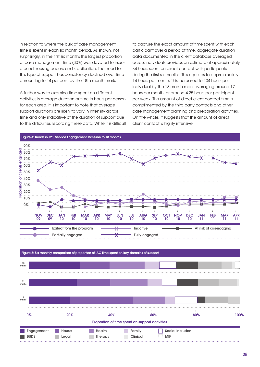in relation to where the bulk of case management time is spent in each six month period. As shown, not surprisingly, in the first six months the largest proportion of case management time (30%) was devoted to issues around housing access and stabilisation. The need for this type of support has consistency declined over time amounting to 14 per cent by the 18th month mark.

A further way to examine time spent on different activities is average duration of time in hours per person for each area. It is important to note that average support durations are likely to vary in intensity across time and only indicative of the duration of support due to the difficulties recording these data. While it is difficult to capture the exact amount of time spent with each participant over a period of time, aggregate duration data documented in the client database averaged across individuals provides an estimate of approximately 84 hours spent on direct contact with participants during the first six months. This equates to approximately 14 hours per month. This increased to 104 hours per individual by the 18 month mark averaging around 17 hours per month, or around 4.25 hours per participant per week. This amount of direct client contact time is complimented by the third party contacts and other case management planning and preparation activities. On the whole, it suggests that the amount of direct client contact is highly intensive.

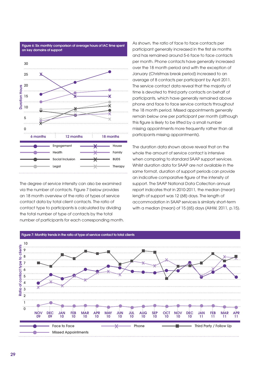

Figure 6: Six monthly comparison of average hours of IAC time spent

The degree of service intensity can also be examined via the number of contacts. Figure 7 below provides an 18 month overview of the ratio of types of service contact data by total client contacts. The ratio of contact type to participants is calculated by dividing the total number of type of contacts by the total number of participants for each corresponding month. As shown, the ratio of face to face contacts per participant generally increased in the first six months and has remained around 5-6 face to face contacts per month. Phone contacts have generally increased over the 18 month period and with the exception of January (Christmas break period) increased to an average of 8 contacts per participant by April 2011. The service contact data reveal that the majority of time is devoted to third party contacts on behalf of participants, which have generally remained above phone and face to face service contacts throughout the 18 month period. Missed appointments generally remain below one per participant per month (although this figure is likely to be lifted by a small number missing appointments more frequently rather than all participants missing appointments).

The duration data shown above reveal that on the whole the amount of service contact is intensive when comparing to standard SAAP support services. Whilst duration data for SAAP are not available in the same format, duration of support periods can provide an indicative comparative figure of the intensity of support. The SAAP National Data Collection annual report indicates that in 2010-2011, the median (mean) length of support was 12 (68) days. The length of accommodation in SAAP services is similarly short-term with a median (mean) of 15 (65) days (AIHW, 2011, p.15).

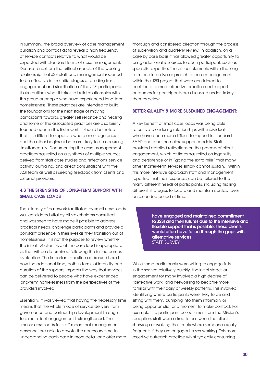In summary, the broad overview of case management duration and contact data reveal a high frequency of service contacts relative to what would be expected with standard forms of case management. Discussed next are the critical aspects of the working relationship that J2SI staff and management reported to be effective in the initial stages of building trust, engagement and stabilisation of the J2SI participants. It also outlines what it takes to build relationships with this group of people who have experienced long-term homelessness. These practices are intended to build the foundations for the next stage of moving participants towards greater self reliance and healing and some of the associated practices are also briefly touched upon in this first report. It should be noted that it is difficult to separate where one stage ends and the other begins as both are likely to be occurring simultaneously. Documenting the case management practices has relied on a synthesis of multiple sources derived from staff case studies and reflections, service activity journaling, and direct consultations with the J2SI team as well as seeking feedback from clients and external providers.

# 4.3 The strengths of long-term support with small case loads

The intensity of casework facilitated by small case loads was considered vital by all stakeholders consulted and was seen to have made it possible to address practical needs, challenge participants and provide a constant presence in their lives as they transition out of homelessness. It is not the purpose to review whether the initial 1:4 client size of the case load is appropriate as that will be determined following the full outcomes evaluation. The important question addressed here is how the additional time, both in terms of intensity and duration of the support, impacts the way that services can be delivered to people who have experienced long-term homelessness from the perspectives of the providers involved.

Essentially, it was viewed that having the necessary time means that the whole mode of service delivery from governance and partnership development through to direct client engagement is strengthened. The smaller case loads for staff mean that management personnel are able to devote the necessary time to understanding each case in more detail and offer more

thorough and considered direction through the process of supervision and quarterly review. In addition, on a case by case basis it has allowed greater opportunity to bring additional resources to each participant, such as specialist expertise. The critical elements within the longterm and intensive approach to case management within the J2SI project that were considered to contribute to more effective practice and support outcomes for participants are discussed under six key themes below.

### Better quality & more sustained engagement:

A key benefit of small case loads was being able to cultivate enduring relationships with individuals who have been more difficult to support in standard SAAP and other homeless support models. Staff provided detailed reflections on the process of client engagement, which at times has relied on ingenuity and persistence or in "going the extra mile" that many other shorter-term services simply cannot sustain. Within this more intensive approach staff and management reported that their responses can be tailored to the many different needs of participants, including trialling different strategies to locate and maintain contact over an extended period of time.

> have engaged and maintained commitment to J2SI and their futures due to the intensive and flexible support that is possible. These clients would often have fallen through the gaps with alternative services STAFF SURVEY

While some participants were willing to engage fully in the service relatively quickly, the initial stages of engagement for many involved a high degree of 'detective work' and networking to become more familiar with their daily or weekly patterns. This involved identifying where participants were likely to be and sitting with them, bumping into them informally or being opportunistic for a moment to make contact. For example, if a participant collects mail from the Mission's reception, staff were asked to call when the client shows up or walking the streets where someone usually frequents if they are engaged in sex working. This more assertive outreach practice whilst typically consuming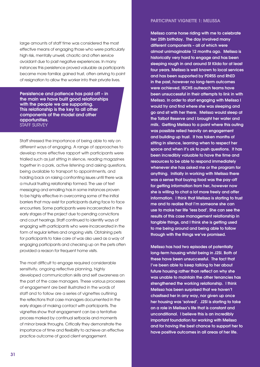large amounts of staff time was considered the most effective means of engaging those who were particularly high risk, mentally unwell, chaotic and often service avoidant due to past negative experiences. In many instances this persistence proved valuable as participants became more familiar, gained trust, often arriving to point of resignation to allow the worker into their private lives.

Persistence and patience has paid off – in the main we have built good relationships with the people we are supporting. This relationship is the key to all other components of the model and other opportunities. STAFF SURVEY

Staff stressed the importance of being able to rely on different ways of engaging. A range of approaches to develop more effective rapport with participants were trialled such as just sitting in silence, reading magazines together in a park, active listening and asking questions, being available to transport to appointments, and holding back on raising confronting issues until there was a mutual trusting relationship formed. The use of text messaging and emailing has in some instances proven to be highly effective in overcoming some of the initial barriers that may exist for participants during face to face encounters. Some participants were incarcerated in the early stages of the project due to pending convictions and court hearings. Staff continued to identify ways of engaging with participants who were incarcerated in the form of regular letters and ongoing visits. Obtaining pets for participants to take care of was also used as a way of engaging participants and checking up on the pets often provided a reason for frequent home visits.

The most difficult to engage required considerable sensitivity, ongoing reflective planning, highly developed communication skills and self awareness on the part of the case managers. These various processes of engagement are best illustrated in the words of staff and to follow are a series of vignettes outlining the reflections that case managers documented in the early stages of making contact with participants. The vignettes show that engagement can be a tentative process marked by continual setbacks and moments of minor break throughs. Critically they demonstrate the importance of time and flexibility to achieve an effective practice outcome of good client engagement.

### Participant vignette 1: Melissa

Melissa came horse riding with me to celebrate her 25th birthday. The day involved many different components – all of which were almost unimaginable 12 months ago. Melissa is historically very hard to engage and has been sleeping rough in and around St Kilda for at least four years. Melissa is well known to local services and has been supported by PDRSS and RhED in the past, however no long-term outcomes were achieved. ISCHS outreach teams have been unsuccessful in their attempts to link in with Melissa. In order to start engaging with Melissa I would try and find where she was sleeping and go and sit with her there. Melissa would sleep at the Talbot Reserve and I brought her water and milk. Getting Melissa to a point where this outing was possible relied heavily on engagement and building up trust. It has taken months of sitting in silence, learning when to respect her space and when it's ok to push questions. It has been incredibly valuable to have the time and resources to be able to respond immediately whenever she has asked me or the program for anything. Initially in working with Melissa there was a sense that buying food was the pay-off for getting information from her, however now she is willing to chat a lot more freely and offer information. I think that Melissa is starting to trust me and to realise that I'm someone she can use to make her life 'less bad'. She can see the results of this case management relationship in tangible things, and I think she is getting used to me being around and being able to follow through with the things we've promised.

Melissa has had two episodes of potentially long-term housing whilst being in J2SI. Both of these have been unsuccessful. The fact that I've been able to keep talking to her about future housing rather than reflect on why she was unable to maintain the other tenancies has strengthened the working relationship. I think Melissa has been surprised that we haven't chastised her in any way, nor given up once her housing was 'solved'. J2SI is starting to take on a role in Melissa's life that is constant and unconditional. I believe this is an incredibly important foundation for working with Melissa and for having the best chance to support her to have positive outcomes in all areas of her life.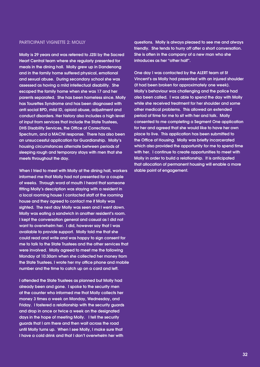### PARTICIPANT VIGNETTE 2: MOLLY

Molly is 29 years and was referred to J2SI by the Sacred Heart Central team where she regularly presented for meals in the dining hall. Molly grew up in Dandenong and in the family home suffered physical, emotional and sexual abuse. During secondary school she was assessed as having a mild intellectual disability. She escaped the family home when she was 17 and her parents separated. She has been homeless since. Molly has Tourettes Syndrome and has been diagnosed with anti social BPD, mild ID, opioid abuse, adjustment and conduct disorders. Her history also includes a high level of input from services that include the State Trustees, DHS Disability Services, the Office of Corrections, Spectrum, and a MACNI response. There has also been an unsuccessful application for Guardianship. Molly's housing circumstances alternate between periods of sleeping rough and temporary stays with men that she meets throughout the day.

When I tried to meet with Molly at the dining hall, workers informed me that Molly had not presented for a couple of weeks. Through word of mouth I heard that someone fitting Molly's description was staying with a resident in a local rooming house I contacted staff at the rooming house and they agreed to contact me if Molly was sighted. The next day Molly was seen and I went down. Molly was eating a sandwich in another resident's room. I kept the conversation general and casual as I did not want to overwhelm her. I did, however say that I was available to provide support. Molly told me that she could read and write and was happy to sign consent for me to talk to the State Trustees and the other services that were involved. Molly agreed to meet me the following Monday at 10:30am when she collected her money from the State Trustees. I wrote her my office phone and mobile number and the time to catch up on a card and left.

I attended the State Trustees as planned but Molly had already been and gone. I spoke to the security men at the counter who informed me that Molly collects her money 3 times a week on Monday, Wednesday, and Friday. I fostered a relationship with the security guards and drop in once or twice a week on the designated days in the hope of meeting Molly. I tell the security guards that I am there and then wait across the road until Molly turns up. When I see Molly, I make sure that I have a cold drink and that I don't overwhelm her with

questions. Molly is always pleased to see me and always friendly. She tends to hurry off after a short conversation. She is often in the company of a new man who she introduces as her "other half".

One day I was contacted by the ALERT team at St Vincent's as Molly had presented with an injured shoulder (it had been broken for approximately one week). Molly's behaviour was challenging and the police had also been called. I was able to spend the day with Molly while she received treatment for her shoulder and some other medical problems. This allowed an extended period of time for me to sit with her and talk. Molly consented to me completing a Segment One application for her and agreed that she would like to have her own place to live. This application has been submitted to the Office of Housing. Molly was briefly incarcerated which also provided the opportunity for me to spend time with her. I continue to create opportunities to meet with Molly in order to build a relationship. It is anticipated that allocation of permanent housing will enable a more stable point of engagement.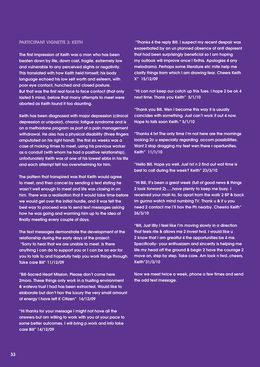### PARTICIPANT VIGNETTE 3: KEITH

The first impression of Keith was a man who has been beaten down by life, down cast, fragile, extremely low and vulnerable to any perceived slights or negativity. This translated with how Keith held himself; his body language echoed his low self worth and esteem, with poor eye contact, hunched and closed posture. But that was the first real face to face contact (that only lasted 5 mins), before that many attempts to meet were aborted as Keith found it too daunting.

Keith has been diagnosed with major depression (clinical depression or unipolar), chronic fatigue syndrome and is on a methadone program as part of a pain management withdrawal. He also has a physical disability (three fingers amputated on his right hand). The first six weeks was a case of making times to meet, using his previous worker as a conduit (with whom he had a positive relationship), unfortunately Keith was at one of his lowest ebbs in his life and each attempt felt too overwhelming for him.

The pattern that transpired was that Keith would agree to meet, and then cancel by sending a text stating he wasn't well enough to meet and life was closing in on him. There was a realisation that it would take time before we would get over the initial hurdle, and it was felt the best way to proceed was to send text messages asking how he was going and warming him up to the idea of finally meeting every couple of days.

The text messages demonstrate the development of the relationship during the early days of the project: "Sorry to hear that we are unable to meet. Is there anything I can do to support you or I can be an ear for you to talk to and hopefully help you work things through. Take care Bill" 11/12/09

"Bill-Sacred Heart Mission. Please don't come here 2moro. These things only work in a trusting environment & wateva trust I had has been extracted. Would like to elaborate but don't hav the luxury the very small amount of energy I have left K Citizen" 14/12/09

"Hi thanks for your message I might not have all the answers but am willing to work with you at your pace to some better outcomes. I will bring p.work and info take care Bill" 14/12/09

 "Thanks 4 the reply Bill. I suspect my recent despair was exaserbated by an un planned absence of anti depresnt that had been surprisingly beneficial so I am hoping my outlook will improve once I fixthis. Apologies 4 any melodrama. Perhaps some literature etc mite help me clarify things from which I am drawing fear. Cheers Keith X" 15/12/09

"Hi can not keep our catch up this Tues. I hope 2 be ok 4 next time. Thank you Keith" 5/1/10

"Thank you Bill. Wen I become this way it is usually coincides with something. Just can't work it out 4 now. Hope to talk soon Keith." 5/1/10

"Thanks 4 txt The only time I'm not here are the mornings looking 2c u especially regarding accom possibilities. Want 2 stop dragging my feet wen there r opertunities. Keith" 11/1/10

"Hello Bill. Hope ya well. Just txt n 2 find out wat time is best to call during the week? Keith" 23/3/10

"Hi Bill, It's been a great week (full of good news & things 2 look forward 2)…..have plenty to keep me busy. I received your mail-ta. So apart from the walk 2 BP & back im gunna watch mind numbing TV. Thank u & if u you need 2 contact me I'll hav the Ph nearby. Cheerio Keith" 26/3/10

"Bill, Just l8ly I feel like I'm moving slowly in a direction that feels rite & allows me 2 invest fwd. I would like u 2 know that I am greatful 4 the opportunities be 4 me. Specifically- your enthusiasm and sincerity is helping me life my head off the ground & begin 2 have the courage 2 move on, step by step. Take care. Am look n fwd..cheers, Keith"31/3/10

Now we meet twice a week, phone a few times and send the odd text message.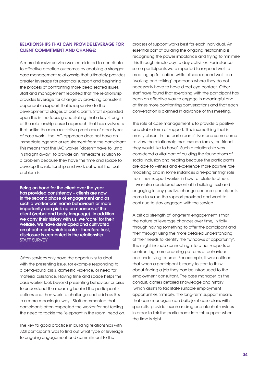# Relationships that can provide leverage for client commitment and change:

A more intensive service was considered to contribute to effective practice outcomes by enabling a stronger case management relationship that ultimately provides greater leverage for practical support and beginning the process of confronting more deep seated issues. Staff and management reported that the relationship provides leverage for change by providing consistent, dependable support that is responsive to the developmental stages of participants. Staff expanded upon this in the focus group stating that a key strength of the relationship based approach that has evolved is that unlike the more restrictive practices of other types of case work – the IAC approach does not have an immediate agenda or requirement from the participant. This means that the IAC worker "doesn't have to jump in straight away" to provide an immediate solution to a problem because they have the time and space to develop the relationship and work out what the real problem is.

Being on hand for the client over the year has provided consistency – clients are now in the second phase of engagement and as such a worker can name behaviours or more importantly can pick up on nuances of the client (verbal and body language). In addition we carry their history with us, we 'care' for their welfare. We have developed and cultivated an attachment which is safe – therefore trust, disclosure is cemented in the relationship. STAFF SURVEY

Often services only have the opportunity to deal with the presenting issue, for example responding to a behavioural crisis, domestic violence, or need for material assistance. Having time and space helps the case worker look beyond presenting behaviour or crisis to understand the meaning behind the participant's actions and then work to challenge and address this in a more meaningful way. Staff commented that participants often respected the worker for not feeling the need to tackle the 'elephant in the room' head on.

The key to good practice in building relationships with J2SI participants was to find out what type of leverage to ongoing engagement and commitment to the

process of support works best for each individual. An essential part of building the ongoing relationship is recognising the power imbalance and trying to minimise this through simple day to day activities. For instance, some participants were reported to respond well to meeting up for coffee while others respond well to a 'walking and talking' approach where they do not necessarily have to have direct eye contact. Other staff have found that exercising with the participant has been an effective way to engage in meaningful and at times more confronting conversations and that each conversation is planned in advance of this meeting.

The role of case management is to provide a positive and stable form of support. This is something that is mostly absent in the participants' lives and some come to view the relationship as a pseudo family, or 'friend they would like to have'. Such a relationship was considered a vital part of building the foundations of social inclusion and healing because the participants are able to witness and experience more positive role modelling and in some instances a 're-parenting' role from their support worker in how to relate to others. It was also considered essential in building trust and engaging in any positive change because participants come to value the support provided and want to continue to stay engaged with the service.

A critical strength of long-term engagement is that the nature of leverage changes over time, initially through having something to offer the participant and then through using the more detailed understanding of their needs to identify the 'windows of opportunity'. This might include connecting into other supports or confronting more enduring patterns of behaviour and underlying trauma. For example, it was outlined that when a participant is ready to start to think about finding a job they can be introduced to the employment consultant. The case manager, as the conduit, carries detailed knowledge and history which assists to facilitate suitable employment opportunities. Similarly, the long-term support means that case managers can build joint case plans with specialist providers such as drug and alcohol services in order to link the participants into this support when the time is right.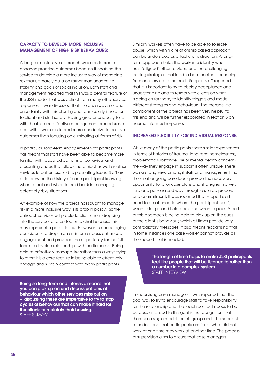# Capacity to develop more inclusive management of high risk behaviours:

A long-term intensive approach was considered to enhance practice outcomes because it enabled the service to develop a more inclusive way of managing risk that ultimately build on rather than undermine stability and goals of social inclusion. Both staff and management reported that this was a central feature of the J2SI model that was distinct from many other service responses. It was discussed that there is always risk and uncertainty with this client group, particularly in relation to client and staff safety. Having greater capacity to 'sit with the risk' and effective management procedures to deal with it was considered more conducive to positive outcomes than focusing on eliminating all forms of risk.

In particular, long-term engagement with participants has meant that staff have been able to become more familiar with repeated patterns of behaviour and presenting chaos that allows the project as well as other services to better respond to presenting issues. Staff are able draw on the history of each participant knowing when to act and when to hold back in managing potentially risky situations.

An example of how the project has sought to manage risk in a more inclusive way is its drop in policy. Some outreach services will preclude clients from dropping into the service for a coffee or to chat because this may represent a potential risk. However, in encouraging participants to drop in on an informal basis enhanced engagement and provided the opportunity for the full team to develop relationships with participants. Being able to effectively manage risk rather than always trying to avert it is a core feature in being able to effectively engage and sustain contact with many participants.

Being so long-term and intensive means that you can pick up on and discuss patterns of behaviour which other services miss out on – discussing these are imperative to try to stop cycles of behaviour that can make it hard for the clients to maintain their housing. STAFF SURVEY

Similarly workers often have to be able to tolerate abuse, which within a relationship based approach can be understood as a tactic of distraction. A longterm approach helps the worker to identify what has 'fatigued' other services, and the challenging coping strategies that lead to bans or clients bouncing from one service to the next. Support staff reported that it is important to try to display acceptance and understanding and to reflect with clients on what is going on for them, to identify triggers and model different strategies and behaviours. The therapeutic component of the project has been very helpful to this end and will be further elaborated in section 5 on trauma informed response.

### Increased flexibility for individual response:

While many of the participants share similar experiences in terms of histories of trauma, long-term homelessness, problematic substance use or mental health concerns the way they engage in support is often unique. There was a strong view amongst staff and management that the small ongoing case loads provide the necessary opportunity to tailor case plans and strategies in a very fluid and personalised way through a shared process and commitment. It was reported that support staff need to be attuned to where the participant 'is at', when to let go and hold back and when to push. A part of this approach is being able to pick up on the cues of the client's behaviour, which at times provide very contradictory messages. It also means recognising that in some instances one case worker cannot provide all the support that is needed.

> The length of time helps to make J2SI participants feel like people that will be listened to rather than a number in a complex system. STAFF INTERVIEW

In supervising case managers it was reported that the goal was to try to encourage staff to take responsibility for the relationship and that each contact needs to be purposeful. Linked to this goal is the recognition that there is no single model for this group and it is important to understand that participants are fluid - what did not work at one time may work at another time. The process of supervision aims to ensure that case managers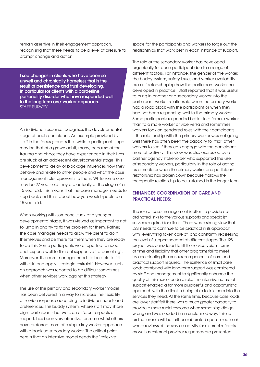remain assertive in their engagement approach, recognising that there needs to be a level of pressure to prompt change and action.

I see changes in clients who have been so unwell and chronically homeless that is the result of persistence and trust developing. In particular for clients with a borderline personality disorder who have responded well to the long term one-worker approach. STAFF SURVEY

An individual response recognises the developmental stage of each participant. An example provided by staff in the focus group is that while a participant's age may be that of a grown adult, many, because of the trauma and chaos they have experienced in their lives, are stuck at an adolescent developmental stage. This developmental delay or blockage influences how they behave and relate to other people and what the case management role represents to them. While some one may be 27 years old they are actually at the stage of a 15 year old. This means that the case manager needs to step back and think about how you would speak to a 15 year old.

When working with someone stuck at a younger developmental stage, it was viewed as important to not to jump in and try to fix the problem for them. Rather, the case manager needs to allow the client to do it themselves and be there for them when they are ready to do this. Some participants were reported to need and respond well to firm but supportive 're-parenting'. Moreover, the case manager needs to be able to 'sit with risk' and apply 'strategic restraint'. However, such an approach was reported to be difficult sometimes when other services work against this strategy.

The use of the primary and secondary worker model has been delivered in a way to increase the flexibility of service response according to individual needs and preferences. This buddy system, where staff may share eight participants but work on different aspects of support, has been very effective for some whilst others have preferred more of a single key worker approach with a back up secondary worker. The critical point here is that an intensive model needs the 'reflexive'

space for the participants and workers to forge out the relationships that work best in each instance of support.

The role of the secondary worker has developed organically for each participant due to a range of different factors. For instance, the gender of the worker, the buddy system, safety issues and worker availability are all factors shaping how the participant-worker has developed in practice. Staff reported that it was useful to bring in another or a secondary worker into the participant-worker relationship when the primary worker had a road block with the participant or when they had not been responding well to the primary worker. Some participants responded better to a female worker than to a male worker or vice versa and sometimes workers took on gendered roles with their participants. If the relationship with the primary worker was not going well there has often been the capacity to 'trial' other workers to see if they can engage with the participant more effectively. This view was also expressed by a partner agency stakeholder who supported the use of secondary workers, particularly in the role of acting as a mediator when the primary worker and participant relationship has broken down because it allows the therapeutic relationship to be sustained in the longer-term.

# Enhances coordination of care and practical needs:

The role of case management is often to provide coordinated links to the various supports and specialist services required for clients. There was a strong view that J2SI needs to continue to be practical in its approach with 'everything taken care of' and constantly reassessing the level of support needed at different stages. The J2SI project was considered to fill the service void in terms of time and flexibility that other programs fail to meet by coordinating the various components of care and practical support required. The existence of small case loads combined with long-term support was considered by staff and management to significantly enhance the quality of this more standard role. The intensive nature of support enabled a far more purposeful and opportunistic approach with the client in being able to link them into the services they need. At the same time, because case loads are lower staff felt there was a much greater capacity to provide a more rapid response when something did go wrong and was needed in an unplanned way. This coordination role will be further elaborated upon in section 6 where reviews of the service activity for external referrals as well as external provider responses are presented.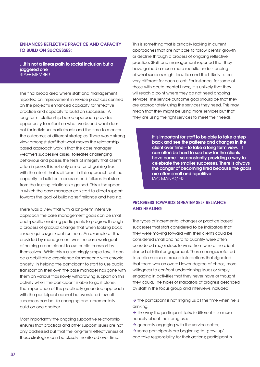# Enhances reflective practice and capacity to build on successes:

…it is not a linear path to social inclusion but a jaggered one STAFF MEMBER

The final broad area where staff and management reported an improvement in service practices centred on the project's enhanced capacity for reflective practice and capacity to build on successes. A long-term relationship based approach provides opportunity to reflect on what works and what does not for individual participants and the time to monitor the outcomes of different strategies. There was a strong view amongst staff that what makes the relationship based approach work is that the case manager weathers successive crises, tolerates challenging behaviour and passes the tests of integrity that clients often impose. It is not only a matter of gaining trust with the client that is different in this approach but the capacity to build on successes and failures that stem from the trusting relationship gained. This is the space in which the case manager can start to direct support towards the goal of building self reliance and healing.

There was a view that with a long-term intensive approach the case management goals can be small and specific enabling participants to progress through a process of gradual change that when looking back is really quite significant for them. An example of this provided by management was the case work goal of helping a participant to use public transport by themselves. While this is a seemingly simple task, it can be a debilitating experience for someone with chronic anxiety. In helping the participant to start to use public transport on their own the case manager has gone with them on various trips slowly withdrawing support on this activity when the participant is able to go it alone. The importance of this practically grounded approach with the participant cannot be overstated – small successes can be life changing and incrementally build on one another.

Most importantly the ongoing supportive relationship ensures that practical and other support issues are not only addressed but that the long-term effectiveness of these strategies can be closely monitored over time.

This is something that is critically lacking in current approaches that are not able to follow clients' growth or decline through a process of ongoing reflective practice. Staff and management reported that they have gained a much more realistic understanding of what success might look like and this is likely to be very different for each client. For instance, for some of those with acute mental illness, it is unlikely that they will reach a point where they do not need ongoing services. The service outcome goal should be that they are appropriately using the services they need. This may mean that they might be using more services but that they are using the right services to meet their needs.

> It is important for staff to be able to take a step back and see the patterns and changes in the client over time – to take a long term view. It can often be hard to see how far the clients have come – so constantly providing a way to celebrate the smaller successes. There is always the danger of becoming tired because the goals are often small and repetitive IAC MANAGER

# Progress towards greater self reliance and healing

The types of incremental changes or practice based successes that staff considered to be indicators that they were moving forward with their clients could be considered small and hard to quantify were often considered major steps forward from where the client started at initial engagement. These changes referred to subtle nuances around interactions that signalled that there was an overall lower degree of chaos, more willingness to confront underpinning issues or simply engaging in activities that they never have or thought they could. The types of indicators of progress described by staff in the focus group and interviews included:

- $\rightarrow$  the participant is not ringing us all the time when he is drinking;
- $\rightarrow$  the way the participant talks is different i.e more honesty about their drug use;
- $\rightarrow$  generally engaging with the service better;
- $\rightarrow$  some participants are beginning to 'grow up'
- and take responsibility for their actions; participant is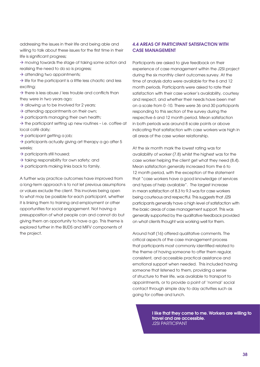addressing the issues in their life and being able and willing to talk about these issues for the first time in their life is significant progress;

 $\rightarrow$  moving towards the stage of taking some action and realising the need to do so is progress;

 $\rightarrow$  attending two appointments;

 $\rightarrow$  life for the participant is a little less chaotic and less exciting;

 $\rightarrow$  there is less abuse / less trouble and conflicts than they were in two years ago;

- $\rightarrow$  allowing us to be involved for 2 years;
- $\rightarrow$  attending appointments on their own;
- $\rightarrow$  participants managing their own health;

 $\rightarrow$  the participant setting up new routines – i.e. coffee at local café daily;

 $\rightarrow$  participant getting a job;

 $\rightarrow$  participants actually giving art therapy a go after 5 weeks;

 $\rightarrow$  participants still housed;

- $\rightarrow$  taking responsibility for own safety; and
- $\rightarrow$  participants making links back to family.

A further way practice outcomes have improved from a long-term approach is to not let previous assumptions or values exclude the client. This involves being open to what may be possible for each participant, whether it is linking them to training and employment or other opportunities for social engagement. Not having a presupposition of what people can and cannot do but giving them an opportunity to have a go. This theme is explored further in the BUDS and MIFV components of the project.

# 4.4 Areas of participant satisfaction with case management

Participants are asked to give feedback on their experience of case management within the J2SI project during the six monthly client outcomes survey. At the time of analysis data were available for the 6 and 12 month periods. Participants were asked to rate their satisfaction with their case worker's availability, courtesy and respect, and whether their needs have been met on a scale from 0 -10. There were 36 and 30 participants responding to this section of the survey during the respective 6 and 12 month period. Mean satisfaction in both periods was around 8 scale points or above indicating that satisfaction with case workers was high in all areas of the case worker relationship.

At the six month mark the lowest rating was for availability of worker (7.8) whilst the highest was for the case worker helping the client get what they need (8.4). Mean satisfaction generally increased from the 6 to 12 month period, with the exception of the statement that "case workers have a good knowledge of services and types of help available". The largest increase in mean satisfaction of 8.3 to 9.3 was for case workers being courteous and respectful. This suggests that J2SI participants generally have a high level of satisfaction with the basic areas of case management support. This was generally supported by the qualitative feedback provided on what clients thought was working well for them.

Around half (16) offered qualitative comments. The critical aspects of the case management process that participants most commonly identified related to the theme of having someone to offer them regular, consistent, and accessible practical assistance and emotional support when needed. This included having someone that listened to them, providing a sense of structure to their life, was available to transport to appointments, or to provide a point of 'normal' social contact through simple day to day activities such as going for coffee and lunch.

> I like that they come to me. Workers are willing to travel and are accessible. J2SI PARTICIPANT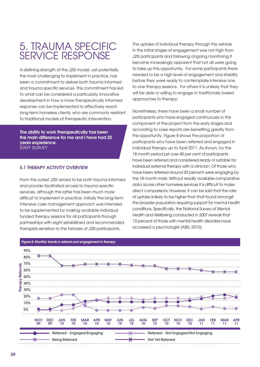# 5. Trauma specific service response

A defining strength of the J2SI model, yet potentially the most challenging to implement in practice, has been a commitment to deliver both trauma informed and trauma specific services. This commitment has led to what can be considered a particularly innovative development in how a more therapeutically informed response can be implemented to effectively reach long-term homeless clients, who are commonly resistant to traditional models of therapeutic intervention.

The ability to work therapeutically has been the main difference for me and I have had 20 years experience. STAFF SURVEY

### 5.1 Therapy activity overview

From the outset J2SI aimed to be both trauma informed and provide facilitated access to trauma specific services, although the latter has been much more difficult to implement in practice. Initially the long-term intensive case management approach was intended to be supplemented by making available individual funded therapy sessions for all participants through partnerships with eight established and recommended therapists sensitive to the histories of J2SI participants.

The uptake of individual therapy through this vehicle in the initial stages of engagement was not high from J2SI participants and following ongoing monitoring it became increasingly apparent that not all were going to take up this opportunity. For some participants there needed to be a high level of engagement and stability before they were ready to contemplate intensive one to one therapy sessions. For others it is unlikely that they will be able or willing to engage in traditionally based approaches to therapy.

Nonetheless, there have been a small number of participants who have engaged continuously in this component of the project from the early stages and according to case reports are benefiting greatly from this opportunity. Figure 8 shows the proportion of participants who have been referred and engaged in individual therapy up to April 2011. As shown, by the 18 month period just over 40 per cent of participants have been referred and considered ready or suitable for individual external therapy with a clinician. Of those who have been referred around 20 percent were engaging by the 18 month mark. Without readily available comparative data across other homeless services it is difficult to make direct comparisons. However, it can be said that the rate of uptake is likely to be higher than that found amongst the broader population requiring support for mental health conditions. Specifically, the National Survey of Mental Health and Wellbeing conducted in 2007 reveals that 13 percent of those with mental health disorders have accessed a psychologist (ABS, 2010).

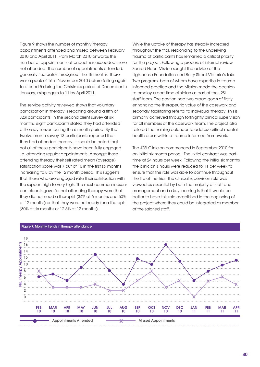Figure 9 shows the number of monthly therapy appointments attended and missed between February 2010 and April 2011. From March 2010 onwards the number of appointments attended has exceeded those not attended. The number of appointments attended, generally fluctuates throughout the 18 months. There was a peak of 16 in November 2010 before falling again to around 5 during the Christmas period of December to January, rising again to 11 by April 2011.

The service activity reviewed shows that voluntary participation in therapy is reaching around a fifth of J2SI participants. In the second client survey at six months, eight participants stated they had attended a therapy session during the 6 month period. By the twelve month survey 13 participants reported that they had attended therapy. It should be noted that not all of these participants have been fully engaged i.e. attending regular appointments. Amongst those attending therapy their self rated mean (average) satisfaction score was 7 out of 10 in the first six months increasing to 8 by the 12 month period. This suggests that those who are engaged rate their satisfaction with the support high to very high. The most common reasons participants gave for not attending therapy were that they did not need a therapist (34% at 6 months and 50% at 12 months) or that they were not ready for a therapist (30% at six months or 12.5% at 12 months).

While the uptake of therapy has steadily increased throughout the trial, responding to the underlying trauma of participants has remained a critical priority for the project. Following a process of internal review Sacred Heart Mission sought the advice of the Lighthouse Foundation and Berry Street Victoria's Take Two program, both of whom have expertise in trauma informed practice and the Mission made the decision to employ a part-time clinician as part of the J2SI staff team. The position had two broad goals of firstly enhancing the therapeutic value of the casework and secondly facilitating referral to individual therapy. This is primarily achieved through fortnightly clinical supervision for all members of the casework team. The project also tailored the training calendar to address critical mental health areas within a trauma informed framework.

The J2SI Clinician commenced in September 2010 for an initial six month period. The initial contract was parttime at 24 hours per week. Following the initial six months the clinician's hours were reduced to 11 per week to ensure that the role was able to continue throughout the life of the trial. The clinical supervision role was viewed as essential by both the majority of staff and management and a key learning is that it would be better to have this role established in the beginning of the project where they could be integrated as member of the salaried staff.



### Figure 9: Monthly trends in therapy attendance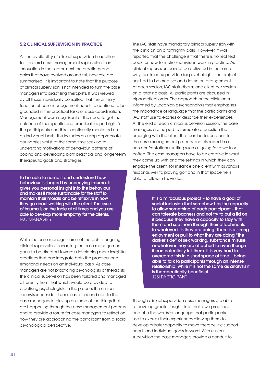# 5.2 Clinical supervision in practice

As the availability of clinical supervision in addition to standard case management supervision is an innovation in the sector, next the practices and gains that have evolved around this new role are summarised. It is important to note that the purpose of clinical supervision is not intended to turn the case managers into practising therapists. It was viewed by all those individually consulted that the primary function of case management needs to continue to be grounded in the practical tasks of case coordination. Management were cognisant of the need to get the balance of therapeutic and practical support right for the participants and this is continually monitored on an individual basis. This includes ensuring appropriate boundaries whilst at the same time seeking to understand motivations of behaviour, patterns of coping and developing both practical and longer-term therapeutic goals and strategies.

To be able to name it and understand how behaviour is shaped by underlying trauma. It gives you personal insight into the behaviour and makes it more sustainable for the staff to maintain their morale and be reflexive in how they go about working with the client. The issue of trauma is on the table at all times and you are able to develop more empathy for the clients. IAC MANAGER

While the case managers are not therapists, ongoing clinical supervision is enabling the case management goals to be directed towards developing more insightful practices that can integrate both the practical and emotional needs on an individual basis. As case managers are not practicing psychologists or therapists, the clinical supervision has been tailored and managed differently from that which would be provided to practising psychologists. In this process the clinical supervisor considers his role as a 'second ear' to the case managers to pick up on some of the things that are happening through the case management process and to provide a forum for case managers to reflect on how they are approaching the participant from a social psychological perspective.

The IAC staff have mandatory clinical supervision with the clinician on a fortnightly basis. However, it was reported that the challenge is that there is no real text book for how to make supervision work in practice. As clinical supervision cannot be delivered in the same way as clinical supervision for psychologists the project has had to be creative and devise an arrangement. At each session, IAC staff discuss one client per session on a rotating basis. All participants are discussed in alphabetical order. The approach of the clinician is informed by Lacanian psychoanalysis that emphasises the importance of language that the participants and IAC staff use to express or describe their experiences. At the end of each clinical supervision session, the case managers are helped to formulate a question that is emerging with the client that can be taken back to the case management process and discussed in a non confrontational setting such as going for a walk or coffee. The case managers have to be creative in what they come up with and the settings in which they can engage the client, for instance one client with psychosis responds well to playing golf and in that space he is able to talk with his worker.

> It is a miraculous project – to have a goal of social inclusion that somehow has the capacity to allow something of each participant – that can tolerate badness and not try to put a lid on it because they have a capacity to stay with them and see them through their attachments to whatever it is they are doing. There is a strong enjoyment or pull to what they are doing "the darker side" of sex working, substance misuse, or whatever they are attached to even though it can potentially kill them. It is very hard to overcome this in a short space of time... being able to talk to participants through an intense relationship, while it is not the same as analysis it is therapeutically beneficial. J2SI PARTICIPANT

Through clinical supervision case managers are able to develop greater insights into their own practices and also the words or language that participants use to express their experiences allowing them to develop greater capacity to move therapeutic support needs and individual goals forward. With clinical supervision the case managers provide a conduit to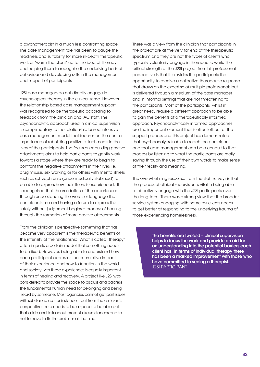a psychotherapist in a much less confronting space. The case management role has been to gauge the readiness and suitability for more in-depth therapeutic work or 'warm the client' up to the idea of therapy and helping them to recognise the underlying basis of behaviour and developing skills in the management and support of participants.

J2SI case managers do not directly engage in psychological therapy in the clinical sense. However, the relationship based case management support was recognised to be therapeutic according to feedback from the clinician and IAC staff. The psychoanalytic approach used in clinical supervision is complimentary to the relationship based intensive case management model that focuses on the central importance of rebuilding positive attachments in the lives of the participants. The focus on rebuilding positive attachments aims to help participants to gently work towards a stage where they are ready to begin to confront the negative attachments in their lives i.e. drug misuse, sex working or for others with mental illness such as schizophrenia (once medically stabilised) to be able to express how their illness is experienced. It is recognised that the validation of the experiences through understanding the words or language that participants use and having a forum to express this safely without judgement begins a process of healing through the formation of more positive attachments.

From the clinician's perspective something that has become very apparent is the therapeutic benefits of the intensity of the relationship. What is called 'therapy' often imparts a certain model that something needs to be fixed. However, being able to understand how each participant expresses the cumulative impact of their experience and how to function in the world and society with these experiences is equally important in terms of healing and recovery. A project like J2SI was considered to provide the space to discuss and address the fundamental human need for belonging and being heard by someone. Most agencies cannot get past issues with substance use for instance – but from the clinician's perspective there needs to be a space to be able put that aside and talk about present circumstances and to not to have to fix the problem all the time.

There was a view from the clinician that participants in the project are at the very far end of the therapeutic spectrum and they are not the types of clients who typically voluntarily engage in therapeutic work. The critical strength of the J2SI project from his professional perspective is that it provides the participants the opportunity to receive a collective therapeutic response that draws on the expertise of multiple professionals but is delivered through a medium of the case manager and in informal settings that are not threatening to the participants. Most of the participants, whilst in great need, require a different approach to be able to gain the benefits of a therapeutically informed approach. Psychoanalytically informed approaches are the important element that is often left out of the support process and this project has demonstrated that psychoanalysis is able to reach the participants and that case management can be a conduit to that process by listening to what the participants are really saying through the use of their own words to make sense of their reality and meaning.

The overwhelming response from the staff surveys is that the process of clinical supervision is vital in being able to effectively engage with the J2SI participants over the long-term. There was a strong view that the broader service system engaging with homeless clients needs to get better at responding to the underlying trauma of those experiencing homelessness.

> The benefits are twofold – clinical supervision helps to focus the work and provide an aid for an understanding into the potential barriers each client has. In terms of individual therapy there has been a marked improvement with those who have committed to seeing a therapist. J2SI PARTICIPANT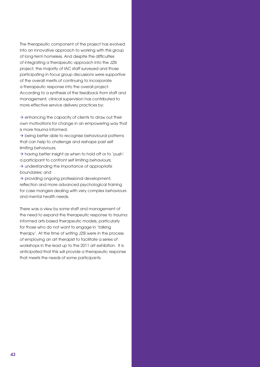The therapeutic component of the project has evolved into an innovative approach to working with this group of long-term homeless. And despite the difficulties of integrating a therapeutic approach into the J2SI project, the majority of IAC staff surveyed and those participating in focus group discussions were supportive of the overall merits of continuing to incorporate a therapeutic response into the overall project. According to a synthesis of the feedback from staff and management, clinical supervision has contributed to more effective service delivery practices by:

 $\rightarrow$  enhancing the capacity of clients to draw out their own motivations for change in an empowering way that is more trauma informed;

 $\rightarrow$  being better able to recognise behavioural patterns that can help to challenge and reshape past self limiting behaviours;

 $\rightarrow$  having better insight as when to hold off or to 'push' a participant to confront self limiting behaviours;

 $\rightarrow$  understanding the importance of appropriate boundaries; and

 $\rightarrow$  providing ongoing professional development, reflection and more advanced psychological training for case mangers dealing with very complex behaviours and mental health needs.

There was a view by some staff and management of the need to expand the therapeutic response to trauma informed arts based therapeutic models, particularly for those who do not want to engage in 'talking therapy'. At the time of writing J2SI were in the process of employing an art therapist to facilitate a series of workshops in the lead up to the 2011 art exhibition. It is anticipated that this will provide a therapeutic response that meets the needs of some participants.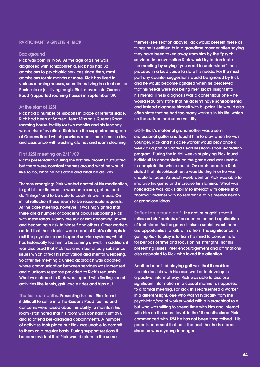### PARTICIPANT VIGNETTE 4: RICK

### **Background**

Rick was born in 1969. At the age of 21 he was diagnosed with schizophrenia. Rick has had 32 admissions to psychiatric services since then, most admissions for six months or more. Rick has lived in various rooming houses, sometimes living in a tent on the Peninsula or just living rough. Rick moved into Queens Road (supported rooming house) in September '09.

### At the start of J2SI

Rick had a number of supports in place at referral stage. Rick had been at Sacred Heart Mission's Queens Road rooming house facility for two months and his tenancy was at risk of eviction. Rick is on the supported program at Queens Road which provides meals three times a day and assistance with washing clothes and room cleaning.

### First J2SI meeting on 2/11/09

Rick's presentation during the first few months fluctuated but there were constant themes around what he would like to do, what he has done and what he dislikes.

Themes emerging: Rick wanted control of his medication, to get his car licence, to work on a farm, get out and do "things" and to be able to cook his own meals. On initial reflection these seem to be reasonable requests. At the case meeting, however, it was highlighted that there are a number of concerns about supporting Rick with these ideas. Mainly the risk of him becoming unwell and becoming a risk to himself and others. Other workers added that these topics were a part of Rick's attempts to exit the psychiatric and support service systems; which has historically led him to becoming unwell. In addition, it was disclosed that Rick has a number of poly substance issues which affect his motivation and mental wellbeing. So after the meeting a united approach was adopted where communication between services was increased and a uniform response provided to Rick's requests. What was offered to Rick was support with finding social activities like tennis, golf, cycle rides and trips out.

The first six months. Presenting issues - Rick found it difficult to settle into the Queens Road routine and concerns were raised about his ability to maintain his room (staff noted that his room was constantly untidy), and to attend pre-arranged appointments. A number of activities took place but Rick was unable to commit to them on a regular basis. During support sessions it became evident that Rick would return to the same

themes (see section above). Rick would present these as things he is entitled to in a grandiose manner often saying they have been taken away from him by the "psych" services. In conversation Rick would try to dominate the meeting by saying "you need to understand" then proceed in a loud voice to state his needs. For the most part any counter suggestions would be ignored by Rick and he would become agitated when he perceived that his needs were not being met. Rick's insight into his mental illness diagnosis was a contentious one – he would regularly state that he doesn't have schizophrenia and instead diagnose himself with bi-polar. He would also often state that he had too many workers in his life, which on the surface had some validity.

Golf- Rick's maternal grandmother was a semi professional golfer and taught him to play when he was younger. Rick and his case worker would play once a week as a part of Sacred Heart Mission's sport recreation program. During the initial weeks of playing Rick found it difficult to concentrate on the game and was unable to complete the whole round. On each occasion Rick stated that his schizophrenia was kicking in or he was unable to focus. As each week went on Rick was able to improve his game and increase his stamina. What was noticeable was Rick's ability to interact with others in a "normal" manner with no reference to his mental health or grandiose ideas.

Reflection around golf- The nature of golf is that it relies on brief periods of concentration and application of technique. As the game is also a social event there are opportunities to talk with others. The significance in getting Rick to play is to train his mind to concentrate for periods of time and focus on his strengths, not his presenting issues. Peer encouragement and affirmations also appealed to Rick who loved the attention.

Another benefit of playing golf was that it enabled the relationship with his case worker to develop in a positive, informal way. Rick was able to disclose significant information in a casual manner as opposed to a formal meeting. For Rick this represented a worker in a different light, one who wasn't typically from the psychiatric/social worker world with a hierarchical role but who was willing to spend time with him and interact with him on the same level. In the 18 months since Rick commenced with J2SI he has not been hospitalised. His parents comment that he is the best that he has been since he was a young teenager.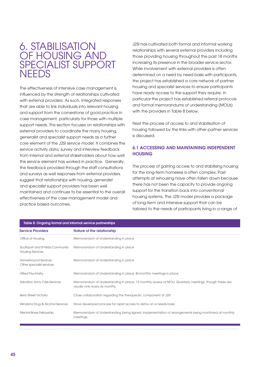# 6. STABILIS OF HOUSING A SPECIALIST SU **NEEDS**

The effectiveness of intensive case management is influenced by the strength of relationships cultivated with external providers. As such, integrated responses that are able to link individuals into relevant housing and support from the cornerstone of good practice in case management, particularly for those with multiple support needs. This section focuses on relationships with external providers to coordinate the many housing, generalist and specialist support needs as a further core element of the J2SI service model. It combines the service activity data, survey and interview feedback from internal and external stakeholders about how well this service element has worked in practice. Generally, the feedback provided through the staff consultations and surveys as well responses from external providers suggest that relationships with housing, generalist and specialist support providers has been well maintained and continues to be essential to the overall effectiveness of the case management model and practice based outcomes.

J2SI has cultivated both formal and informal working relationships with several external providers including those providing housing throughout the past 18 months increasing its presence in the broader service sector. While involvement with external providers is often determined on a need by need basis with participants, the project has established a core network of partner housing and specialist services to ensure participants have ready access to the support they require. In particular the project has established referral protocols and formal memorandums of understanding (MOUs) with the providers in Table 8 below.

Next the process of access to and stabilisation of housing followed by the links with other partner services is discussed.

# 6.1 Accessing and maintaining independent **HOUSING**

The process of gaining access to and stabilising housing for the long-term homeless is often complex. Past attempts at rehousing have often fallen down because there has not been the capacity to provide ongoing support for the transition back into conventional housing systems. The J2SI model provides a package of long-term and intensive support that can be tailored to the needs of participants living in a range of

| Table 8: Ongoing formal and informal service partnerships   |                                                                                                                                        |  |  |  |  |
|-------------------------------------------------------------|----------------------------------------------------------------------------------------------------------------------------------------|--|--|--|--|
| <b>Service Providers</b>                                    | Nature of the relationship                                                                                                             |  |  |  |  |
| Office of Housing                                           | Memorandum of Understanding in place                                                                                                   |  |  |  |  |
| Southport and St Kilda Community<br><b>Housing Services</b> | Memorandum of Understanding in place                                                                                                   |  |  |  |  |
| HomeGround Services<br>Other specialist services            | Memorandum of Understanding in place                                                                                                   |  |  |  |  |
| <b>Alfred Psychiatry</b>                                    | Memorandum of Understanding in place. Bi-monthly meetings in place                                                                     |  |  |  |  |
| Salvation Army Crisis Services                              | Memorandum of Understanding in place. 12 monthly review of MOU. Quarterly meetings, though these are<br>usually only every six months. |  |  |  |  |
| <b>Berry Street Victoria</b>                                | Close collaboration regarding the therapeutic component of J2SI                                                                        |  |  |  |  |
| Windana Drug & Alcohol Services                             | Have developed process for rapid access to detox on a needs basis                                                                      |  |  |  |  |
| Mental Illness Fellowship                                   | Memorandum of Understanding being signed. Implementation of arrangements being monitored at monthly<br>meetings.                       |  |  |  |  |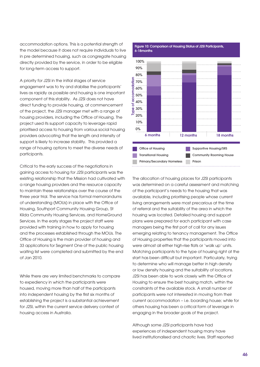accommodation options. This is a potential strength of the model because it does not require individuals to live in pre determined housing, such as congregate housing directly provided by the service, in order to be eligible for long-term access to support.

A priority for J2SI in the initial stages of service engagement was to try and stabilise the participants' lives as rapidly as possible and housing is one important component of this stability. As J2SI does not have direct funding to provide housing, at commencement of the project, the J2SI manager met with a range of housing providers, including the Office of Housing. The project used its support capacity to leverage rapid prioritised access to housing from various social housing providers advocating that the length and intensity of support is likely to increase stability. This provided a range of housing options to meet the diverse needs of participants.

Critical to the early success of the negotiations in gaining access to housing for J2SI participants was the existing relationship that the Mission had cultivated with a range housing providers and the resource capacity to maintain these relationships over the course of the three year trial. The service has formal memorandums of understanding (MOUs) in place with the Office of Housing, Southport Community Housing Group, St Kilda Community Housing Services, and HomeGround Services. In the early stages the project staff were provided with training in how to apply for housing and the processes established through the MOUs. The Office of Housing is the main provider of housing and 33 applications for Segment One of the public housing waiting list were completed and submitted by the end of Jan 2010.

While there are very limited benchmarks to compare to expediency in which the participants were housed, moving more than half of the participants into independent housing by the first six months of establishing the project is a substantial achievement for J2SI, within the current service delivery context of housing access in Australia.



The allocation of housing places for J2SI participants was determined on a careful assessment and matching of the participant's needs to the housing that was available, including prioritising people whose current living arrangements were most precarious at the time of referral and the suitability of the area in which the housing was located. Detailed housing and support plans were prepared for each participant with case managers being the first port of call for any issues emerging relating to tenancy management. The Office of Housing properties that the participants moved into were almost all either high-rise flats or 'walk up' units. Matching participants to the type of housing right at the start has been difficult but important. Particularly, trying to determine who will manage better in high density or low density housing and the suitability of locations. J2SI has been able to work closely with the Office of Housing to ensure the best housing match, within the constraints of the available stock. A small number of participants were not interested in moving from their current accommodation – i.e. boarding house; while for others housing has been a critical form of leverage in engaging in the broader goals of the project.

Although some J2SI participants have had experiences of independent housing many have lived institutionalised and chaotic lives. Staff reported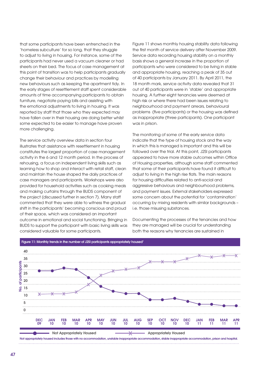that some participants have been entrenched in the 'homeless subculture' for so long, that they struggle to adjust to living in housing. For instance, some of the participants had never used a vacuum cleaner or had sheets on their bed. The focus of case management at this point of transition was to help participants gradually change their behaviour and practices by modelling new behaviours such as keeping the apartment tidy. In the early stages of resettlement staff spent considerable amounts of time accompanying participants to obtain furniture, negotiate paying bills and assisting with the emotional adjustments to living in housing. It was reported by staff that those who they expected may have fallen over in their housing are doing better whilst some expected to be easier to manage have proven more challenging.

The service activity overview data in section four illustrates that assistance with resettlement in housing constitutes the largest proportion of case management activity in the 6 and 12 month period. In the process of rehousing, a focus on independent living skills such as learning how to shop and interact with retail staff, clean and maintain the house shaped the daily practices of case managers and participants. Workshops were also provided for household activities such as cooking meals and making curtains through the BUDS component of the project (discussed further in section 7). Many staff commented that they were able to witness the gradual shift in the participants' becoming conscious and proud of their space, which was considered an important outcome in emotional and social functioning. Bringing in BUDS to support the participant with basic living skills was considered valuable for some participants.

Figure 11 shows monthly housing stability data following the first month of service delivery after November 2009. Service data recording housing stability on a monthly basis shows a general increase in the proportion of participants who were considered to be living in stable and appropriate housing, reaching a peak of 35 out of 40 participants by January 2011. By April 2011, the 18 month mark, service activity data revealed that 31 out of 40 participants were in 'stable' and appropriate housing. A further eight tenancies were deemed at high risk or where there had been issues relating to neighbourhood and payment arrears, behavioural problems (five participants) or the housing was defined as inappropriate (three participants). One participant was in prison.

The monitoring of some of the early service data indicate that the type of housing stock and the way in which this is managed is important and this will be followed over the trial. At this point, J2SI participants appeared to have more stable outcomes within Office of Housing properties, although some staff commented that some of their participants have found it difficult to adjust to living in the high rise flats. The main reasons for housing difficulties related to anti-social and aggressive behaviours and neighbourhood problems, and payment issues. External stakeholders expressed some concern about the potential for 'contamination' occurring by mixing residents with similar backgrounds – i.e. those misusing substances.

Documenting the processes of the tenancies and how they are managed will be crucial for understanding both the reasons why tenancies are sustained in



Not appropriately housed includes those with no accommodation, unstable inappropriate accommodation, stable inappropriate accommodation, prison and hospital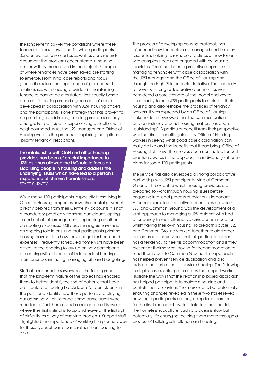the longer-term as well the conditions where these tenancies break down and for which participants. Support worker case studies as well as case records document the problems encountered in housing and how they are resolved in the project. Examples of where tenancies have been saved are starting to emerge. From initial case reports and focus group discussion, the importance of personalised relationships with housing providers in maintaining tenancies cannot be overstated. Individually based case conferencing around agreements of conduct developed in collaboration with J2SI, housing officers, and the participants is one strategy that has proven to be promising in addressing housing problems as they emerge. For participants experiencing difficulties with neighbourhood issues the J2SI manager and Office of Housing were in the process of exploring the options of 'priority tenancy' relocations.

The relationship with OoH and other housing providers has been of crucial importance to J2SI as it has allowed the IAC role to focus on stabilising people in housing and address the underlying issues which have led to a person's experience of chronic homelessness. STAFF SURVEY

While many J2SI participants, especially those living in Office of Housing properties have their rental payment directly debited from their Centrelink accounts it is not a mandatory practice with some participants opting in and out of this arrangement depending on other competing expenses. J2SI case managers have had an ongoing role in ensuring that participants prioritise housing payments in how they budget for household expenses. Frequently scheduled home visits have been critical to the ongoing follow up on how participants are coping with all facets of independent housing maintenance, including managing bills and budgeting.

Staff also reported in surveys and the focus group that the long-term nature of the project has enabled them to better identify the sort of patterns that have contributed to housing breakdowns for participants in the past, and identify how these patterns are playing out again now. For instance, some participants were reported to find themselves in a repeated crisis cycle where their first instinct is to up and leave at the first sight of difficulty as a way of resolving problems. Support staff highlighted the importance of working in a planned way for these types of participants rather than reacting to crisis.

The process of developing housing protocols has influenced how tenancies are managed and in many respects is helping to reshape practices of how tenants with complex needs are engaged with by housing providers. There has been a proactive approach to managing tenancies with close collaboration with the J2SI manager and the Office of Housing and through the High Risk tenancies initiative. The capacity to develop strong collaborative partnerships was considered a core strength of the model and key to its capacity to help J2SI participants to maintain their housing and also reshape the practices of tenancy workers. It was expressed by an Office of Housing stakeholder interviewed that the communication and consistency around housing matters has been 'outstanding'. A particular benefit from their perspective was the direct benefits gained by Office of Housing workers in seeing what good case coordination can really be like and the benefits that it can bring. Office of Housing staff have themselves been nominated for best practice awards in the approach to individual joint case plans for some J2SI participants.

The service has also developed a strong collaborative partnership with J2SI participants living at Common Ground. The extent to which housing providers are prepared to work through housing issues before engaging in a legal process of eviction is important. A further example of effective partnerships between J2SI and Common Ground was the development of a joint approach to managing a J2SI resident who had a tendency to seek alternative crisis accommodation whilst having their own housing. To break this cycle, J2SI and Common Ground worked together to alert other accommodation services that this particular resident has a tendency to flee his accommodation and if they present at their service looking for accommodation to send them back to Common Ground. This approach has helped prevent service duplication and also assisted the participants to sustain housing. The following in-depth case studies prepared by the support workers illustrate the ways that the relationship based approach has helped participants to maintain housing and contain their behaviour. The more subtle but potentially enduring changes revealed in these two stories reveal how some participants are beginning to re-learn or for the first time learn how to relate to others outside the homeless subculture. Such a process is slow but potentially life changing, helping them move through a process of building self reliance and healing.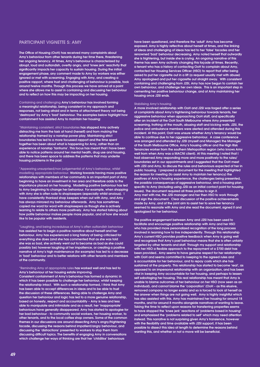### PARTICIPANT VIGNETTE 5: AMY

The Office of Housing (OoH) has received many complaints about Amy's behaviour from other tenants during her time there, threatening her ongoing tenancy. At times, Amy's behaviour is characterized by abrupt, loud and outlandish, overtly angry, and 'knee jerk' reactivity that significantly impacts her capacity to sustain housing. During the initial engagement phase, any comment made to Amy by workers was either ignored or met with screaming. Engaging with Amy, and creating a positive rapport, where trust and challenging of behaviour is possible, took around twelve months. Through this process we have arrived at a point where she allows me to assist in containing and discussing her behaviour and to reflect on how this may be impacting on her housing.

Containing and challenging Amy's behaviour has involved forming a meaningful relationship, being consistent in my approach and responses, not being afraid and in terms of attachment theory not being 'destroyed' by Amy's 'bad' behaviour. The examples below highlight how containment has assisted Amy to maintain her housing:

\*Maintaining consistent, strict boundaries has stopped Amy actively distracting me from the task at hand (herself) and from making the relationship framed by a nonstop power play. Maintaining strict boundaries has led to a more focussed rapport and the time spent together has been about what is happening for Amy, rather than an experience of nonstop 'tantrums'. This focus has meant that I have been able to notice patterns around her mental health, drug use and housing, and there has been space to address the patterns that may underlie housing problems in the past.

\*Appearing unsurprised/non judgemental of Amy's behaviour, whilst modelling appropriate behaviour. Working towards having more positive relationships with members of her community is an important part of Amy beginning to have an investment in her area and therefore adds to the importance placed on her housing. Modelling positive behaviour has led to Amy beginning to change her behaviour. For example, when shopping with Amy she is often rude to shopkeepers (especially whilst anxious). I have consistently thanked shop keepers when out with Amy, and Amy has always mirrored my behaviour afterwards. Amy has sometimes copied me word for word with shopkeepers as though she is actively learning to relate to others more positively. Amy has started talking about how polite behaviour makes people more popular, and of how she would like to be popular with residents.

\*Laughing, and being incredulous of Amy's often outlandish behaviour has assisted her to begin a positive narrative about herself and her behaviour. Amy has experienced a long history of being criticised for everything she does (and she has commented that as she was told she was so bad, she actively went out to become as bad as she could possibly be) however laughing at her impatience, or creating a positive narrative of Amy's high maintenance (for example) has led to a decrease in 'bad' behaviour and to better relations with other tenants and members of the community.

#### \*Reminding Amy of appropriate rules has worked well and has led to Amy's behaviour at her housing estate improving.

Consistent containment of Amy's behaviour has formed a dynamic in which it has been possible to challenge her behaviour, whilst keeping the relationship intact. With such a relationship formed, I think that Amy has been able to accept differences in ideas and to be able to trust the discussion of these differences. Being able to challenge Amy and question her behaviour and logic has led to a more genuine relationship, based on honesty, respect and accountability – Amy is less and less able to manipulate and intimidate and as a result, her 'inappropriate' behaviours have generally disappeared. Amy has started to apologise for her bad behaviour - to community social workers, her housing worker, to other tenants, and to the local coffee shop owners. Some of the common themes in our discussions are around dissecting Amy's angry/frightening facade, discussing the reasons behind impatient/angry behaviour, and discussing the 'distractions' presented to workers to stop them from discussing difficult topics. The benefits of engaging Amy in conversations which challenge her ways of thinking are that her 'childlike' behaviours

have been questioned, and therefore the 'adult' Amy has become exposed. Amy is highly reflective about herself at times, and the linking of ideas and challenging of ideas has led to her 'false' facades and her renowned 'bad' behaviour decreasing. Amy noted herself that outwardly she is frightening, but inside she is crying. An ongoing narrative of this theme has seen Amy actively changing this façade at times. Recently, a tenant who has a history of contacting OoH to complain about Amy, contacted her Housing Services Officer (HSO) to report that after being asked to put her cigarette out in a lift (a request usually met with abuse) Amy apologised and put her cigarette out straight away. With consistent containing and challenging from J2SI, Amy has now begun to contain her own behaviour, and challenge her own ideas. This is an important step in cementing her positive behaviour change, and of Amy maintaining her housing once J2SI ends.

#### Stabilising Amy's housing

A more involved relationship with OoH and J2SI was forged after a series of complaints about Amy's frightening behaviour towards tenants, her aggressive behaviour when approaching OoH staff, and specifically after an incident at the OoH South Melbourne where Amy presented screaming, frothing at the mouth, abusing staff and kicking walls. J2SI, the police and ambulance members were alerted and attended during this incident. At this point, OoH was unsure whether Amy's tenancy would be able to continue due to her aggressive behaviour. A case conference was arranged and attended by J2SI (myself and Manager) the Manager of the South Melbourne Office, Amy's housing officer and the High Risk Tenancies worker from the southern Metropolitan region (who knows Amy well from when Amy was a MACNI client). At this meeting I noted that I had observed Amy responding more and more positively to the rules/ boundaries set in our appointments and I suggested that the OoH meet with J2SI and Amy, to discuss the rules and behaviours expected of her in public housing. I prepared a document for the meeting that highlighted the reason for meeting (to assist Amy to maintain her tenancy) the positives of Amy's housing experience, the challenges being presented, the possible consequences of aggressive behaviour, and a housing plan specific to Amy (including using J2SI as an initial contact point for housing issues). The document required all three parties to sign it. Amy met with me, the J2SI manager and her then HSO to work through and sign the document. Clear discussion of the positive achievements made by Amy, and of the joint aim to assist her to save her tenancy seemed to resonate with Amy and she read the document, signed it and apologized for her behaviour.

The positive engagement between Amy and J2SI has been used to facilitate and encourage positive relationship with Amy and her HSO who has provided more personalized recognition of the long process involved in learning how to live independently. Through this relationship Amy's current HSO provides positive feedback when Amy is going well and recognizes that Amy's past behaviour means that she is often unfairly targeted by other tenants and staff. Through my support and relationship with her HSO a flexible approach to the repayment of a \$700 debt has been provided.. Amy seems to have genuine respect for her relationship with OoH and seems committed to keeping to the agreed rules and is accountable for her behaviour, and to repay costs which she has sustained at the property. This relationship has started to become 'real', as opposed to an impersonal relationship with an organization, and has been vital in keeping Amy accountable for her housing, and perhaps to lessen self sabotaging her housing. This real relationship has meant that Amy is unable to blame outcomes of her behaviour on her HSO (now seen as an individual), and cannot blame the 'corporation' (OoH – as this elusive, removed company no longer exists) and so is forced to look at herself as the answer when things are not going well. Amy is highly insightful which has also assisted with this. Amy has maintained her housing for around 18 months, and for around 8 months alongside narratives of wanting to leave. Taking the time to reflect upon reasons for transferring properties seems to have stopped the 'knee jerk' reactions of 'problems based in housing' and emphasized the 'problems related to self' which may need attention instead. This narrative is not surprising given Amy's transience, however with the flexibility and time available with J2SI support, it has been possible to dissect this idea at length to determine the reasons behind wanting this, and whether or not a move will be beneficial.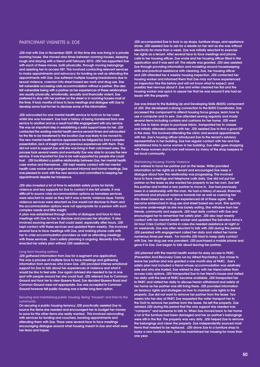### Participant vignette 6: ZOE

J2SI met with Zoe in November 2009. At this time she was living in a private rooming house. She moved nine times between rooming houses, sleeping rough and staying with a friend until February 2010. J2SI has supported Zoe with each of these moves, both physically, through moving belongings and assisting her to access HEF. This involved contacting relevant services to make appointments and advocacy for funding as well as attending the appointments with Zoe. Zoe suffered multiple housing breakdowns due to sexual violence, coercion into street based sex work and drug use. Zoe felt vulnerable accessing crisis accommodation without a partner. She also felt vulnerable being with a partner as her experiences of these relationships are usually physically, emotionally, sexually and financially violent. Zoe preferred to stay with her partner on the street or in rooming houses most of the time. It took months of face to face meetings and dialogue with Zoe to develop some trust for her to disclose some of this information.

J2SI advocated for one mental health service to hold on to her case whilst she was transient. Zoe had a history of being transferred from one service to another and as a result had little engagement with any service. This was an important step in establishing a solid support base for her. J2SI contacted the existing mental health service several times and advocated for the file to be transferred to the location Zoe was likely to be moved to. The new mental health service appeared to be fatigued by Zoe's complex presentation, lack of insight and her previous experiences with them. They did not want to support Zoe until she was living in their catchment area. The process took several weeks and eventually Zoe was able to access the new service. It was important for Zoe to be well supported by people she could trust. J2SI facilitated a positive relationship between Zoe, her mental health case worker and themselves. J2SI kept weekly contact with her mental health case worker and arranged several informal and formal meetings. Zoe was pleased to work with the new service and committed to keeping her appointments despite her transience.

J2SI also invested a lot of time to establish safety plans for family violence and key supports for Zoe to contact if she felt unsafe. It was difficult to source crisis accommodation options as homeless services were reluctant to assist as they felt it was a family violence issue. Family violence services were reluctant as Zoe would not disclose to them and the accommodation options were not appropriate for a person with such complex needs and little insight.

A plan was established through months of dialogue and face to face meetings with Zoe for her to disclose and process her situation. It also involved sourcing services that could assist, especially after hours. J2SI kept contact with these services and updated them weekly. This involved several face to face meetings with Zoe, and making phone calls with her to crisis accommodation providers as well as attending meetings with these services. Zoe's safety planning is ongoing. Recently Zoe has enacted her safety plan without J2SI assistance.

#### Long term housing options

J2SI gathered information from Zoe for a segment one application. This was a process of multiple face to face meetings and gathering information from services who knew Zoe. J2SI provided intense emotional support for Zoe to talk about her experiences of violence and what it would be like to feel safe. Zoe again advised she needed to be in one spot with people around her she could trust. J2SI referred Zoe to Common Ground and took her to view Queens Road. Zoe decided Queens Road and Common Ground were not appropriate. Zoe was accepted to Common Ground however felt public housing was a better long term option.

#### Securing and maintaining public housing: Being "housed" and links to the community

On securing a public housing tenancy J2SI practically assisted Zoe to source the items she needed and encouraged her to budget her money to save for the other items she really wanted. This involved advocating with services for funding and vouchers, booking appointments and attending them with Zoe. There were several face to face meetings encouraging dialogue around what housing meant to Zoe and what were her fears and hopes.

J2SI accompanied Zoe to look in op shops, furniture shops, and appliance stores. J2SI assisted Zoe to ask for a rebate on her rent as she was without electricity for more than a week. Zoe was initially reluctant to exercise her rights as a tenant. After several face to face meetings and phone calls to her housing officer, Zoe wrote and her housing officer filled in the application and it was sent off. The rebate was granted. J2SI also assisted Zoe through providing information and modeling around housekeeping skills and practical assistance with cleaning. Zoe, her housing officer and J2SI attended her 6 weekly housing inspection. J2SI contacted her housing worker and informed them that Zoe may not have experienced an inspection like this before and will not know what to expect, and possibly feel nervous about it. Zoe and writer cleaned her flat and the housing worker was quick to assure her that he was around if she had an issues with the property.

Zoe was linked to the Building Up and Developing Skills (BUDS) component of J2SI. She developed a strong connection to the BUDS Coordinator. Zoe accessed this component to attend housing focus groups, learn how to use a computer and to sew. Zoe attended sewing regularly and made several items including curtains and cushions for her home. J2SI went with Zoe to fabric shops to purchase fabric, transported her to classes and initially attended classes with her. J2SI assisted Zoe to find a good GP in the area. This involved attending the clinic and several appointments with her. Zoe's housing officer introduced Zoe to the tenant's advisory representative in her building. Zoe has regular contact with her and has established links to some women in her building. Zoe often goes shopping with these women and is now well known by many of the shop keepers in her local community.

#### Maintaining Housing: Family Violence

Zoe wished to have her partner put on the lease. Writer provided information on her rights as a tenant and encouraged Zoe keep a dialogue about how this relationship was progressing. This involved face to face meetings and telephone calls daily. Zoe did not put her partner on the lease as she wanted her property to be her own. Zoe left this partner and invited a new partner to move in. Zoe had previously been in a relationship with this man. He had a history of sexual, financial, emotional and physical violence towards her as well as coercing her into street based sex work. Zoe experienced all of these again. She became entrenched in drug use and street based sex work. She quickly became underweight as she was barely eating. She withdrew from her friends, community and supports. J2SI kept daily contact with Zoe and encouraged her to remember her safety plan. J2SI also kept weekly contact with her mental health worker and updated The Salvation Army's 24 hour Crisis Contact Centre in case she needed assistance at night or on weekends. Zoe was often reluctant to talk with J2SI during this period. J2SI persisted with engagement called her daily and visited her home numerous times per week. For months J2SI tried to keep daily contact with Zoe, her drug use was prevalent. J2SI purchased a mobile phone and gave it to Zoe. Zoe began to talk about leaving her partner.

J2SI planned with the mental health worker for easy access to PARC (Prevention And Recovery Care run by Alfred Psychiatry). Zoe chose to leave her partner and was granted a one month stay at PARC. Zoe's safety plan had included a friend whose accommodation was relatively safe and who she trusted. Zoe wished to stay with her friend rather than access crisis options. J2SI transported Zoe to her friend's house and visited her daily until the bed at PARC became available. J2SI transported her to PARC and visited her daily to discuss heroin withdrawal and safety at her home as her partner was still living there. J2SI provided information on tenancy rights and strategies as how to maintain sole rights to the property. Zoe did not want to remove her partner from the lease. Two weeks into her stay at PARC Zoe requested the writer transport her to the OoH to remove her partner from the lease. He left the property. Zoe advised J2SI during this period that the only support she needed was "company" and someone to talk to. When Zoe moved back to her home a lot of the furniture had been damaged and her ex partner's belongings were still in the flat. The property was very dirty. J2SI helped Zoe to remove the belongings and clean the property. Zoe independently sourced most items that needed to be replaced. J2SI drove Zoe to a furniture shop to layby a new furniture item. Zoe has maintained her housing for more than one year.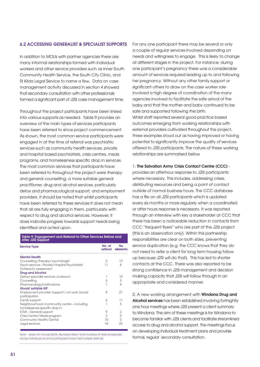### 6.2 Accessing generalist & specialist supports

In addition to MOUs with partner agencies there are many informal relationships formed with individual workers and other service providers such as Inner South Community Health Service, the South City Clinic, and St Kilda Legal Service to name a few. Data on case management activity discussed in section 4 showed that secondary consultation with other professionals formed a significant part of J2SI case management time.

Throughout the project participants have been linked into various supports as needed. Table 9 provides an overview of the main types of services participants have been referred to since project commencement. As shown, the most common service participants were engaged in at the time of referral was psychiatric services such as community health services, private and hospital based psychiatrists, crisis centres, meals programs, and homelessness specific drop in services. The most common services that participants have been referred to throughout the project were therapy and general counselling, a more suitable general practitioner, drug and alcohol services, particularly detox and pharmacological support, and employment providers. It should be noted that whilst participants have been referred to these services it does not mean that all are fully engaging in them, particularly with respect to drug and alcohol services. However, it does indicate progress towards support needs being identified and acted upon.

# Table 9: Engagement and Referral to Other Services Before and After J2SI Support

| Service Type                                      | No. at<br>refferal | No.<br>referred to |
|---------------------------------------------------|--------------------|--------------------|
| <b>Mental Health</b>                              |                    |                    |
| Counselling /therapy/psychologist                 | $\overline{2}$     | 13                 |
| Psych services - Private / Hospital Psychiatrist/ | 11                 | 8                  |
| Outreach/assessment                               |                    |                    |
| <b>Drug and Alcohol</b>                           |                    |                    |
| Detox/specialist services/outreach                |                    | 10                 |
| Counselling                                       | 5                  | 5                  |
| Pharmacology/methodone                            |                    | 8                  |
| Good/ suitable GP                                 |                    |                    |
| Employment provider /support / vol work /social   | 8                  | 27                 |
| participation                                     |                    |                    |
| Family support                                    | 6                  | 11                 |
| Neighbourhood /community centre - including       |                    | 5                  |
| homelessness specific drop in                     |                    |                    |
| ICMI-General support                              | 9                  | 2                  |
| Crisis Centre/ Meals program                      | 3                  | U                  |
| <b>Community Health/Dental</b>                    | 10                 | U                  |
| Legal services                                    | 18                 | 22                 |
|                                                   |                    |                    |

Note – does not include BUDS. Numbers reflect total numbers of referral episodes across individuals as some participants have had multiple referrals.

For any one participant there may be several or only a couple of regular services involved depending on needs and willingness to engage. This is likely to change at different stages in the project. For instance, during one participant's pregnancy there was a considerable amount of services required leading up to and following her pregnancy. Without any other family support or significant others to draw on the case worker role involved a high degree of coordination of the many agencies involved to facilitate the safe arrival of the baby and that the mother and baby continued to be safe and supported following the birth. Whilst staff reported several good practice based outcomes emerging from working relationships with external providers cultivated throughout the project, three examples stood out as having improved or having potential to significantly improve the quality of services offered to J2SI participants. The nature of these working

### 1. The Salvation Army Crisis Contact Centre (CCC) -

relationships are summarised below

provides an afterhour response to J2SI participants where necessary. This includes, addressing crises, distributing resources and being a point of contact outside of normal business hours. The CCC database has a file on all J2SI participants which is updated every six months or more regularly when a coordinated or after hours response is necessary. It was reported through an interview with key a stakeholder at CCC that there has been a noticeable reduction in contacts from CCC "frequent flyers" who are part of the J2SI project (this is an observation only). Within this partnership responsibilities are clear on both sides, preventing service duplication (e.g. the CCC knows that they do not need to refer a client for long term housing follow up because J2SI will do that). This has led to shorter contacts at the CCC. There was also reported to be strong confidence in J2SI management and decision making capacity that J2SI will follow through in an appropriate and considered manner.

2. A new working arrangement with **Windana Drug and** Alcohol services has been established involving fortnightly one hour meetings where J2SI present a client summary to Windana. The aim of these meetings is for Windana to become familiar with J2SI clients and facilitate streamlined access to drug and alcohol support. The meetings focus on developing individual treatment plans and provide formal, regular secondary consultation.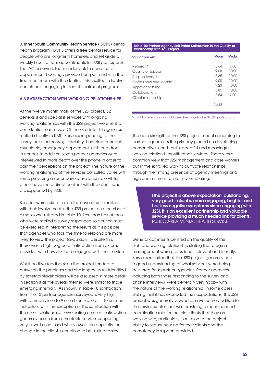3. Inner South Community Health Service (ISCHS) dental health program. ISCHS offers a free dental service for people who are long-term homeless and set aside a weekly block of four appointments for J2SI participants. The IAC casework team undertook to coordinate appointment bookings, provide transport and sit in the treatment room with the dentist. This resulted in twelve participants engaging in dental treatment programs.

# 6.3 Satisfaction with working relationships

At the twelve month mark of the J2SI project, 32 generalist and specialist services with ongoing working relationships with the J2SI project were sent a confidential mail survey. Of these, a total 13 agencies replied directly to RMIT. Services responding to the survey included housing, disability, homeless outreach, psychiatric, emergency department, crisis and drop in centres. In addition seven partner agencies were interviewed in more depth over the phone in order to gain their perceptions on the project. The nature of the working relationship of the services consulted varies with some providing a secondary consultation role whilst others have more direct contact with the clients who are supported by J2SI.

Services were asked to rate their overall satisfaction with their involvement in the J2SI project on a number of dimensions illustrated in table 10. Less than half of those who were mailed a survey responded so caution must be exercised in interpreting the results as it is possible that agencies who took the time to respond are more likely to view the project favourably. Despite this, there was a high degree of satisfaction from external providers with how J2SI had engaged with their service

Whilst positive feedback on the project tended to outweigh the problems and challenges, issues identified by external stakeholders will be discussed in more detail in section 8 as the overall themes were similar to those emerging internally. As shown, in Table 10 satisfaction from the 13 partner agencies surveyed is very high with a mean close to 9 on a likert scale of 1-10 on most indicators, with the exception of the satisfaction with the client relationship. Lower rating on client satisfaction generally came from psychiatric services supporting very unwell clients and who viewed the capacity for change in the client's condition to be limited to slow.

# Table 10: Partner Agency Self Rated Satisfaction in the Quality of Relationship with J2SI Project

| Satisfaction with         | <b>Mean</b> | <b>Median</b> |
|---------------------------|-------------|---------------|
| Referrals*                | 8.64        | 8.00          |
| Quality of support        | 9.08        | 10.00         |
| Responsiveness            | 8.85        | 10.00         |
| Professional relationship | 9.00        | 10.00         |
| Approachability           | 9.23        | 10.00         |
| Collaboration             | 8.85        | 10.00         |
| Client relationship       | 7.54        | 7.00          |
|                           | $N = 1.3*$  |               |

\*n =11 for referrals as not all have direct contact with J2SI participants 

The core strength of the J2SI project model according to partner agencies is the primacy placed on developing constructive, consistent, respectful and meaningful working relationships with other services. There was a common view that J2SI management and case workers put in the extra leg work to cultivate relationships through their strong presence at agency meetings and high commitment to information sharing.

> [The project] is above expectation, outstanding, very good - client is more engaging, brighter and has less negative symptoms since engaging with J2SI. It is an excellent partnership and valuable service providing a much needed link for clients. PUBLIC AREA MENTAL HEALTH SERVICE

General comments centred on the quality of the staff and working relationship stating that program management were professional, relevant and friendly. Services reported that the J2SI project generally had a good understanding of what services were being delivered from partner agencies. Partner agencies, including both those responding to the survey and phone interviews, were generally very happy with the nature of the working relationship, in some cases stating that it has exceeded their expectations. The J2SI project was generally viewed as a welcome addition to the service sector that was providing a much needed coordination role for the joint clients that they are working with, particularly in relation to the project's ability to secure housing for their clients and the consistency in support provided.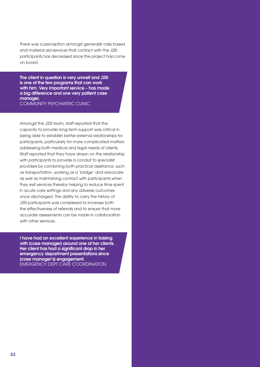There was a perception amongst generalist crisis based and material aid services that contact with the J2SI participants has decreased since the project has come on board.

The client in question is very unwell and J2SI is one of the few programs that can work with him. Very important service - has made a big difference and one very patient case manager. COMMUNITY PSYCHIATRIC CLINIC

Amongst the J2SI team, staff reported that the capacity to provide long-term support was critical in being able to establish better external relationships for participants, particularly for more complicated matters addressing both medical and legal needs of clients. Staff reported that they have drawn on the relationship with participants to provide a conduit to specialist providers by combining both practical assistance, such as transportation, working as a 'bridge' and advocate as well as maintaining contact with participants when they exit services thereby helping to reduce time spent in acute care settings and any adverse outcomes once discharged. The ability to carry the history of J2SI participants was considered to increase both the effectiveness of referrals and to ensure that more accurate assessments can be made in collaboration with other services.

I have had an excellent experience in liaising with (case manager) around one of her clients. Her client has had a significant drop in her emergency department presentations since [case manager's] engagement. EMERGENCY DEPT CARE COORDINATION

Ī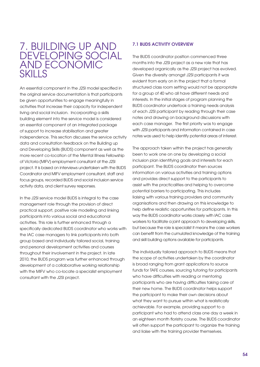# 7. Building up and DEVELOPING SOCIAL and economic skills

An essential component in the J2SI model specified in the original service documentation is that participants be given opportunities to engage meaningfully in activities that increase their capacity for independent living and social inclusion. Incorporating a skills building element into the service model is considered an essential component of an integrated package of support to increase stabilisation and greater independence. This section discusses the service activity data and consultation feedback on the Building up and Developing Skills (BUDS) component as well as the more recent co-location of the Mental Illness Fellowship of Victoria (MIFV) employment consultant at the J2SI project. It is based on interviews undertaken with the BUDS Coordinator and MIFV employment consultant, staff and focus groups, recorded BUDS and social inclusion service activity data, and client survey responses.

In the J2SI service model BUDS is integral to the case management role through the provision of direct practical support, positive role modelling and linking participants into various social and educational activities. This role is further enhanced through a specifically dedicated BUDS coordinator who works with the IAC case managers to link participants into both group based and individually tailored social, training and personal development activities and courses throughout their involvement in the project. In late 2010, the BUDS program was further enhanced through development of a collaborative working relationship with the MIFV who co-locate a specialist employment consultant with the J2SI project.

# 7.1 BUDS activity overview

The BUDS coordinator position commenced three months into the J2SI project as a new role that has developed organically as the J2SI project has evolved. Given the diversity amongst J2SI participants it was evident from early on in the project that a formal structured class room setting would not be appropriate for a group of 40 who all have different needs and interests. In the initial stages of program planning the BUDS coordinator undertook a training needs analysis of each J2SI participant by reading through their case notes and drawing on background discussions with each case manager. The first priority was to engage with J2SI participants and information contained in case notes was used to help identify potential areas of interest.

The approach taken within the project has generally been to work one on one by developing a social inclusion plan identifying goals and interests for each participant. The BUDS coordinator then sources information on various activities and training options and provides direct support to the participants to assist with the practicalities and helping to overcome potential barriers to participating. This includes liaising with various training providers and community organisations and then drawing on this knowledge to help define realistic opportunities for participants. In this way the BUDS coordinator works closely with IAC case workers to facilitate a joint approach to developing skills, but because the role is specialist it means the case workers can benefit from the cumulated knowledge of the training and skill building options available for participants.

The individually tailored approach to BUDS means that the scope of activities undertaken by the coordinator is broad ranging from grant applications to source funds for TAFE courses, sourcing tutoring for participants who have difficulties with reading or mentoring participants who are having difficulties taking care of their new home. The BUDS coordinator helps support the participant to make their own decisions about what they want to pursue within what is realistically achievable. For example, providing support to a participant who had to attend class one day a week in an eighteen month floristry course. The BUDS coordinator will often support the participant to organize the training and liaise with the training provider themselves.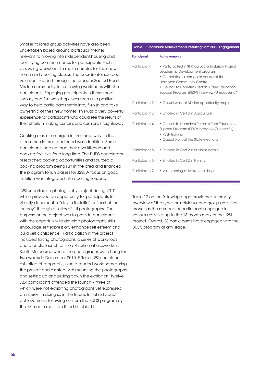Smaller tailored group activities have also been undertaken based around particular themes relevant to moving into independent housing and identifying common needs for participants, such as sewing workshops to make curtains for their new home and cooking classes. The coordinator sourced volunteer support through the broader Sacred Heart Mission community to run sewing workshops with the participants. Engaging participants in these more socially and fun workshops was seen as a positive way to help participants settle into, furnish and take ownership of their new homes. This was a very powerful experience for participants who could see the results of their efforts in making curtains and cushions straightaway.

Cooking classes emerged in the same way, in that a common interest and need was identified. Some participants had not had their own kitchen and cooking facilities for a long time. The BUDS coordinator researched cooking opportunities and sourced a cooking program being run in the area and financed the program to run classes for J2SI. A focus on good nutrition was integrated into cooking sessions.

J2SI undertook a photography project during 2010 which provided an opportunity for participants to visually document a "day in their life" or "part of the journey" through a series of still photographs. The purpose of the project was to provide participants with the opportunity to develop photography skills, encourage self expression, enhance self esteem and build self confidence. Participation in the project included taking photographs, a series of workshops and a public launch of the exhibition at Gasworks in South Melbourne where the photographs were hung for two weeks in December 2010. Fifteen J2SI participants exhibited photographs, nine attended workshops during the project and assisted with mounting the photographs and setting up and pulling down the exhibition. Twelve J2SI participants attended the launch – three of which were not exhibiting photographs yet expressed an interest in doing so in the future. Initial individual achievements following on from the BUDS program by the 18 month mark are listed in table 11.

#### Table 11: Individual Achievements Resulting from BUDS Engagement

| <b>Participant</b> | <b>Achievements</b>                                                                                                                                                                                                                                                  |
|--------------------|----------------------------------------------------------------------------------------------------------------------------------------------------------------------------------------------------------------------------------------------------------------------|
| Participant 1      | • Participated in St Kilda Social Inclusion Project<br>Leadership Development program<br>• Completed a computer course at the<br><b>Hampton Community Centre</b><br>• Council to Homeless Person's Peer Education<br>Support Program (PESP) Interview (Unsuccessful) |
| Participant 2      | • Casual work at Mission opportunity shops                                                                                                                                                                                                                           |
| Participant 3      | • Enrolled in Cert 3 in Agriculture                                                                                                                                                                                                                                  |
| Participant 4      | • Council to Homeless Person's Peer Education<br>Support Program (PESP) Interview (Successful)<br>• PESP training<br>• Casual work at the State elections                                                                                                            |
| Participant 5      | • Enrolled in Cert 2 in Business Admin                                                                                                                                                                                                                               |
| Participant 6      | • Enrolled in Cert 2 in Floristry                                                                                                                                                                                                                                    |
| Participant 7      | • Volunteering at Mission op shops                                                                                                                                                                                                                                   |

Table 12 on the following page provides a summary overview of the types of individual and group activities as well as the numbers of participants engaged in various activities up to the 18 month mark of the J2SI project. Overall, 28 participants have engaged with the BUDS program at any stage.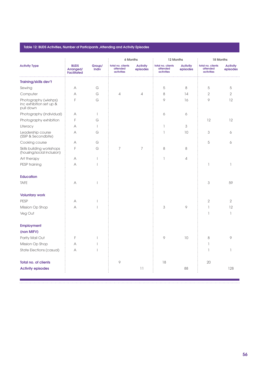### Table 12: BUDS Activities, Number of Participants ,Attending and Activity Episodes

|                                                              |                                                |                          | 6 Months                                    |                             | 12 Months                                   |                             | 18 Months                                   |                             |
|--------------------------------------------------------------|------------------------------------------------|--------------------------|---------------------------------------------|-----------------------------|---------------------------------------------|-----------------------------|---------------------------------------------|-----------------------------|
| <b>Activity Type</b>                                         | <b>BUDS</b><br>Arranged/<br><b>Facilitated</b> | Group/<br>Indiv          | total no. clients<br>attended<br>activities | <b>Activity</b><br>episodes | total no. clients<br>attended<br>activities | <b>Activity</b><br>episodes | total no. clients<br>attended<br>activities | <b>Activity</b><br>episodes |
| <b>Training/skills dev't</b>                                 |                                                |                          |                                             |                             |                                             |                             |                                             |                             |
| Sewing                                                       | Α                                              | G                        |                                             |                             | 5                                           | 8                           | 5                                           | 5                           |
| Computer                                                     | A                                              | G                        | $\overline{4}$                              | $\overline{4}$              | 8                                           | 14                          | $\overline{2}$                              | $\overline{2}$              |
| Photography (wkshps)<br>inc exhibition set up &<br>pull down | F                                              | G                        |                                             |                             | 9                                           | 16                          | 9                                           | 12                          |
| Photography (individual)                                     | Α                                              | $\overline{\phantom{a}}$ |                                             |                             | 6                                           | 6                           |                                             |                             |
| Photography exhibition                                       | F                                              | G                        |                                             |                             |                                             |                             | 12                                          | 12                          |
| Literacy                                                     | Α                                              | $\overline{1}$           |                                             |                             | 1                                           | 3                           |                                             |                             |
| Leadership course<br>(SSIP & Secondbite)                     | A                                              | G                        |                                             |                             | 1                                           | 10                          | 3                                           | 6                           |
| Cooking course                                               | A                                              | G                        |                                             |                             |                                             |                             | 5                                           | 6                           |
| Skills building workshops<br>(housing/social inclusion)      | F                                              | G                        | 7                                           | 7                           | 8                                           | 8                           |                                             |                             |
| Art therapy                                                  | Α                                              | $\overline{\phantom{a}}$ |                                             |                             | 1                                           | 4                           |                                             |                             |
| PESP training                                                | Α                                              |                          |                                             |                             |                                             |                             | 1                                           | 1                           |
| <b>Education</b>                                             |                                                |                          |                                             |                             |                                             |                             |                                             |                             |
| <b>TAFE</b>                                                  | Α                                              |                          |                                             |                             |                                             |                             | 3                                           | 59                          |
| <b>Voluntary work</b>                                        |                                                |                          |                                             |                             |                                             |                             |                                             |                             |
| <b>PESP</b>                                                  | Α                                              |                          |                                             |                             |                                             |                             | $\overline{2}$                              | 2                           |
| Mission Op Shop                                              | A                                              |                          |                                             |                             | 3                                           | 9                           | $\mathbb{I}$                                | 12                          |
| Veg Out                                                      |                                                |                          |                                             |                             |                                             |                             | 1                                           | 1                           |
| <b>Employment</b>                                            |                                                |                          |                                             |                             |                                             |                             |                                             |                             |
| (non MIFV)                                                   |                                                |                          |                                             |                             |                                             |                             |                                             |                             |
| Parity Mail Out                                              | F                                              |                          |                                             |                             | 9                                           | 10                          | 8                                           | 9                           |
| Mission Op Shop                                              | A                                              |                          |                                             |                             |                                             |                             | 1                                           |                             |
| State Elections (casual)                                     | A                                              |                          |                                             |                             |                                             |                             | 1                                           | 1                           |
| <b>Total no. of clients</b>                                  |                                                |                          | 9                                           |                             | 18                                          |                             | 20                                          |                             |
| <b>Activity episodes</b>                                     |                                                |                          |                                             | 11                          |                                             | 88                          |                                             | 128                         |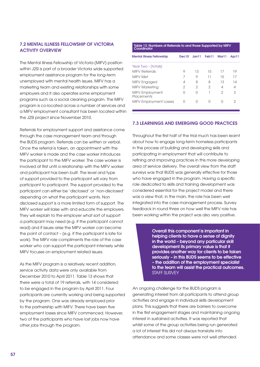# 7.2 Mental Illness Fellowship of Victoria activity overview

The Mental Illness Fellowship of Victoria (MIFV) position within J2SI is part of a broader Victoria wide supported employment assistance program for the long-term unemployed with mental health issues. MIFV has a marketing team and existing relationships with some employers and it also operates some employment programs such as a social cleaning program. The MIFV program is co-located across a number of services and a MIFV employment consultant has been located within the J2SI project since November 2010.

Referrals for employment support and assistance come through the case management team and through the BUDS program. Referrals can be written or verbal. Once the referral is taken, an appointment with the MIFV worker is made and the case worker introduces the participant to the MIFV worker. The case worker is involved at first until a relationship with the MIFV worker and participant has been built. The level and type of support provided to the participant will vary from participant to participant. The support provided to the participant can either be 'disclosed' or 'non-disclosed' depending on what the participant wants. Non disclosed support is a more limited form of support. The MIFV worker will liaise with and educate the employers. They will explain to the employer what sort of support a participant may need (e.g. if the participant cannot read) and if issues arise the MIFV worker can become the point of contact – (e.g. if the participant is late for work). The MIFV role compliments the role of the case worker who can support the participant intensely while MIFV focuses on employment related issues.

As the MIFV program is a relatively recent addition, service activity data were only available from December 2010 to April 2011. Table 13 shows that there were a total of 19 referrals, with 14 considered to be engaged in the program by April 2011. Four participants are currently working and being supported by the program. One was already employed prior to the partnership with MIFV. There have been five employment losses since MIFV commenced. However, two of the participants who have lost jobs now have other jobs through the program.

| Table 13: Numbers of Referrals to and those Supported by MIFV<br>Coordinator |        |       |                   |       |       |  |  |
|------------------------------------------------------------------------------|--------|-------|-------------------|-------|-------|--|--|
| <b>Mental Illness Fellowship</b>                                             | Dec10  | Jan11 | Feb <sub>11</sub> | Mar11 | Apr11 |  |  |
| Year Two - (totals)                                                          |        |       |                   |       |       |  |  |
| <b>MIFV Referrals</b>                                                        | 9      | 13    | 15                | 17    | 19    |  |  |
| MIFV Met                                                                     | 7      | 9     | 11                | 15    | 17    |  |  |
| MIFV Engaged                                                                 | 4      | 8     | 8                 | 13    | 1Δ    |  |  |
| MIFV Marketing                                                               | 2      | 2     | 2                 | 4     | Δ     |  |  |
| <b>MIFV Employment</b><br>Placements                                         | $\Box$ | Λ     |                   | 2     | 3     |  |  |
| <b>MIFV Employment Losses</b>                                                | $\Box$ | Π     |                   | Ω     |       |  |  |

### 7.3 Learnings and emerging good practices

Throughout the first half of the trial much has been learnt about how to engage long-term homeless participants in the process of building and developing skills and participating in employment that will contribute to refining and improving practices in this more developing area of service delivery. The overall view from the staff surveys was that BUDS was generally effective for those who have engaged in the program. Having a specific role dedicated to skills and training development was considered essential for the project model and there was a view that, in the main, the role has been well integrated into the case management process. Survey feedback in round three on how well the MIFV role has been working within the project was also very positive.

> Overall this component is important in helping clients to have a sense of dianity in the world – beyond any particular skill development its primary value is that it provides another way for clients to be taken seriously – in this BUDS seems to be effective – the addition of the employment specialist to the team will assist the practical outcomes. STAFF SURVEY

An ongoing challenge for the BUDS program is generating interest from all participants to attend group activities and engage in individual skills development plans. This suggests that there are barriers to overcome in the first engagement stages and maintaining ongoing interest in sustained activities. It was reported that whilst some of the group activities being run generated a lot of interest this did not always translate into attendance and some classes were not well attended.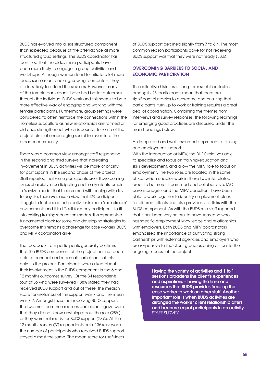BUDS has evolved into a less structured component than expected because of the attendance at more structured group settings. The BUDS coordinator has identified that the older, male participants have been more likely to engage in group activities and workshops. Although women tend to initiate a lot more ideas, such as art, cooking, sewing, computers, they are less likely to attend the sessions. However, many of the female participants have had better outcomes through the individual BUDS work and this seems to be a more effective way of engaging and working with the female participants. Furthermore, group settings were considered to often reinforce the connections within the homeless subculture as new relationships are formed or old ones strengthened, which is counter to some of the project aims of encouraging social inclusion into the broader community.

There was a common view amongst staff responding in the second and third surveys that increasing involvement in BUDS activities will be more of priority for participants in the second phase of the project. Staff reported that some participants are still overcoming issues of anxiety in participating and many clients remain in 'survival mode' that is consumed with coping with day to day life. There was also a view that J2SI participants struggle to feel accepted in activities in more 'mainstream' environments and it is difficult for many participants to fit into existing training/education models. This represents a fundamental block for some and developing strategies to overcome this remains a challenge for case workers, BUDS and MIFV coordinators alike.

The feedback from participants generally confirms that the BUDS component of the project has not been able to connect and reach all participants at this point in the project. Participants were asked about their involvement in the BUDS component in the 6 and 12 months outcomes survey. Of the 34 respondents (out of 36 who were surveyed), 38% stated they had received BUDS support and out of these, the median score for usefulness of this support was 7 and the mean was 7.2. Amongst those not receiving BUDS support, the two most common reasons participants gave were that they did not know anything about the role (28%) or they were not ready for BUDS support (23%). At the 12 months survey (30 respondents out of 36 surveyed) the number of participants who received BUDS support stayed almost the same. The mean score for usefulness

of BUDS support declined slightly from 7 to 6.4. The most common reason participants gave for not receiving BUDS support was that they were not ready (33%).

# Overcoming barriers to social and economic participation

The collective histories of long-term social exclusion amongst J2SI participants mean that there are significant obstacles to overcome and ensuring that participants turn up to work or training requires a great deal of coordination. Combining the themes from interviews and survey responses, the following learnings for emerging good practices are discussed under the main headings below.

An integrated and well resourced approach to training and employment support:

With the introduction of MIFV, the BUDS role was able to specialize and focus on training/education and skills development, and allow the MIFV role to focus on employment. The two roles are located in the same office, which enables work in these two interrelated areas to be more streamlined and collaborative. IAC case managers and the MIFV consultant have been able to work together to identify employment plans for different clients and also provides vital links with the BUDS component. As with the BUDS role staff reported that it has been very helpful to have someone who has specific employment knowledge and relationships with employers. Both BUDS and MIFV coordinators emphasised the importance of cultivating strong partnerships with external agencies and employers who are responsive to the client group as being critical to the ongoing success of the project.

> Having the variety of activities and 1 to 1 sessions broadens the client's experiences and aspirations – having the time and resources that BUDS provides frees up the case worker to work on other stuff. Another important role is when BUDS activities are arranged the worker client relationship alters and become equal participants in an activity. STAFF SURVEY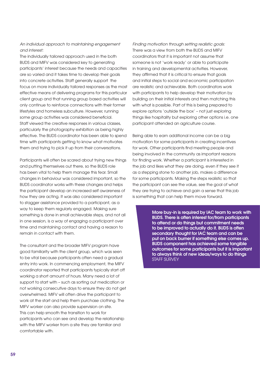# An individual approach to maintaining engagement and interest:

The individually tailored approach used in the both BUDS and MIFV was considered key to generating participants' interest because the needs and capacities are so varied and it takes time to develop their goals into concrete activities. Staff generally support the focus on more individually tailored responses as the most effective means of delivering programs for this particular client group and that running group based activities will only continue to reinforce connections with their former lifestyles and homeless subculture. However, running some group activities was considered beneficial. Staff viewed the creative responses in various classes, particularly the photography exhibition as being highly effective. The BUDS coordinator has been able to spend time with participants getting to know what motivates them and trying to pick it up from their conversations.

Participants will often be scared about trying new things and putting themselves out there, so the BUDS role has been vital to help them manage this fear. Small changes in behaviour was considered important, so the BUDS coordinator works with these changes and helps the participant develop an increased self awareness of how they are acting. It was also considered important to stagger assistance provided to a participant, as a way to keep them regularly engaged. Making sure something is done in small achievable steps, and not all in one session, is a way of engaging a participant over time and maintaining contact and having a reason to remain in contact with them.

The consultant and the broader MIFV program have good familiarity with the client group, which was seen to be vital because participants often need a gradual entry into work. In commencing employment, the MIFV coordinator reported that participants typically start off working a short amount of hours. Many need a lot of support to start with – such as sorting out medication or not working consecutive days to ensure they do not get overwhelmed. MIFV will often drive the participant to work at the start and help them purchase clothing. The MIFV worker can also provide supervision on site. This can help smooth the transition to work for participants who can see and develop the relationship with the MIFV worker from a site they are familiar and comfortable with.

Finding motivation through setting realistic goals: There was a view from both the BUDS and MIFV coordinators that it is important not assume that someone is not 'work ready' or able to participate in training and developmental activities. However, they affirmed that it is critical to ensure that goals and initial steps to social and economic participation are realistic and achievable. Both coordinators work with participants to help develop their motivation by building on their initial interests and then matching this with what is possible. Part of this is being prepared to explore options 'outside the box' – not just exploring things like hospitality but exploring other options i.e. one participant attended an agriculture course.

Being able to earn additional income can be a big motivation for some participants in creating incentives for work. Other participants find meeting people and being involved in the community as important reasons for finding work. Whether a participant is interested in the job and likes what they are doing, even if they see it as a stepping stone to another job, makes a difference for some participants. Making the steps realistic so that the participant can see the value, see the goal of what they are trying to achieve and gain a sense that this job is something that can help them move forward.

> More buy-in is required by IAC team to work with BUDS. There is often interest for/from participants to attend or do things but commitment needs to be improved to actually do it. BUDS is often secondary thought for IAC team and can be put on back burner if something else comes up. BUDS component has achieved some tangible outcomes for some participants but it is important to always think of new ideas/ways to do things STAFF SURVEY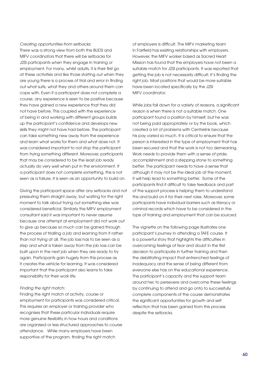### Creating opportunities from setbacks:

There was a strong view from both the BUDS and MIFV coordinators that there will be setbacks for J2SI participants when they engage in training or employment. For many, whilst adults, it is their first go at these activities and like those starting out when they are young there is a process of trial and error in finding out what suits, what they and others around them can cope with. Even if a participant does not complete a course, any experience is seen to be positive because they have gained a new experience that they did not have before. This coupled with the experience of being in and working with different groups builds up the participant's confidence and develops new skills they might not have had before. The participant can take something new away from the experience and learn what works for them and what does not. It was considered important to not stop the participant from trying something different. Moreover, participants that may be considered to be the least job ready actually do very well when put in the environment. If a participant does not complete something, this is not seen as a failure, it is seen as an opportunity to build on.

Giving the participant space after any setbacks and not pressuring them straight away, but waiting for the right moment to talk about trying out something else was considered beneficial. Similarly the MIFV employment consultant said it was important to never assume because one attempt at employment did not work out to give up because so much can be gained through the process of trialling a job and learning from it rather than not trying at all. The job loss has to be seen as a step and what is taken away from the job loss can be built upon in the next job when they are ready to try again. Participants gain hugely from this process as it creates the vehicle for learning. It was considered important that the participant also learns to take responsibility for their work life.

### Finding the right match:

Finding the right match of activity, course or employment for participants was considered critical. This requires an employer or training provider who recognises that these particular individuals require more genuine flexibility in how hours and conditions are organised or less structured approaches to course attendance. While many employers have been supportive of the program, finding the right match

of employers is difficult. The MIFV marketing team in Fairfield has existing relationships with employers. However, the MIFV worker based as Sacred Heart Mission has found that the employers have not been a suitable match for J2SI participants. It was reported that getting the job is not necessarily difficult; it's finding the right job. Most positions that would be more suitable have been located specifically by the J2SI MIFV coordinator.

While jobs fall down for a variety of reasons, a significant reason is when there is not a suitable match. One participant found a position by himself, but he was not being paid appropriately or by the book, which created a lot of problems with Centrelink because his pay varied so much. It is critical to ensure that the person is interested in the type of employment that has been secured and that the work is not too demeaning. Work needs to provide them with a sense of pride, accomplishment and a stepping stone to something better. The participant needs to have a sense that although it may not be the ideal job at the moment, it will help lead to something better. Some of the participants find it difficult to take feedback and part of the support process is helping them to understand this and build on it for their next roles. Moreover, some participants have individual barriers such as literacy or criminal records which have to be considered in the type of training and employment that can be sourced.

The vignette on the following page illustrates one participant's journey in attending a TAFE course. It is a powerful story that highlights the difficulties in overcoming feelings of fear and doubt in the first decision to participate in further training and then the debilitating impact that entrenched feelings of inadequacy and the sense of being different from everyone else has on the educational experience. The participant's capacity and the support team around her, to persevere and overcome these feelings by continuing to attend and go onto to successfully complete components of the course demonstrates the significant opportunities for growth and self reflection that has been gained from this process despite the setbacks.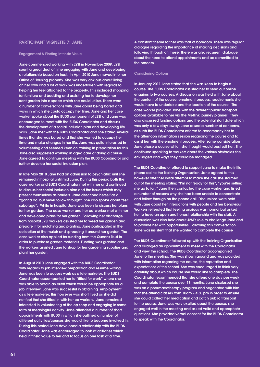### PARTICIPANT VIGNETTE 7: JANE

#### Engagement & Finding Intrinsic Value

Jane commenced working with J2SI in November 2009. J2SI spent a great deal of time engaging with Jane and developing a relationship based on trust. In April 2010 Jane moved into her Office of Housing property. She was very anxious about living on her own and a lot of work was undertaken with regards to helping her feel attached to the property. This included shopping for furniture and bedding and assisting her to develop her front garden into a space which she could utilise. There were a number of conversations with Jane about being bored and ways in which she could occupy her time. Jane and her case worker spoke about the BUDS component of J2SI and Jane was encouraged to meet with the BUDS Coordinator and discuss the development of a social inclusion plan and developing life skills. Jane met with the BUDS Coordinator and she stated several times that she was bored and that she wanted to occupy her time and make changes in her life. Jane was quite interested in volunteering and seemed keen on training in preparation for this. Jane also suggested working in aged care or doing a course. Jane agreed to continue meeting with the BUDS Coordinator and further develop her social inclusion plan.

In late May 2010 Jane had an admission to psychiatric unit she remained in hospital until mid June. During this period both the case worker and BUDS Coordinator met with her and continued to discuss her social inclusion plan and the issues which may present themselves as barriers. Jane described herself as a "gonna do, but never follow through". She also spoke about "self sabotage". While in hospital Jane was keen to discuss her plans for her garden. The case worker and her co-worker met with her and developed plans for her garden. Following her discharge from hospital J2SI workers assisted her to weed her garden and prepare it for mulching and planting. Jane participated in the collection of the mulch and spreading it around her garden. The case worker also applied for funding from the Queens Trust in order to purchase garden materials. Funding was granted and the workers assisted Jane to shop for her gardening supplies and plant her garden.

In August 2010 Jane engaged with the BUDS Coordinator with regards to job interview preparation and resume writing. Jane was keen to access work as a telemarketer. The BUDS Coordinator accompanied her to "fitted for work" where she was able to obtain an outfit which would be appropriate for a job interview. Jane was successful in obtaining employment as a telemarketer; this however was short lived as she did not feel that she fitted in with her co workers. Jane remained interested in volunteering at the op shop and engaging in some form of meaningful activity. Jane attended a number of short appointments with BUDS in which she outlined a number of different activities/courses she would like to become involved in. During this period Jane developed a relationship with the BUDS Coordinator. Jane was encouraged to look at activities which held intrinsic value to her and to focus on one task at a time.

A constant theme for her was that of boredom. There was regular dialogue regarding the importance of making decisions and following through on these. There was also recurrent dialogue about the need to attend appointments and be committed to the process.

### Considering Options

In January 2011 Jane stated that she was keen to begin a course. The BUDS Coordinator assisted her to send out online enquires to two courses. A discussion was held with Jane about the content of the course, enrolment process, requirements she would have to undertake and the location of the course. The case worker provided Jane with the different public transport options available to her via the Metlink journey planner. They also discussed funding options and the potential start date which was only a few days away. Jane raised a number of concerns, as such the BUDS Coordinator offered to accompany her to the afternoon information session regarding the course and to assist her with the enrolment process. After some consideration Jane chose a course which she thought would best suit her. She continued speaking to workers about the various obstacles she envisaged and ways they could be managed.

The BUDS Coordinator offered to support Jane to make the initial phone call to the Training Organisation. Jane agreed to this however after her initial attempt to make the call she stormed out of the meeting stating "I'm not ready for this", "you're setting me up to fail." Jane then contacted the case worker and listed a number of reasons why she had been unable to concentrate and follow through on the phone call. Discussions were held with Jane about her interactions with people and her behaviour. Workers reiterated that feeling anxious was normal but asked her to have an open and honest relationship with the staff. A discussion was also held about J2SI's role to challenge Jane and to provide her with opportunities. Following this conversation Jane was insistent that she wanted to complete the course

The BUDS Coordinator followed up with the Training Organisation and arranged an appointment to meet with the Coordinator and view the school. The BUDS Coordinator accompanied Jane to the meeting. She was shown around and was provided with information regarding the course, the reputation and expectations of the school. She was encouraged to think very carefully about which course she would like to complete. The Coordinator recommended that she attend one day per week and complete the course over 18 months. Jane disclosed she was on a pharmacotherapy program and negotiated with him that she attend classes from 10am – 4:30 pm in order to ensure she could collect her medication and catch public transport to the course. Jane was very excited about the course; she engaged well in the meeting and asked valid and appropriate questions. She provided verbal consent for the BUDS Coordinator to speak with the Coordinator.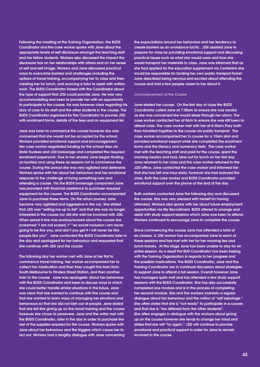Following the meeting at the Training Organisation, the BUDS Coordinator and the case worker spoke with Jane about the appropriate levels of self disclosure amongst the teaching staff and her fellow students. Workers also discussed the impact the disclosure has on her relationships with others and on her sense of self and self image. Workers and Jane discussed practical ways to overcome barriers and challenges including the options of travel training, accompanying her to class and then meeting her for lunch, and sourcing a tutor to assist with written work. The BUDS Coordinator liaised with the Coordinator about the type of support that J2SI could provide Jane. He was very accommodating and keen to provide her with an opportunity to participate in the course. He was however clear regarding his duty of care to his staff and the other students in the course. The BUDS Coordinator organised for the Coordinator to provide J2SI with enrolment forms, details of the fees and an equipment list.

Jane was keen to commence the course however she was concerned that she would not be accepted by the school. Workers provided emotional support and encouragement. Her case worker negotiated funding for the school fees via State Trustees and J2SI brokerage and completed the required enrolment paperwork. Due to her anxiety Jane began fixating on barriers and using these as reasons not to commence the course. During this period she was very agitated and defensive. Workers spoke with her about her behaviour and her emotional response to the challenge of trying something new and attending a course. Via the BUDS brokerage component Jane was provided with financial assistance to purchase required equipment for the course. The BUDS Coordinator accompanied Jane to purchase these items. On the return journey Jane became very agitated and aggressive in the car. She stated that J2SI was "setting me up to fail" and that she was no longer interested in the course nor did she wish be involved with J2SI. When asked if she was anxious/scared about the course she screamed "I am not scared, f\*\*\*en social inclusion I am never going to be like you, and don't you get it I will never be like people like you". Jane contacted the BUDS Coordinator later in the day and apologised for her behaviour and requested that she continue with J2SI and the course.

The following day her worker met with Jane at her flat to commence travel training. Her worker accompanied her to collect her medication and then they caught the tram from South Melbourne to Flinders Street Station, and then another train to the course. Jane was apologetic about her behaviour with the BUDS Coordinator and keen to discuss ways in which she could better handle similar situations in the future. Jane was clear that she wanted to continue with the course and that she wanted to learn ways of managing her emotions and behaviours so that she did not lash out at people. Jane stated that she felt like giving up on the travel training and the course however she chose to persevere. Jane and the writer met with the BUDS Coordinator, later in the day in order to purchase the rest of the supplies required for the course. Workers spoke with Jane about her behaviour and the triggers which cause her to act out. Workers had a lengthy dialogue with Jane concerning

the expectations around her behaviour and her tendency to create barriers as an avoidance tactic. J2SI assisted Jane to prepare for class by providing emotional support and discussing practical issues such as what she would wear and how she would transport her materials to class. Jane was informed that as she had applied for the education supplement via Centerlink she would be responsible for funding her own public transport ticket. Jane described being nervous and excited about attending the course and told a few people closer to her about it.

### Commencement of the Course

Jane started her course. On the first day of class the BUDS Coordinator called Jane at 7:30am to ensure she was awake as she was concerned she would sleep through her alarm. The case worker contacted her at 8am to ensure she was still keen to attend class. The case worker met with her at 8:30am.They both then travelled together to the course via public transport. The case worker accompanied her to course for a 10am start and provided emotional support while she completed the enrolment forms and the literacy and numeracy tests. The case worker met with the teaching staff and paid for the course, spent the morning nearby and took Jane out for lunch on her first day. Jane returned to her class and the case worker returned to the J2SI office. Jane contacted the case worker and informed her that she had left one hour early; however she had enjoyed the class. Both the case worker and BUDS Coordinator provided emotional support over the phone at the end of the day.

Both workers contacted Jane the following day and discussed the course. She was very pleased with herself for having attended. Workers also spoke with her about future employment opportunities via My Recruitment. BUDS offered to arrange and assist with study support sessions which Jane was keen to attend. Workers continued to encourage Jane to complete the course.

Since commencing the course Jane has attended a total of six classes. A J2SI worker has accompanied Jane to each of these sessions and has met with her for her morning tea and lunch breaks. At this stage Jane has been unable to stay for an entire session. As a result the BUD Coordinator has been liaising with the Training Organisation in regards to her progress and the possible implications. The BUDS Coordinator, Jane and the Training Coordinator are in continual discussion about strategies to support Jane to attend a full session. Overall however Jane has managed quite well and has attended a few study support sessions with the BUDS Coordinator. She has also successfully completed one module and is in the process of completing her second module. She and the workers maintain a regular dialogue about her behaviour and the notion of "self sabotage." She often states that she is "not ready" to participate in a course, and that she is "too different from the other students". She often engages in dialogue with the workers about giving up on the course however she tends to change her mind and states that she will "try again." J2SI will continue to provide emotional and practical support in order for Jane to remain involved in the course.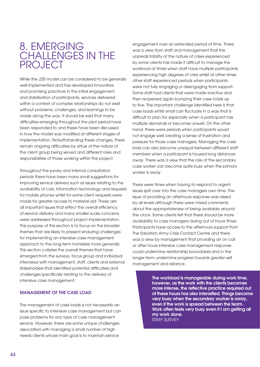# 8. EMER challenges in the **PROJECT**

While the J2SI model can be considered to be generally well implemented and has developed innovative and promising practices in the initial engagement and stabilisation of participants, services delivered within a context of complex relationships do not exist without problems, challenges, and learnings to be made along the way. It should be said that many difficulties emerging throughout the pilot period have been responded to and these have been discussed in how the model was modified at different stages of implementation. Notwithstanding these changes, there remain ongoing difficulties by virtue of the nature of the client group being served and different roles and responsibilities of those working within the project.

Throughout the survey and internal consultation periods there have been many small suggestions for improving service delivery such as issues relating to the availability of cars, information technology and requests for mobile phones whilst for some client requests were made for greater access to material aid. These are all important issues that effect the overall efficiency of service delivery and many smaller scale concerns were addressed throughout project implementation. The purpose of this section is to focus on the broader themes that are likely to present enduring challenges for implementing an intensive case management approach to the long-term homeless more generally. This section collates the overall themes that have emerged from the surveys, focus group and individual interviews with management, staff, clients and external stakeholders that identified potential difficulties and challenges specifically relating to the delivery of intensive case management.

# Management of the case load

The management of case loads is not necessarily an issue specific to intensive case management but can pose problems for any type of case management service. However, there are some unique challenges associated with managing a small number of high needs clients whose main goal is to maintain service

engagement over an extended period of time. There was a view from staff and management that the unpredictability of the nature of crises experienced by some clients has made it difficult to manage the workload at times when staff have multiple participants experiencing high degrees of crisis whilst at other times other staff experienced periods when participants were not fully engaging or disengaging from support. Some staff had clients that were made inactive and then reopened again bumping their case loads up to five. The important challenge identified here is that case loads whilst small can fluctuate in a way that is difficult to plan for, especially when a participant has multiple demands or becomes unwell. On the other hand, there were periods when participants would not engage well creating a sense of frustration and pressure for those case managers. Managing the case load can also become unequal between different staff members when a participant is housed long distances away. There was a view that the role of the secondary case worker can become quite busy when the primary worker is away.

There were times when having to respond to urgent issues spilt over into the case managers own time. The issue of providing an afterhours response was raised by all levels although there were mixed comments about the appropriateness of being available around the clock. Some clients felt that there should be more availability to case managers during out of hours times. Participants have access to the afterhours support from The Salvation Army Crisis Contact Centre and there was a view by management that providing an on call or after hours intensive case management response could undermine relationship boundaries and in the longer term undermine progress towards greater self management and reliance.

> The workload is manageable during work time, however, as the work with the clients becomes more intense, the reflective practice required out of these hours has also intensified. Things become very busy when the secondary worker is away, even if the work is spread between the team. Work often feels very busy even if I am getting all my work done. STAFF SURVEY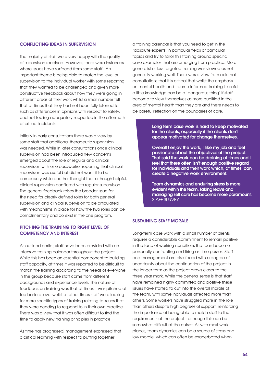### Conflicting ideas in supervision

The majority of staff were very happy with the quality of supervision received. However, there were instances where issues have surfaced from some staff. An important theme is being able to match the level of supervision to the individual worker with some reporting that they wanted to be challenged and given more constructive feedback about how they were going in different areas of their work whilst a small number felt that at times that they had not been fully listened to such as differences in opinions with respect to safety, and not feeling adequately supported in the aftermath of critical incidents.

Initially in early consultations there was a view by some staff that additional therapeutic supervision was needed. While in later consultations once clinical supervision had been introduced new concerns emerged about the role of regular and clinical supervision with one caseworker reporting that clinical supervision was useful but did not want it to be compulsory while another thought that although helpful, clinical supervision conflicted with regular supervision. The general feedback raises the broader issue for the need for clearly defined roles for both general supervision and clinical supervision to be articulated with mechanisms in place for how the two roles can be complimentary and co exist in the one program.

# Pitching the training to right level of competency and interest

As outlined earlier, staff have been provided with an intensive training calendar throughout the project. While this has been an essential component to building staff capacity, at times it was reported to be difficult to match the training according to the needs of everyone in the group because staff come from different backgrounds and experience levels. The nature of feedback on training was that at times it was pitched at too basic a level whilst at other times staff were looking for more specific types of training relating to issues that they were needing to respond to in their own practice. There was a view that it was often difficult to find the time to apply new training principles in practice.

As time has progressed, management expressed that a critical learning with respect to putting together

a training calendar is that you need to get in the 'absolute experts' in particular fields or particular topics and try to tailor this training around specific case examples that are emerging from practice. More generalist or less targeted training was viewed as not generally working well. There was a view from external consultations that it is critical that whilst the emphasis on mental health and trauma informed training is useful a little knowledge can be a 'dangerous thing' if staff become to view themselves as more qualified in the area of mental health than they are and there needs to be careful reflection on the boundaries of care.

> Long term case work is hard to keep motivated for the clients, especially if the clients don't appear motivated for change themselves.

Overall I enjoy the work, I like my job and feel passionate about the objectives of the project. That said the work can be draining at times and I feel that there often isn't enough positive regard for individuals and their work which, at times, can create a negative work environment.

Team dynamics and enduring stress is more evident within the team. Taking leave and managing self care has become more paramount. STAFF SURVEY

# Sustaining staff morale

Long-term case work with a small number of clients requires a considerable commitment to remain positive in the face of working conditions that can become personally confronting and tiring as time passes. Staff and management are also faced with a degree of uncertainty about the continuation of the project in the longer-term as the project draws closer to the three year mark. While the general sense is that staff have remained highly committed and positive these issues have started to cut into the overall morale of the team, with some individuals affected more than others. Some workers have struggled more in the role than others despite high degrees of support, reinforcing the importance of being able to match staff to the requirements of the project - although this can be somewhat difficult at the outset. As with most work places, team dynamics can be a source of stress and low morale, which can often be exacerbated when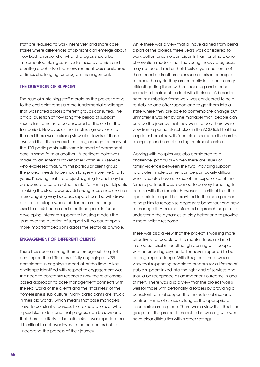staff are required to work intensively and share case stories where differences of opinions can emerge about how best to respond or what strategies should be implemented. Being sensitive to these dynamics and creating a cohesive team environment was considered at times challenging for program management.

### The duration of support

The issue of sustaining staff morale as the project draws to the end point raises a more fundamental challenge that was noted across different groups consulted. The critical question of how long the period of support should last remains to be answered at the end of the trial period. However, as the timelines grow closer to the end there was a strong view at all levels of those involved that three years is not long enough for many of the J2SI participants, with some in need of permanent care in some form or another. A pertinent point was made by an external stakeholder within AOD service who expressed that, with this particular client group the project needs to be much longer - more like 5 to 10 years. Knowing that the project is going to end may be considered to be an actual barrier for some participants in taking the step towards addressing substance use in a more ongoing way because support can be withdrawn at a critical stage when substances are no longer used to mask trauma and emotional pain. In further developing intensive supportive housing models the issue over the duration of support will no doubt open more important decisions across the sector as a whole.

# Engagement of different clients

There has been a strong theme throughout the pilot centring on the difficulties of fully engaging all J2SI participants in ongoing support all of the time. A key challenge identified with respect to engagement was the need to constantly reconcile how the relationship based approach to case management connects with the real world of the clients and the 'stickiness' of the homelessness sub culture. Many participants are 'stuck in their old world', which means that case managers have to constantly reassess their expectations of what is possible, understand that progress can be slow and that there are likely to be setbacks. It was reported that it is critical to not over invest in the outcomes but to understand the process of their journey.

While there was a view that all have aained from being a part of the project, three years was considered to work better for some participants than for others. One observation made is that the young, heavy drug users may not be as tired of their lifestyle yet; and some of them need a circuit breaker such as prison or hospital to break the cycle they are currently in. It can be very difficult getting those with serious drug and alcohol issues into treatment to deal with their use. A broader harm minimisation framework was considered to help to stabilise and offer support and to get them into a state where they are able to contemplate change but ultimately it was felt by one manager that 'people can only do the journey that they want to do'. There was a view from a partner stakeholder in the AOD field that the long term homeless with 'complex' needs are the hardest to engage and complete drug treatment services.

Working with couples was also considered to a challenge, particularly when there are issues of family violence between the two. Providing support to a violent male partner can be particularly difficult when you also have a sense of the experience of the female partner. It was reported to be very tempting to collude with the female. However, it is critical that the appropriate support be provided to the male partner to help him to recognise aggressive behaviour and how to manage it. A trauma informed approach helps us to understand the dynamics at play better and to provide a more holistic response.

There was also a view that the project is working more effectively for people with a mental illness and mild intellectual disabilities although dealing with people with an enduring psychotic illness was reported to be an ongoing challenge. With this group there was a view that supporting people to prepare for a lifetime of stable support linked into the right kind of services and should be recognised as an important outcome in and of itself. There was also a view that the project works well for those with personality disorders by providing a consistent form of support that helps to stabilise and confront some of chaos so long as the appropriate boundaries are in place. There was a view that this is the group that the project is meant to be working with who have clear difficulties within other settings.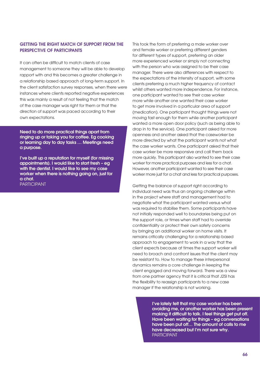# Getting the right match of support from the perspective of participants

It can often be difficult to match clients of case management to someone they will be able to develop rapport with and this becomes a greater challenge in a relationship based approach of long-term support. In the client satisfaction survey responses, when there were instances where clients reported negative experiences this was mainly a result of not feeling that the match of the case manager was right for them or that the direction of support was paced according to their own expectations.

Need to do more practical things apart from ringing up or taking you for coffee. Eg cooking or learning day to day tasks … Meetings need a purpose.

I've built up a reputation for myself (for missing appointments). I would like to start fresh – eg with the dentist. I would like to see my case worker when there is nothing going on, just for a chat. PARTICIPANT

This took the form of preferring a male worker over and female worker or preferring different genders for different types of support, preferring an older more experienced worker or simply not connecting with the person who was assigned to be their case manager. There were also differences with respect to the expectations of the intensity of support, with some clients preferring a much higher frequency of contact whilst others wanted more independence. For instance, one participant wanted to see their case worker more while another one wanted their case worker to get more involved in a particular area of support (medication). One participant thought things were not moving fast enough for them while another participant wanted a more open door policy (such as being able to drop in to the service). One participant asked for more openness and another asked that the caseworker be more directed by what the participant wants not what the case worker wants. One participant asked that their case worker be more responsive and call them back more quickly. This participant also wanted to see their case worker for more practical purposes and less for a chat. However, another participant wanted to see their case worker more just for a chat and less for practical purposes.

Getting the balance of support right according to individual need was thus an ongoing challenge within in the project where staff and management had to negotiate what the participant wanted versus what was required to stabilise them. Some participants have not initially responded well to boundaries being put on the support role, or times when staff had to override confidentiality or protect their own safety concerns by bringing an additional worker on home visits. It remains critically challenging for a relationship based approach to engagement to work in a way that the client expects because at times the support worker will need to broach and confront issues that the client may be resistant to. How to manage these interpersonal dynamics remains a core challenge in keeping the client engaged and moving forward. There was a view from one partner agency that it is critical that J2SI has the flexibility to reassign participants to a new case manager if the relationship is not working.

> I've lately felt that my case worker has been avoiding me, or another worker has been present making it difficult to talk. I feel things get put off. Have been waiting for things – eg conversations have been put off… The amount of calls to me have decreased but I'm not sure why. **PARTICIPANT**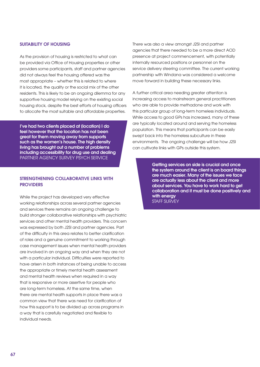# Suitability of Housing

As the provision of housing is restricted to what can be provided via Office of Housing properties or other providers some participants, staff and partner agencies did not always feel the housing offered was the most appropriate – whether this is related to where it is located, the quality or the social mix of the other residents. This is likely to be an ongoing dilemma for any supportive housing model relying on the existing social housing stock, despite the best efforts of housing officers to allocate the most suitable and affordable properties.

I've had two clients placed at [location] I do feel however that the location has not been great for them moving away from supports such as the women's house. The high density living has brought out a number of problems including accessibility for drug use and dealing Partner agency survey Psych service

# Strengthening collaborative links with **PROVIDERS**

While the project has developed very effective working relationships across several partner agencies and services there remains an ongoing challenge to build stronger collaborative relationships with psychiatric services and other mental health providers. This concern was expressed by both J2SI and partner agencies. Part of the difficulty in this area relates to better clarification of roles and a genuine commitment to working through case management issues when mental health providers are involved in an ongoing way and when they are not with a particular individual. Difficulties were reported to have arisen in both instances of being unable to access the appropriate or timely mental health assessment and mental health reviews when required in a way that is responsive or more assertive for people who are long-term homeless. At the same time, when there are mental health supports in place there was a common view that there was need for clarification of how this support is to be divided up across programs in a way that is carefully negotiated and flexible to individual needs.

There was also a view amongst J2SI and partner agencies that there needed to be a more direct AOD presence at project commencement, with potentially internally resourced positions or personnel on the service delivery steering committee. The current working partnership with Windana was considered a welcome move forward in building these necessary links.

A further critical area needing greater attention is increasing access to mainstream general practitioners who are able to provide methadone and work with this particular group of long-term homeless individuals. While access to good GPs has increased, many of these are typically located around and serving the homeless population. This means that participants can be easily swept back into the homeless subculture in these environments. The ongoing challenge will be how J2SI can cultivate links with GPs outside this system.

> Getting services on side is crucial and once the system around the client is on board things are much easier. Many of the issues we face are actually less about the client and more about services. You have to work hard to get collaboration and it must be done positively and with energy STAFF SURVEY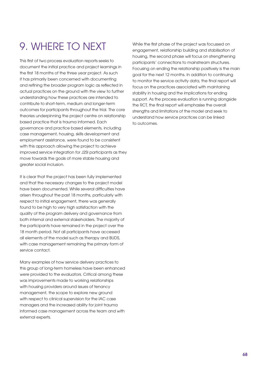# 9. Where to next

This first of two process evaluation reports seeks to document the initial practice and project learnings in the first 18 months of the three year project. As such it has primarily been concerned with documenting and refining the broader program logic as reflected in actual practices on the ground with the view to further understanding how these practices are intended to contribute to short-term, medium and longer-term outcomes for participants throughout the trial. The core theories underpinning the project centre on relationship based practice that is trauma informed. Each governance and practice based elements, including case management, housing, skills development and employment assistance, were found to be consistent with this approach allowing the project to achieve improved service integration for J2SI participants as they move towards the goals of more stable housing and greater social inclusion.

It is clear that the project has been fully implemented and that the necessary changes to the project model have been documented. While several difficulties have arisen throughout the past 18 months, particularly with respect to initial engagement, there was generally found to be high to very high satisfaction with the quality of the program delivery and governance from both internal and external stakeholders. The majority of the participants have remained in the project over the 18 month period. Not all participants have accessed all elements of the model such as therapy and BUDS, with case management remaining the primary form of service contact.

Many examples of how service delivery practices to this group of long-term homeless have been enhanced were provided to the evaluators. Critical among these was improvements made to working relationships with housing providers around issues of tenancy management, the scope to explore new ground with respect to clinical supervision for the IAC case managers and the increased ability for joint trauma informed case management across the team and with external experts.

While the first phase of the project was focussed on engagement, relationship building and stabilisation of housing, the second phase will focus on strengthening participants' connections to mainstream structures. Focusing on ending the relationship positively is the main goal for the next 12 months. In addition to continuing to monitor the service activity data, the final report will focus on the practices associated with maintaining stability in housing and the implications for ending support. As the process evaluation is running alongside the RCT, the final report will emphasise the overall strengths and limitations of the model and seek to understand how service practices can be linked to outcomes.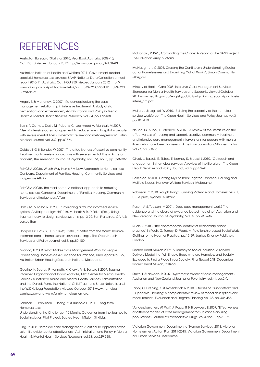# **REFERENCES**

Australian Bureau of Statistics 2010, Year Book Australia, 2009–10, Cat.1301.0.viewed January 2012 http://www.abs.gov.au/AUSSTATS.

Australian Institute of Health and Welfare 2011, Government-funded specialist homelessness services: SAAP National Data Collection annual report 2010-11, Australia, Cat. HOU 250, viewed January 2012 http:// www.aihw.gov.au/publication-detail/?id=10737420853&libID=10737420 852&tab=2.

Angell, B & Mahoney, C 2007, 'Re-conceptualizing the case management relationship in intensive treatment: A study of staff perceptions and experiences', Administration and Policy in Mental Health & Mental Health Services Research, vol. 34, pp.172-188.

Burns, T, Catty, J, Dash, M, Roberts, C, Lockwood A, Marshall, M 2007, 'Use of intensive case management to reduce time in hospital in people with severe mental illness: systematic review and meta-regression', British Medical Journal, vol. 332, pp.815-9.

Coldwell, G & Bender, W 2007, 'The effectiveness of assertive community treatment for homeless populations with severe mental illness: A meta analysis', The American Journal of Psychiatry, vol. 164, no. 3, pp. 393–399.

FaHCSIA 2008a, Which Way Home? A New Approach to Homelessness. Canberra, Department of Families, Housing, Community Services and Indigenous Affairs.

FaHCSIA 2008b, The road home: A national approach to reducing homelessness. Canberra, Department of Families, Housing, Community Services and Indigenous Affairs.

Harris, M. & Fallot, R. D 2001 'Envisioning a trauma informed service system: A vital paradigm shift', in. M. Harris & R. D Fallot (Eds.), Using trauma theory to design service systems, pp. 3-22. San Francisco, CA, US: Jossey-Bass.

Hopper, EK, Bassuk, EL & Olivet, J 2010, 'Shelter from the storm: Traumainformed care in homelessness services settings', The Open Health Services and Policy Journal, vol.3, pp.80-100.

Gronda, H 2009, What Makes Case Management Work for People Experiencing Homelessness? Evidence for Practice, Final report No. 127, Australian Urban Housing Research Institute, Melbourne.

Guarino, K, Soares, P, Konnath, K, Clervil, R, & Bassuk, E 2009, Trauma Informed Organizational Toolkit Rockville, MD: Center for Mental Health Services, Substance Abuse and Mental Health Services Administration, and the Daniels Fund, the National Child Traumatic Stress Network, and the W.K Kellogg Foundation, viewed October 2011 www.homeless. samhsa.gov and www.familyhomelessness.org.

Johnson, G, Parkinson, S, Tseng, Y, & Kuehnle D, 2011, Long-term Homelessness:

Understanding the Challenge –12 Months Outcomes from the Journey to Social Inclusion Pilot Project, Sacred Heart Mission, St Kilda.

King, R 2006, 'Intensive case management: A critical re-appraisal of the scientific evidence for effectiveness', Administration and Policy in Mental Health & Mental Health Services Research, vol.33, pp.529-535.

McDonald, P 1993, Confronting the Chaos: A Report of the SANS Project, The Salvation Army, Victoria.

McNaughton, C 2005, Crossing the Continuum: Understanding Routes out of Homelessness and Examining "What Works", Simon Community, Glasgow.

Ministry of Health Care 2005, Intensive Case Management Services Standards for Mental Health Services and Supports, viewed October 2011 www.health.gov.ca/english/public/pub/ministry\_reports/psychosis/ intens\_cm.pdf

Mullen, J & Leginski, W 2010, 'Building the capacity of the homeless service workforce', The Open Health Services and Policy Journal, vol.3, pp.101-110.

Nelson, G, Aubry, T, Lafrance, A 2007, 'A review of the literature on the effectiveness of housing and support, assertive community treatment, and intensive case management interventions for persons with mental illness who have been homeless', American Journal of Orthopsychiatry, vol.77, pp.350-361.

Olivet, J, Bassuk, E, Elstad, E, Kenney R, & Jassil L 2010, 'Outreach and engagement in homeless services: A review of the literature', The Open Health Services and Policy Journal, vol.3, pp.53-70.

Parkinson, S 2004, Getting My Life Back Together: Women, Housing and Multiple Needs, Hanover Welfare Services, Melbourne.

Robinson, C 2010, Rough Living: Surviving Violence and Homelessness, 1, UTS e press, Sydney, Australia.

Rosen, A & Teesson, M 2001, 'Does case management work? The evidence and the abuse of evidence-based medicine', Australian and New Zealand Journal of Psychiatry, Vol.35, pp.731-746.

Ruch, G 2010, 'The contemporary context of relationship based practice' in Ruch, G, Turney, D, Ward, A Relationship-based Social Work: Getting to the Heart of Practice, pp.13-29, Jessica Kingsley Publishers, London.

Sacred Heart Mission 2009, A Journey to Social Inclusion: A Service Delivery Model that Will Enable those who are Homeless and Socially Excluded to Find a Place in our Society, Final Report 24th December, Sacred Heart Mission, St Kilda.

Smith, L & Newton, R 2007, 'Systematic review of case management', Australian and New Zealand Journal of Psychiatry, vol.41, pp.2-9.

Tabol, C, Drebing, C & Rosenhack, R 2010, 'Studies of ''supported'' and ''supportive'' housing: A comprehensive review of model descriptions and measurement', Evaluation and Program Planning, vol. 33, pp. 446-456.

Vanderplasschen, W, Wolf, J, Rapp, R & Broekaert, E 2007, 'Effectiveness of different models of case management for substance-abusing populations', Journal of Psychoactive Drugs, vol.39 no.1, pp.81-95.

Victorian Government Department of Human Services, 2011, Victorian Homelessness Action Plan 2011-2015, Victorian Government Department of Human Services, Melbourne